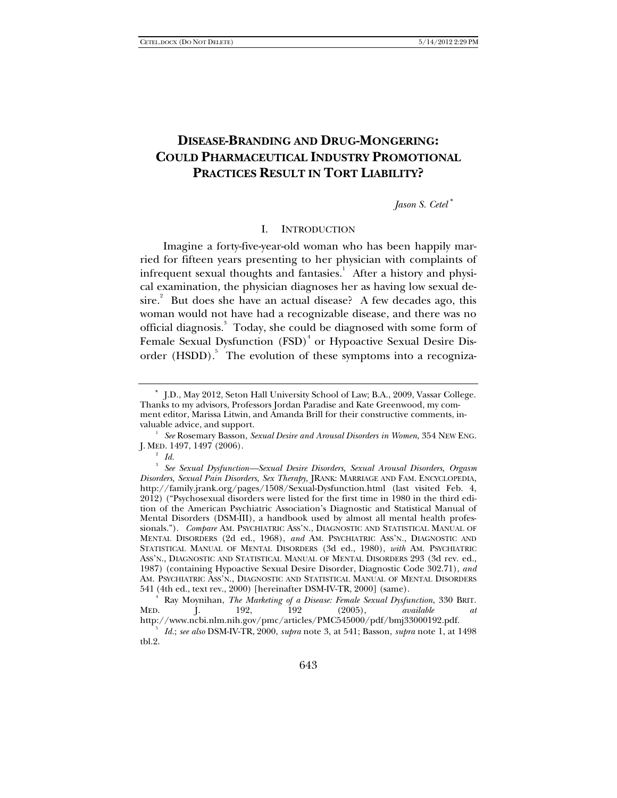# **DISEASE-BRANDING AND DRUG-MONGERING: COULD PHARMACEUTICAL INDUSTRY PROMOTIONAL PRACTICES RESULT IN TORT LIABILITY?**

*Jason S. Cetel* <sup>∗</sup>

### I. INTRODUCTION

Imagine a forty-five-year-old woman who has been happily married for fifteen years presenting to her physician with complaints of infrequent sexual thoughts and fantasies. $^{\rm l}$  After a history and physical examination, the physician diagnoses her as having low sexual desire. $3$  But does she have an actual disease? A few decades ago, this woman would not have had a recognizable disease, and there was no official diagnosis.<sup>3</sup> Today, she could be diagnosed with some form of Female Sexual Dysfunction (FSD)<sup>4</sup> or Hypoactive Sexual Desire Disorder (HSDD).<sup>5</sup> The evolution of these symptoms into a recogniza-

 $^{\circ}$   $\hspace{0.1cm} Id.$ 

<sup>∗</sup> J.D., May 2012, Seton Hall University School of Law; B.A., 2009, Vassar College. Thanks to my advisors, Professors Jordan Paradise and Kate Greenwood, my comment editor, Marissa Litwin, and Amanda Brill for their constructive comments, invaluable advice, and support. 1

*See* Rosemary Basson, *Sexual Desire and Arousal Disorders in Women*, 354 NEW ENG. J. MED. 1497, 1497 (2006). 2

<sup>3</sup>  *See Sexual Dysfunction—Sexual Desire Disorders, Sexual Arousal Disorders, Orgasm Disorders, Sexual Pain Disorders, Sex Therapy*, JRANK: MARRIAGE AND FAM. ENCYCLOPEDIA, http://family.jrank.org/pages/1508/Sexual-Dysfunction.html (last visited Feb. 4, 2012) ("Psychosexual disorders were listed for the first time in 1980 in the third edition of the American Psychiatric Association's Diagnostic and Statistical Manual of Mental Disorders (DSM-III), a handbook used by almost all mental health professionals."). *Compare* AM. PSYCHIATRIC ASS'N., DIAGNOSTIC AND STATISTICAL MANUAL OF MENTAL DISORDERS (2d ed., 1968), *and* AM. PSYCHIATRIC ASS'N., DIAGNOSTIC AND STATISTICAL MANUAL OF MENTAL DISORDERS (3d ed., 1980), *with* AM. PSYCHIATRIC ASS'N., DIAGNOSTIC AND STATISTICAL MANUAL OF MENTAL DISORDERS 293 (3d rev. ed., 1987) (containing Hypoactive Sexual Desire Disorder, Diagnostic Code 302.71), *and*  AM. PSYCHIATRIC ASS'N., DIAGNOSTIC AND STATISTICAL MANUAL OF MENTAL DISORDERS 541 (4th ed., text rev., 2000) [hereinafter DSM-IV-TR, 2000] (same).

<sup>4</sup> Ray Moynihan, *The Marketing of a Disease: Female Sexual Dysfunction*, 330 BRIT.<br>
192, 192 (2005), *available at* MED. J. 192, 192 (2005), *available at* 

http://www.ncbi.nlm.nih.gov/pmc/articles/PMC545000/pdf/bmj33000192.pdf.  *Id.*; *see also* DSM-IV-TR, 2000, *supra* note 3, at 541; Basson, *supra* note 1, at 1498 tbl.2.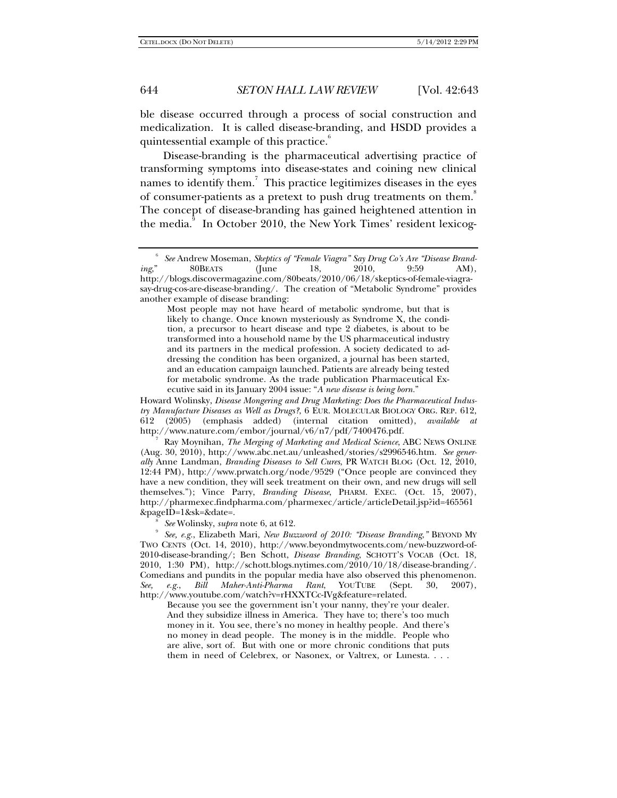ble disease occurred through a process of social construction and medicalization. It is called disease-branding, and HSDD provides a quintessential example of this practice.<sup>6</sup>

Disease-branding is the pharmaceutical advertising practice of transforming symptoms into disease-states and coining new clinical names to identify them.<sup>7</sup> This practice legitimizes diseases in the eyes of consumer-patients as a pretext to push drug treatments on them.<sup>8</sup> The concept of disease-branding has gained heightened attention in the media.<sup>9</sup> In October 2010, the New York Times' resident lexicog-

Most people may not have heard of metabolic syndrome, but that is likely to change. Once known mysteriously as Syndrome X, the condition, a precursor to heart disease and type 2 diabetes, is about to be transformed into a household name by the US pharmaceutical industry and its partners in the medical profession. A society dedicated to addressing the condition has been organized, a journal has been started, and an education campaign launched. Patients are already being tested for metabolic syndrome. As the trade publication Pharmaceutical Executive said in its January 2004 issue: "*A new disease is being born.*"

Howard Wolinsky, *Disease Mongering and Drug Marketing: Does the Pharmaceutical Industry Manufacture Diseases as Well as Drugs?*, 6 EUR. MOLECULAR BIOLOGY ORG. REP. 612, 612 (2005) (emphasis added) (internal citation omitted), *available at* http://www.nature.com/embor/journal/v6/n7/pdf/7400476.pdf.

 Ray Moynihan, *The Merging of Marketing and Medical Science*, ABC NEWS ONLINE (Aug. 30, 2010), http://www.abc.net.au/unleashed/stories/s2996546.htm. *See generally* Anne Landman, *Branding Diseases to Sell Cures*, PR WATCH BLOG (Oct. 12, 2010, 12:44 PM), http://www.prwatch.org/node/9529 ("Once people are convinced they have a new condition, they will seek treatment on their own, and new drugs will sell themselves."); Vince Parry, *Branding Disease*, PHARM. EXEC. (Oct. 15, 2007), http://pharmexec.findpharma.com/pharmexec/article/articleDetail.jsp?id=465561 &pageID=1&sk=&date=. 8

*See* Wolinsky, *supra* note 6, at 612.

 *See, e.g.*, Elizabeth Mari, *New Buzzword of 2010: "Disease Branding*,*"* BEYOND MY TWO CENTS (Oct. 14, 2010), http://www.beyondmytwocents.com/new-buzzword-of-2010-disease-branding/; Ben Schott, *Disease Branding*, SCHOTT'S VOCAB (Oct. 18, 2010, 1:30 PM), http://schott.blogs.nytimes.com/2010/10/18/disease-branding/. Comedians and pundits in the popular media have also observed this phenomenon. *See, e.g.*, *Bill Maher-Anti-Pharma Rant*, YOUTUBE (Sept. 30, 2007), http://www.youtube.com/watch?v=rHXXTCc-IVg&feature=related.

Because you see the government isn't your nanny, they're your dealer. And they subsidize illness in America. They have to; there's too much money in it. You see, there's no money in healthy people. And there's no money in dead people. The money is in the middle. People who are alive, sort of. But with one or more chronic conditions that puts them in need of Celebrex, or Nasonex, or Valtrex, or Lunesta. . . .

<sup>6</sup>  *See* Andrew Moseman, *Skeptics of "Female Viagra" Say Drug Co's Are "Disease Branding*," 80BEATS (June 18, 2010, 9:59 AM), http://blogs.discovermagazine.com/80beats/2010/06/18/skeptics-of-female-viagrasay-drug-cos-are-disease-branding/. The creation of "Metabolic Syndrome" provides another example of disease branding: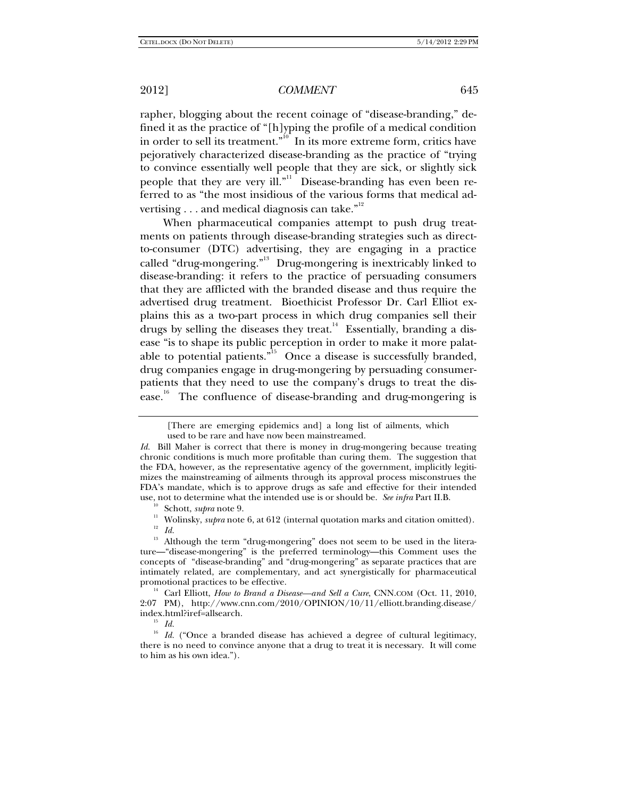rapher, blogging about the recent coinage of "disease-branding," defined it as the practice of "[h]yping the profile of a medical condition in order to sell its treatment." $\frac{10}{10}$  In its more extreme form, critics have pejoratively characterized disease-branding as the practice of "trying to convince essentially well people that they are sick, or slightly sick people that they are very ill."<sup>11</sup> Disease-branding has even been referred to as "the most insidious of the various forms that medical advertising  $\dots$  and medical diagnosis can take."<sup>12</sup>

When pharmaceutical companies attempt to push drug treatments on patients through disease-branding strategies such as directto-consumer (DTC) advertising, they are engaging in a practice called "drug-mongering."<sup>13</sup> Drug-mongering is inextricably linked to disease-branding: it refers to the practice of persuading consumers that they are afflicted with the branded disease and thus require the advertised drug treatment. Bioethicist Professor Dr. Carl Elliot explains this as a two-part process in which drug companies sell their drugs by selling the diseases they treat.<sup>14</sup> Essentially, branding a disease "is to shape its public perception in order to make it more palatable to potential patients. $n^{15}$  Once a disease is successfully branded, drug companies engage in drug-mongering by persuading consumerpatients that they need to use the company's drugs to treat the disease.<sup>16</sup> The confluence of disease-branding and drug-mongering is

<sup>[</sup>There are emerging epidemics and] a long list of ailments, which used to be rare and have now been mainstreamed.

*Id.* Bill Maher is correct that there is money in drug-mongering because treating chronic conditions is much more profitable than curing them. The suggestion that the FDA, however, as the representative agency of the government, implicitly legitimizes the mainstreaming of ailments through its approval process misconstrues the FDA's mandate, which is to approve drugs as safe and effective for their intended use, not to determine what the intended use is or should be. See infra Part II.B.

<sup>&</sup>lt;sup>10</sup> Schott, *supra* note 9.<br><sup>11</sup> Wolinsky, *supra* note 6, at 612 (internal quotation marks and citation omitted).<br><sup>12</sup> *M* 

<sup>&</sup>lt;sup>13</sup> Although the term "drug-mongering" does not seem to be used in the literature—"disease-mongering" is the preferred terminology—this Comment uses the concepts of "disease-branding" and "drug-mongering" as separate practices that are intimately related, are complementary, and act synergistically for pharmaceutical promotional practices to be effective.

<sup>&</sup>lt;sup>14</sup> Carl Elliott, *How to Brand a Disease—and Sell a Cure*, CNN.COM (Oct. 11, 2010, 2:07 PM), http://www.cnn.com/2010/OPINION/10/11/elliott.branding.disease/ index.html?iref=allsearch. 15 *Id.*

<sup>&</sup>lt;sup>16</sup> *Id.* ("Once a branded disease has achieved a degree of cultural legitimacy, there is no need to convince anyone that a drug to treat it is necessary. It will come to him as his own idea.").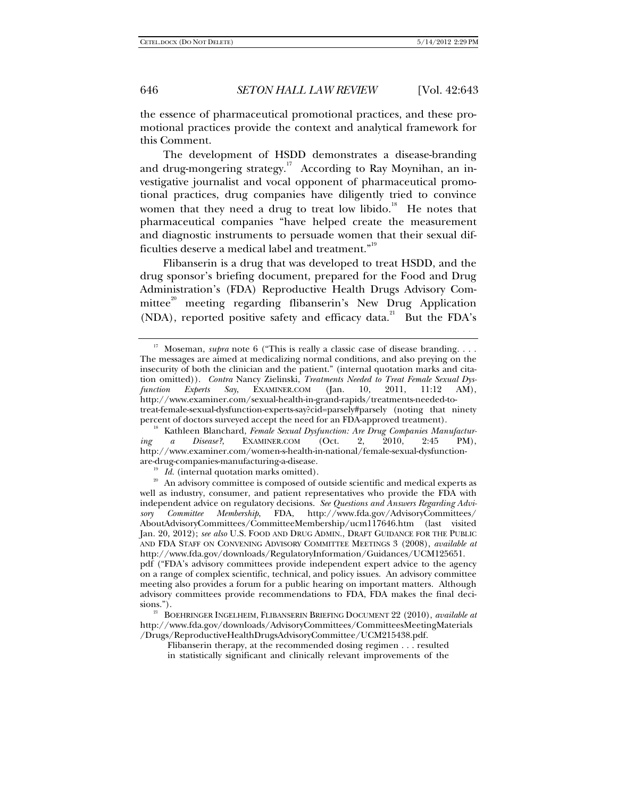the essence of pharmaceutical promotional practices, and these promotional practices provide the context and analytical framework for this Comment.

The development of HSDD demonstrates a disease-branding and drug-mongering strategy.<sup>17</sup> According to Ray Moynihan, an investigative journalist and vocal opponent of pharmaceutical promotional practices, drug companies have diligently tried to convince women that they need a drug to treat low libido.<sup>18</sup> He notes that pharmaceutical companies "have helped create the measurement and diagnostic instruments to persuade women that their sexual difficulties deserve a medical label and treatment."<sup>19</sup>

Flibanserin is a drug that was developed to treat HSDD, and the drug sponsor's briefing document, prepared for the Food and Drug Administration's (FDA) Reproductive Health Drugs Advisory Committee<sup>20</sup> meeting regarding flibanserin's New Drug Application (NDA), reported positive safety and efficacy data.<sup>21</sup> But the FDA's

Flibanserin therapy, at the recommended dosing regimen . . . resulted in statistically significant and clinically relevant improvements of the

<sup>&</sup>lt;sup>17</sup> Moseman, *supra* note 6 ("This is really a classic case of disease branding. . . . The messages are aimed at medicalizing normal conditions, and also preying on the insecurity of both the clinician and the patient." (internal quotation marks and citation omitted)). *Contra* Nancy Zielinski, *Treatments Needed to Treat Female Sexual Dysfunction Experts Say*, EXAMINER.COM (Jan. 10, 2011, 11:12 AM), http://www.examiner.com/sexual-health-in-grand-rapids/treatments-needed-totreat-female-sexual-dysfunction-experts-say?cid=parsely#parsely (noting that ninety percent of doctors surveyed accept the need for an FDA-approved treatment).

<sup>&</sup>lt;sup>18</sup> Kathleen Blanchard, *Female Sexual Dysfunction: Are Drug Companies Manufacturing a Disease?*, EXAMINER.COM (Oct. 2, 2010, 2:45 PM), http://www.examiner.com/women-s-health-in-national/female-sexual-dysfunction-

are-drug-companies-manufacturing-a-disease.<br><sup>19</sup> *Id.* (internal quotation marks omitted).<br><sup>20</sup> An advisory committee is composed of outside scientific and medical experts as well as industry, consumer, and patient representatives who provide the FDA with independent advice on regulatory decisions. *See Questions and Answers Regarding Advisory Committee Membership*, FDA, http://www.fda.gov/AdvisoryCommittees/ AboutAdvisoryCommittees/CommitteeMembership/ucm117646.htm (last visited Jan. 20, 2012); *see also* U.S. FOOD AND DRUG ADMIN., DRAFT GUIDANCE FOR THE PUBLIC AND FDA STAFF ON CONVENING ADVISORY COMMITTEE MEETINGS 3 (2008), *available at*  http://www.fda.gov/downloads/RegulatoryInformation/Guidances/UCM125651. pdf ("FDA's advisory committees provide independent expert advice to the agency on a range of complex scientific, technical, and policy issues. An advisory committee meeting also provides a forum for a public hearing on important matters. Although advisory committees provide recommendations to FDA, FDA makes the final deci-

<sup>&</sup>lt;sup>21</sup> BOEHRINGER INGELHEIM, FLIBANSERIN BRIEFING DOCUMENT 22 (2010), *available at* http://www.fda.gov/downloads/AdvisoryCommittees/CommitteesMeetingMaterials /Drugs/ReproductiveHealthDrugsAdvisoryCommittee/UCM215438.pdf.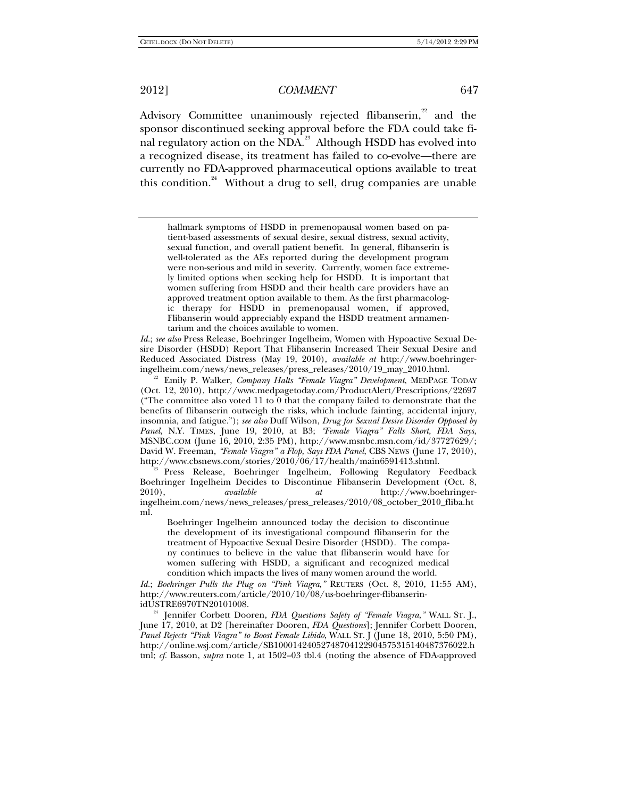Advisory Committee unanimously rejected flibanserin, $2^2$  and the sponsor discontinued seeking approval before the FDA could take final regulatory action on the NDA.<sup>23</sup> Although HSDD has evolved into a recognized disease, its treatment has failed to co-evolve—there are currently no FDA-approved pharmaceutical options available to treat this condition.<sup>24</sup> Without a drug to sell, drug companies are unable

*Id.*; *see also* Press Release, Boehringer Ingelheim, Women with Hypoactive Sexual Desire Disorder (HSDD) Report That Flibanserin Increased Their Sexual Desire and Reduced Associated Distress (May 19, 2010), *available at* http://www.boehringeringelheim.com/news/news\_releases/press\_releases/2010/19\_may\_2010.html. 22 Emily P. Walker, *Company Halts "Female Viagra" Development*, MEDPAGE TODAY

(Oct. 12, 2010), http://www.medpagetoday.com/ProductAlert/Prescriptions/22697 ("The committee also voted 11 to 0 that the company failed to demonstrate that the benefits of flibanserin outweigh the risks, which include fainting, accidental injury, insomnia, and fatigue."); *see also* Duff Wilson, *Drug for Sexual Desire Disorder Opposed by Panel*, N.Y. TIMES, June 19, 2010, at B3; *"Female Viagra" Falls Short, FDA Says*, MSNBC.COM (June 16, 2010, 2:35 PM), http://www.msnbc.msn.com/id/37727629/; David W. Freeman, *"Female Viagra" a Flop, Says FDA Panel*, CBS NEWS (June 17, 2010),

<sup>23</sup> Press Release, Boehringer Ingelheim, Following Regulatory Feedback Boehringer Ingelheim Decides to Discontinue Flibanserin Development (Oct. 8, 2010),  $available$  http://www.boehringer-2010), *available at* http://www.boehringeringelheim.com/news/news\_releases/press\_releases/2010/08\_october\_2010\_fliba.ht ml.

Boehringer Ingelheim announced today the decision to discontinue the development of its investigational compound flibanserin for the treatment of Hypoactive Sexual Desire Disorder (HSDD). The company continues to believe in the value that flibanserin would have for women suffering with HSDD, a significant and recognized medical condition which impacts the lives of many women around the world.

*Id.*; *Boehringer Pulls the Plug on "Pink Viagra*,*"* REUTERS (Oct. 8, 2010, 11:55 AM), http://www.reuters.com/article/2010/10/08/us-boehringer-flibanserin-<br>idUSTRE6970TN20101008.

Jennifer Corbett Dooren, *FDA Questions Safety of "Female Viagra*," WALL ST. J., June 17, 2010, at D2 [hereinafter Dooren, *FDA Questions*]; Jennifer Corbett Dooren, *Panel Rejects "Pink Viagra" to Boost Female Libido*, WALL ST. J (June 18, 2010, 5:50 PM), http://online.wsj.com/article/SB10001424052748704122904575315140487376022.h tml; *cf.* Basson, *supra* note 1, at 1502–03 tbl.4 (noting the absence of FDA-approved

hallmark symptoms of HSDD in premenopausal women based on patient-based assessments of sexual desire, sexual distress, sexual activity, sexual function, and overall patient benefit. In general, flibanserin is well-tolerated as the AEs reported during the development program were non-serious and mild in severity. Currently, women face extremely limited options when seeking help for HSDD. It is important that women suffering from HSDD and their health care providers have an approved treatment option available to them. As the first pharmacologic therapy for HSDD in premenopausal women, if approved, Flibanserin would appreciably expand the HSDD treatment armamentarium and the choices available to women.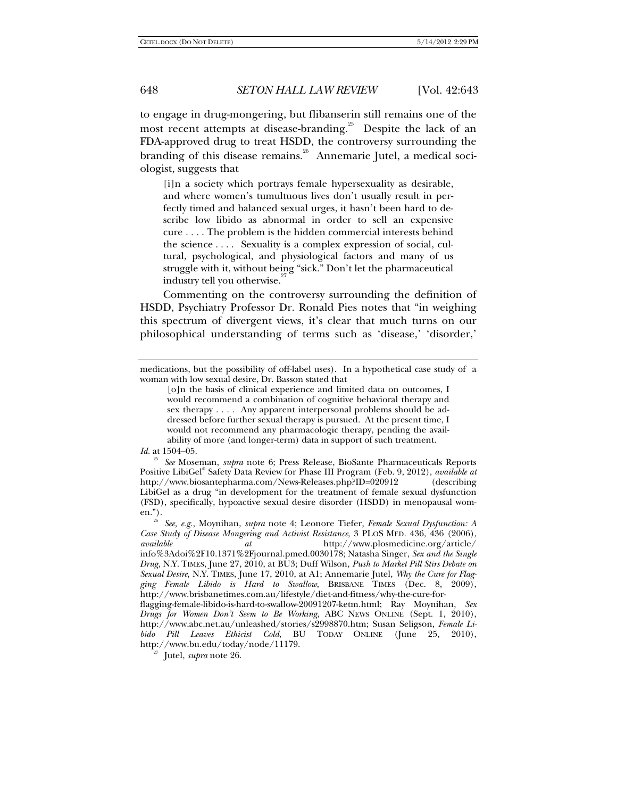to engage in drug-mongering, but flibanserin still remains one of the most recent attempts at disease-branding.<sup>25</sup> Despite the lack of an FDA-approved drug to treat HSDD, the controversy surrounding the branding of this disease remains.<sup>26</sup> Annemarie Jutel, a medical sociologist, suggests that

[i]n a society which portrays female hypersexuality as desirable, and where women's tumultuous lives don't usually result in perfectly timed and balanced sexual urges, it hasn't been hard to describe low libido as abnormal in order to sell an expensive cure *. . .* . The problem is the hidden commercial interests behind the science . . . . Sexuality is a complex expression of social, cultural, psychological, and physiological factors and many of us struggle with it, without being "sick." Don't let the pharmaceutical industry tell you otherwise.

Commenting on the controversy surrounding the definition of HSDD, Psychiatry Professor Dr. Ronald Pies notes that "in weighing this spectrum of divergent views, it's clear that much turns on our philosophical understanding of terms such as 'disease,' 'disorder,'

medications, but the possibility of off-label uses). In a hypothetical case study of a woman with low sexual desire, Dr. Basson stated that

[o]n the basis of clinical experience and limited data on outcomes, I would recommend a combination of cognitive behavioral therapy and sex therapy . . . . Any apparent interpersonal problems should be addressed before further sexual therapy is pursued. At the present time, I would not recommend any pharmacologic therapy, pending the availability of more (and longer-term) data in support of such treatment.

*Id.* at 1504–05.

<sup>25</sup> *See* Moseman, *supra* note 6; Press Release, BioSante Pharmaceuticals Reports Positive LibiGel® Safety Data Review for Phase III Program (Feb. 9, 2012), *available at*  http://www.biosantepharma.com/News-Releases.php?ID=020912 (describing LibiGel as a drug "in development for the treatment of female sexual dysfunction (FSD), specifically, hypoactive sexual desire disorder (HSDD) in menopausal women."). 26 *See, e.g.*, Moynihan, *supra* note 4; Leonore Tiefer, *Female Sexual Dysfunction: A*

*Case Study of Disease Mongering and Activist Resistance*, 3 PLOS MED. 436, 436 (2006), *available* at http://www.plosmedicine.org/article/ *at* http://www.plosmedicine.org/article/ info%3Adoi%2F10.1371%2Fjournal.pmed.0030178; Natasha Singer, *Sex and the Single Drug*, N.Y. TIMES, June 27, 2010, at BU3; Duff Wilson, *Push to Market Pill Stirs Debate on Sexual Desire*, N.Y. TIMES, June 17, 2010, at A1; Annemarie Jutel, *Why the Cure for Flagging Female Libido is Hard to Swallow*, BRISBANE TIMES (Dec. 8, 2009), http://www.brisbanetimes.com.au/lifestyle/diet-and-fitness/why-the-cure-for-

flagging-female-libido-is-hard-to-swallow-20091207-ketm.html; Ray Moynihan, *Sex Drugs for Women Don't Seem to Be Working*, ABC NEWS ONLINE (Sept. 1, 2010), http://www.abc.net.au/unleashed/stories/s2998870.htm; Susan Seligson, *Female Libido Pill Leaves Ethicist Cold*, BU TODAY ONLINE (June 25, 2010), http://www.bu.edu/today/node/11179. 27 Jutel, *supra* note 26.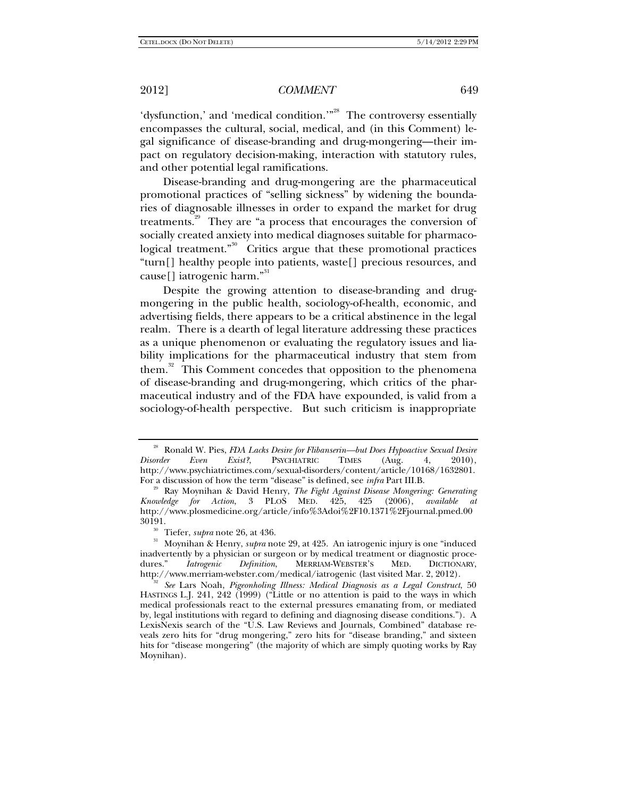'dysfunction,' and 'medical condition.'"<sup>28</sup> The controversy essentially encompasses the cultural, social, medical, and (in this Comment) legal significance of disease-branding and drug-mongering—their impact on regulatory decision-making, interaction with statutory rules, and other potential legal ramifications.

Disease-branding and drug-mongering are the pharmaceutical promotional practices of "selling sickness" by widening the boundaries of diagnosable illnesses in order to expand the market for drug treatments.<sup>29</sup> They are "a process that encourages the conversion of socially created anxiety into medical diagnoses suitable for pharmacological treatment."<sup>30</sup> Critics argue that these promotional practices "turn[] healthy people into patients, waste[] precious resources, and cause[] iatrogenic harm." $31$ 

Despite the growing attention to disease-branding and drugmongering in the public health, sociology-of-health, economic, and advertising fields, there appears to be a critical abstinence in the legal realm. There is a dearth of legal literature addressing these practices as a unique phenomenon or evaluating the regulatory issues and liability implications for the pharmaceutical industry that stem from them.<sup>32</sup> This Comment concedes that opposition to the phenomena of disease-branding and drug-mongering, which critics of the pharmaceutical industry and of the FDA have expounded, is valid from a sociology-of-health perspective. But such criticism is inappropriate

<sup>&</sup>lt;sup>28</sup> Ronald W. Pies, *FDA Lacks Desire for Flibanserin—but Does Hypoactive Sexual Desire Disorder Even Exist?*, PSYCHIATRIC TIMES (Aug. 4, 2010), http://www.psychiatrictimes.com/sexual-disorders/content/article/10168/1632801. For a discussion of how the term "disease" is defined, see *infra* Part III.B.

<sup>29</sup> Ray Moynihan & David Henry, *The Fight Against Disease Mongering: Generating Knowledge for Action*, 3 PLOS MED. 425, 425 (2006), *available at*  http://www.plosmedicine.org/article/info%3Adoi%2F10.1371%2Fjournal.pmed.00

<sup>30191. 30</sup> Tiefer, *supra* note 26, at 436. 31 Moynihan & Henry, *supra* note 29, at 425. An iatrogenic injury is one "induced inadvertently by a physician or surgeon or by medical treatment or diagnostic proce-<br>dures." *Iatrogenic Definition*, MERRIAM-WEBSTER'S MED. DICTIONARY,  $M$ ERRIAM-WEBSTER'S http://www.merriam-webster.com/medical/iatrogenic (last visited Mar. 2, 2012). 32 *See* Lars Noah, *Pigeonholing Illness: Medical Diagnosis as a Legal Construct*, 50

HASTINGS L.J. 241, 242 (1999) ("Little or no attention is paid to the ways in which medical professionals react to the external pressures emanating from, or mediated by, legal institutions with regard to defining and diagnosing disease conditions."). A LexisNexis search of the "U.S. Law Reviews and Journals, Combined" database reveals zero hits for "drug mongering," zero hits for "disease branding," and sixteen hits for "disease mongering" (the majority of which are simply quoting works by Ray Moynihan).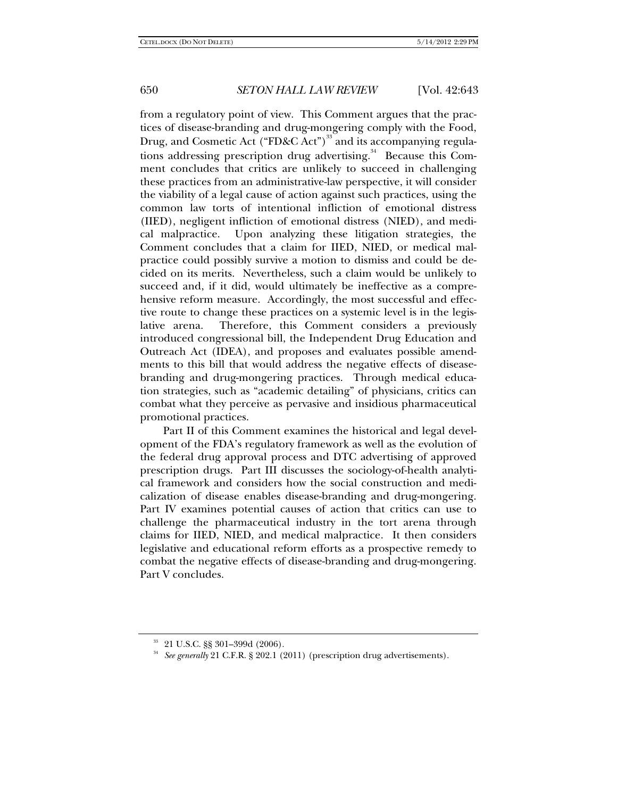from a regulatory point of view. This Comment argues that the practices of disease-branding and drug-mongering comply with the Food, Drug, and Cosmetic Act ("FD&C Act")<sup>33</sup> and its accompanying regulations addressing prescription drug advertising.<sup>34</sup> Because this Comment concludes that critics are unlikely to succeed in challenging these practices from an administrative-law perspective, it will consider the viability of a legal cause of action against such practices, using the common law torts of intentional infliction of emotional distress (IIED), negligent infliction of emotional distress (NIED), and medical malpractice. Upon analyzing these litigation strategies, the Comment concludes that a claim for IIED, NIED, or medical malpractice could possibly survive a motion to dismiss and could be decided on its merits. Nevertheless, such a claim would be unlikely to succeed and, if it did, would ultimately be ineffective as a comprehensive reform measure. Accordingly, the most successful and effective route to change these practices on a systemic level is in the legislative arena. Therefore, this Comment considers a previously introduced congressional bill, the Independent Drug Education and Outreach Act (IDEA), and proposes and evaluates possible amendments to this bill that would address the negative effects of diseasebranding and drug-mongering practices. Through medical education strategies, such as "academic detailing" of physicians, critics can combat what they perceive as pervasive and insidious pharmaceutical promotional practices.

Part II of this Comment examines the historical and legal development of the FDA's regulatory framework as well as the evolution of the federal drug approval process and DTC advertising of approved prescription drugs. Part III discusses the sociology-of-health analytical framework and considers how the social construction and medicalization of disease enables disease-branding and drug-mongering. Part IV examines potential causes of action that critics can use to challenge the pharmaceutical industry in the tort arena through claims for IIED, NIED, and medical malpractice. It then considers legislative and educational reform efforts as a prospective remedy to combat the negative effects of disease-branding and drug-mongering. Part V concludes.

<sup>33 21</sup> U.S.C. §§ 301–399d (2006).

<sup>34</sup> *See generally* 21 C.F.R. § 202.1 (2011) (prescription drug advertisements).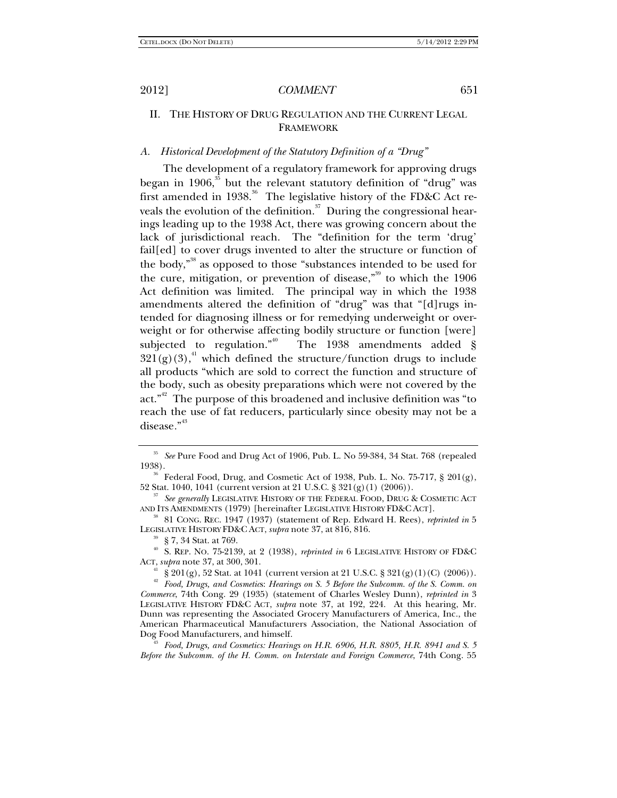## II. THE HISTORY OF DRUG REGULATION AND THE CURRENT LEGAL FRAMEWORK

### *A. Historical Development of the Statutory Definition of a "Drug"*

The development of a regulatory framework for approving drugs began in 1906, $^{35}$  but the relevant statutory definition of "drug" was first amended in 1938.<sup>36</sup> The legislative history of the FD&C Act reveals the evolution of the definition. $37$  During the congressional hearings leading up to the 1938 Act, there was growing concern about the lack of jurisdictional reach. The "definition for the term 'drug' fail[ed] to cover drugs invented to alter the structure or function of the body,"<sup>38</sup> as opposed to those "substances intended to be used for the cure, mitigation, or prevention of disease, $\frac{30}{3}$  to which the 1906 Act definition was limited. The principal way in which the 1938 amendments altered the definition of "drug" was that "[d]rugs intended for diagnosing illness or for remedying underweight or overweight or for otherwise affecting bodily structure or function [were] subjected to regulation." The 1938 amendments added  $\S$  $321(g)(3)$ ,<sup>41</sup> which defined the structure/function drugs to include all products "which are sold to correct the function and structure of the body, such as obesity preparations which were not covered by the act."<sup>42</sup> The purpose of this broadened and inclusive definition was "to reach the use of fat reducers, particularly since obesity may not be a disease*.*" 43

<sup>35</sup> *See* Pure Food and Drug Act of 1906, Pub. L. No 59-384, 34 Stat. 768 (repealed

<sup>1938).</sup>  $36\text{°}$  Federal Food, Drug, and Cosmetic Act of 1938, Pub. L. No. 75-717, § 201(g), 52 Stat. 1040, 1041 (current version at 21 U.S.C. § 321(g)(1) (2006)).

<sup>&</sup>lt;sup>37</sup> See generally LEGISLATIVE HISTORY OF THE FEDERAL FOOD, DRUG & COSMETIC ACT AND ITS AMENDMENTS (1979) [hereinafter LEGISLATIVE HISTORY FD&C ACT].

<sup>38 81</sup> CONG. REC. 1947 (1937) (statement of Rep. Edward H. Rees), *reprinted in* 5 LEGISLATIVE HISTORY FD&C ACT, *supra* note 37, at 816, 816. 39 § 7, 34 Stat. at 769.

<sup>40</sup> S. REP. NO. 75-2139, at 2 (1938), *reprinted in* 6 LEGISLATIVE HISTORY OF FD&C<br>ACT, *supra* note 37, at 300, 301.

<sup>&</sup>lt;sup>41</sup> § 201(g), 52 Stat. at 1041 (current version at 21 U.S.C. § 321(g)(1)(C) (2006)).

<sup>42</sup> *Food, Drugs, and Cosmetic*s: *Hearings on S. 5 Before the Subcomm. of the S. Comm. on Commerce*, 74th Cong. 29 (1935) (statement of Charles Wesley Dunn), *reprinted in* 3 LEGISLATIVE HISTORY FD&C ACT, *supra* note 37, at 192, 224. At this hearing, Mr. Dunn was representing the Associated Grocery Manufacturers of America, Inc., the American Pharmaceutical Manufacturers Association, the National Association of

Food, Drugs, and Cosmetics: Hearings on H.R. 6906, H.R. 8805, H.R. 8941 and S. 5 *Before the Subcomm. of the H. Comm. on Interstate and Foreign Commerce*, 74th Cong. 55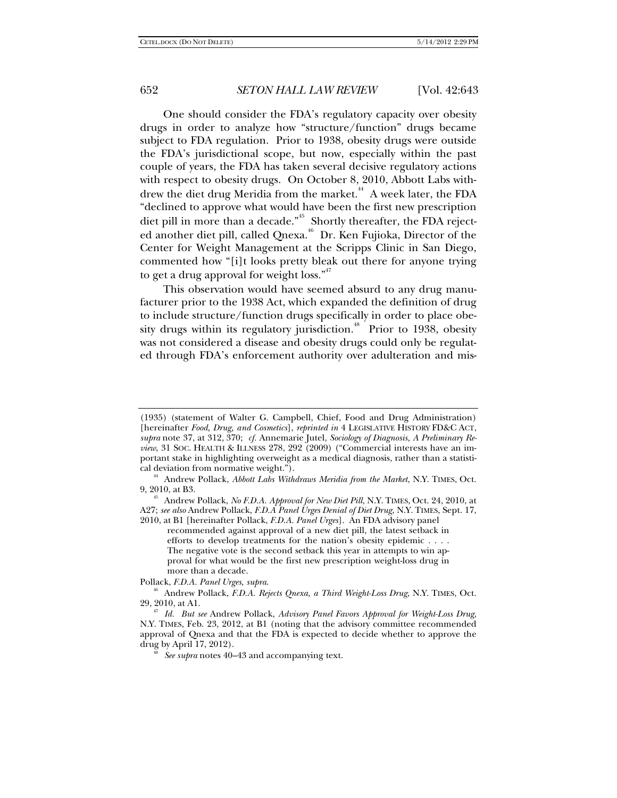One should consider the FDA's regulatory capacity over obesity drugs in order to analyze how "structure/function" drugs became subject to FDA regulation. Prior to 1938, obesity drugs were outside the FDA's jurisdictional scope, but now, especially within the past couple of years, the FDA has taken several decisive regulatory actions with respect to obesity drugs. On October 8, 2010, Abbott Labs withdrew the diet drug Meridia from the market.<sup>44</sup> A week later, the FDA "declined to approve what would have been the first new prescription diet pill in more than a decade."<sup>45</sup> Shortly thereafter, the FDA rejected another diet pill, called Qnexa.<sup>46</sup> Dr. Ken Fujioka, Director of the Center for Weight Management at the Scripps Clinic in San Diego, commented how "[i]t looks pretty bleak out there for anyone trying to get a drug approval for weight loss." $47$ 

This observation would have seemed absurd to any drug manufacturer prior to the 1938 Act, which expanded the definition of drug to include structure/function drugs specifically in order to place obesity drugs within its regulatory jurisdiction.<sup>48</sup> Prior to 1938, obesity was not considered a disease and obesity drugs could only be regulated through FDA's enforcement authority over adulteration and mis-

Pollack, *F.D.A. Panel Urges, supra*.

<sup>(1935) (</sup>statement of Walter G. Campbell, Chief, Food and Drug Administration) [hereinafter *Food, Drug, and Cosmetics*], *reprinted in* 4 LEGISLATIVE HISTORY FD&C ACT, *supra* note 37, at 312, 370; *cf.* Annemarie Jutel, *Sociology of Diagnosis, A Preliminary Review*, 31 SOC. HEALTH & ILLNESS 278, 292 (2009) ("Commercial interests have an important stake in highlighting overweight as a medical diagnosis, rather than a statisti-

<sup>&</sup>lt;sup>44</sup> Andrew Pollack, *Abbott Labs Withdraws Meridia from the Market*, N.Y. TIMES, Oct. 9, 2010, at B3.

<sup>&</sup>lt;sup>45</sup> Andrew Pollack, *No F.D.A. Approval for New Diet Pill*, N.Y. TIMES, Oct. 24, 2010, at A27; *see also* Andrew Pollack, *F.D.A Panel Urges Denial of Diet Drug*, N.Y. TIMES, Sept. 17, 2010, at B1 [hereinafter Pollack, *F.D.A. Panel Urges*]. An FDA advisory panel

recommended against approval of a new diet pill, the latest setback in efforts to develop treatments for the nation's obesity epidemic . . . . The negative vote is the second setback this year in attempts to win approval for what would be the first new prescription weight-loss drug in more than a decade.

<sup>&</sup>lt;sup>46</sup> Andrew Pollack, *F.D.A. Rejects Qnexa, a Third Weight-Loss Drug*, N.Y. TIMES, Oct. 29, 2010, at A1.

<sup>&</sup>lt;sup>47</sup> Id. But see Andrew Pollack, Advisory Panel Favors Approval for Weight-Loss Drug, N.Y. TIMES, Feb. 23, 2012, at B1 (noting that the advisory committee recommended approval of Qnexa and that the FDA is expected to decide whether to approve the drug by April 17, 2012). 48 *See supra* notes 40–43 and accompanying text.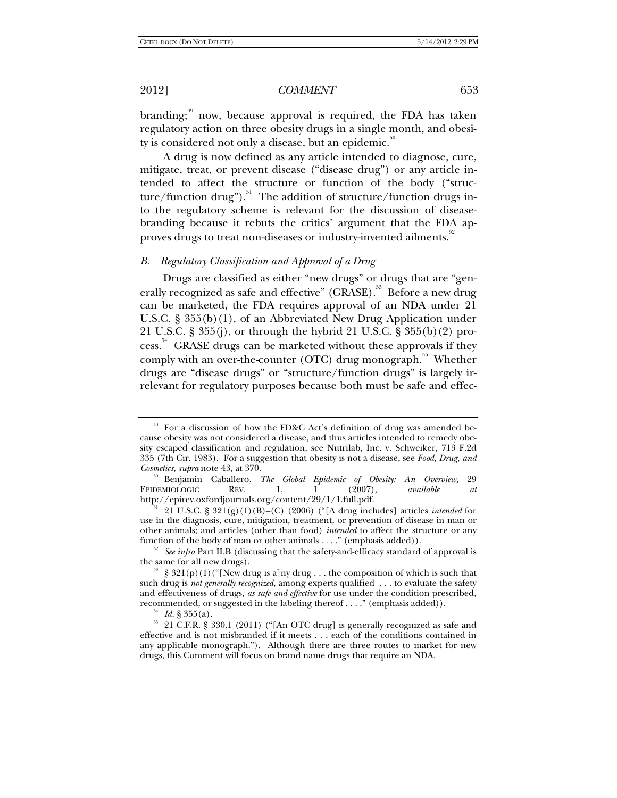branding; $\frac{49}{5}$  now, because approval is required, the FDA has taken regulatory action on three obesity drugs in a single month, and obesity is considered not only a disease, but an epidemic.<sup>50</sup>

A drug is now defined as any article intended to diagnose, cure, mitigate, treat, or prevent disease ("disease drug") or any article intended to affect the structure or function of the body ("structure/function drug").<sup>51</sup> The addition of structure/function drugs into the regulatory scheme is relevant for the discussion of diseasebranding because it rebuts the critics' argument that the FDA approves drugs to treat non-diseases or industry-invented ailments.<sup>52</sup>

### *B. Regulatory Classification and Approval of a Drug*

Drugs are classified as either "new drugs" or drugs that are "generally recognized as safe and effective" (GRASE).<sup>53</sup> Before a new drug can be marketed, the FDA requires approval of an NDA under 21 U.S.C. § 355(b)(1), of an Abbreviated New Drug Application under 21 U.S.C. § 355(j), or through the hybrid 21 U.S.C. § 355(b)(2) process.<sup>54</sup> GRASE drugs can be marketed without these approvals if they comply with an over-the-counter (OTC) drug monograph.<sup>55</sup> Whether drugs are "disease drugs" or "structure/function drugs" is largely irrelevant for regulatory purposes because both must be safe and effec-

 $\frac{52}{2}$  *See infra* Part II.B (discussing that the safety-and-efficacy standard of approval is the same for all new drugs).

<sup>&</sup>lt;sup>49</sup> For a discussion of how the FD&C Act's definition of drug was amended because obesity was not considered a disease, and thus articles intended to remedy obesity escaped classification and regulation, see Nutrilab, Inc. v. Schweiker, 713 F.2d 335 (7th Cir. 1983). For a suggestion that obesity is not a disease, see *Food, Drug, and* 

*Cosmetics*, *supra* note 43, at 370. 50 Benjamin Caballero, *The Global Epidemic of Obesity: An Overview*, 29 EPIDEMIOLOGIC REV. 1, 1 (2007), *available at* http://epirev.oxfordjournals.org/content/29/1/1.full.pdf. 51 21 U.S.C. § 321(g)(1)(B)–(C) (2006) ("[A drug includes] articles *intended* for

use in the diagnosis, cure, mitigation, treatment, or prevention of disease in man or other animals; and articles (other than food) *intended* to affect the structure or any function of the body of man or other animals . . . . " (emphasis added)).

<sup>&</sup>lt;sup>53</sup> § 321(p)(1)("[New drug is a]ny drug . . . the composition of which is such that such drug is *not generally recognized*, among experts qualified . . . to evaluate the safety and effectiveness of drugs, *as safe and effective* for use under the condition prescribed, recommended, or suggested in the labeling thereof . . . . " (emphasis added)).

<sup>&</sup>lt;sup>54</sup> Id. § 355(a).<br><sup>55</sup> 21 C.F.R. § 330.1 (2011) ("[An OTC drug] is generally recognized as safe and effective and is not misbranded if it meets . . . each of the conditions contained in any applicable monograph."). Although there are three routes to market for new drugs, this Comment will focus on brand name drugs that require an NDA.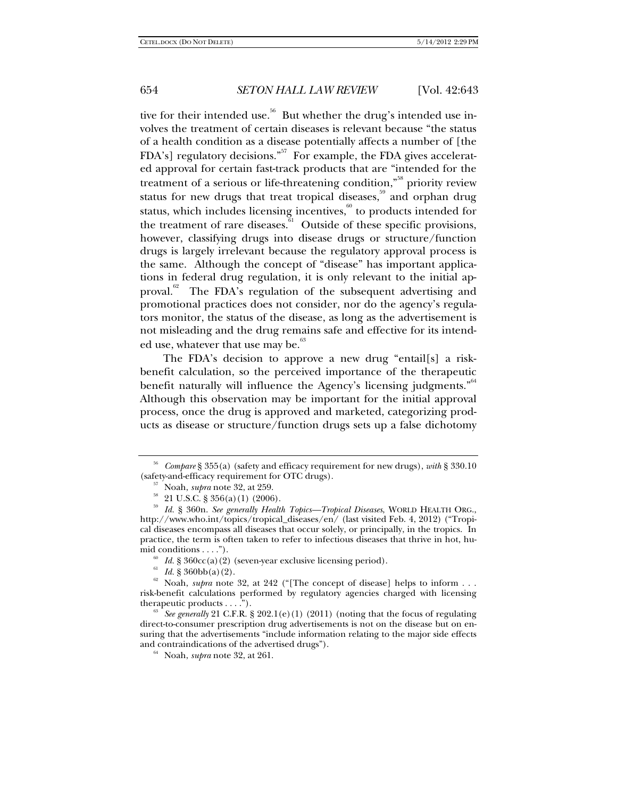tive for their intended use.<sup>56</sup> But whether the drug's intended use involves the treatment of certain diseases is relevant because "the status of a health condition as a disease potentially affects a number of [the FDA's] regulatory decisions."<sup>57</sup> For example, the FDA gives accelerated approval for certain fast-track products that are "intended for the treatment of a serious or life-threatening condition,"<sup>58</sup> priority review status for new drugs that treat tropical diseases,<sup>59</sup> and orphan drug status, which includes licensing incentives, $\frac{60}{30}$  to products intended for the treatment of rare diseases.<sup>61</sup> Outside of these specific provisions, however, classifying drugs into disease drugs or structure/function drugs is largely irrelevant because the regulatory approval process is the same. Although the concept of "disease" has important applications in federal drug regulation, it is only relevant to the initial approval.<sup>62</sup> The FDA's regulation of the subsequent advertising and promotional practices does not consider, nor do the agency's regulators monitor, the status of the disease, as long as the advertisement is not misleading and the drug remains safe and effective for its intended use, whatever that use may be.<sup>63</sup>

The FDA's decision to approve a new drug "entail[s] a riskbenefit calculation, so the perceived importance of the therapeutic benefit naturally will influence the Agency's licensing judgments."<sup>64</sup> Although this observation may be important for the initial approval process, once the drug is approved and marketed, categorizing products as disease or structure/function drugs sets up a false dichotomy

<sup>56</sup> *Compare* § 355(a) (safety and efficacy requirement for new drugs), *with* § 330.10 (safety-and-efficacy requirement for OTC drugs).<br> $^{57}$  Noah, *supra* note 32, at 259.

<sup>&</sup>lt;sup>58</sup> 21 U.S.C. § 356(a)(1) (2006).

<sup>59</sup> *Id.* § 360n. *See generally Health Topics—Tropical Diseases*, WORLD HEALTH ORG., http://www.who.int/topics/tropical\_diseases/en/ (last visited Feb. 4, 2012) ("Tropical diseases encompass all diseases that occur solely, or principally, in the tropics. In practice, the term is often taken to refer to infectious diseases that thrive in hot, humid conditions . . . .").<br><sup>60</sup> *Id*. § 360cc(a)(2) (seven-year exclusive licensing period).

<sup>&</sup>lt;sup>61</sup> *Id.* § 360bb(a)(2).  $\frac{62}{100}$  Noah, *supra* note 32, at 242 ("[The concept of disease] helps to inform . . . risk-benefit calculations performed by regulatory agencies charged with licensing

 $t<sup>63</sup>$  *See generally* 21 C.F.R. § 202.1(e)(1) (2011) (noting that the focus of regulating direct-to-consumer prescription drug advertisements is not on the disease but on ensuring that the advertisements "include information relating to the major side effects and contraindications of the advertised drugs"). 64 Noah, *supra* note 32, at 261.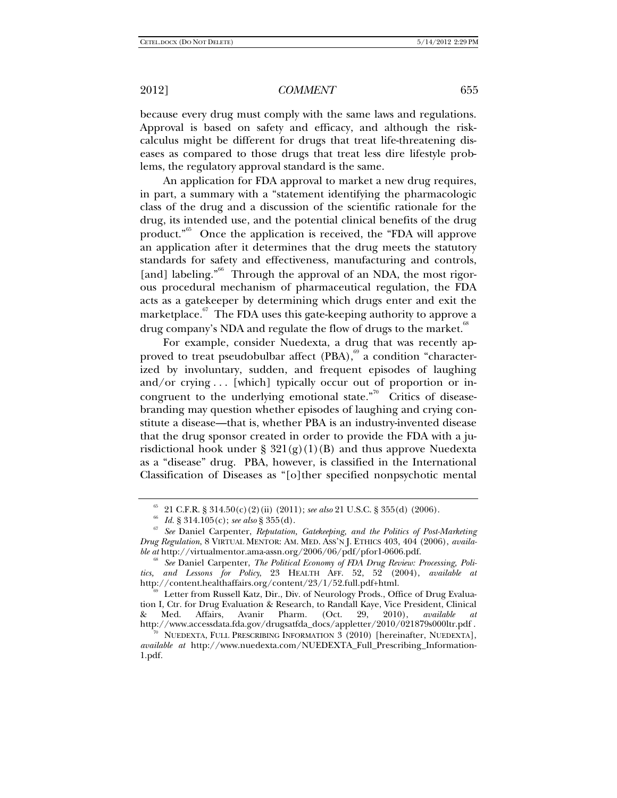because every drug must comply with the same laws and regulations. Approval is based on safety and efficacy, and although the riskcalculus might be different for drugs that treat life-threatening diseases as compared to those drugs that treat less dire lifestyle problems, the regulatory approval standard is the same.

An application for FDA approval to market a new drug requires, in part, a summary with a "statement identifying the pharmacologic class of the drug and a discussion of the scientific rationale for the drug, its intended use, and the potential clinical benefits of the drug product."65 Once the application is received, the "FDA will approve an application after it determines that the drug meets the statutory standards for safety and effectiveness, manufacturing and controls, [and] labeling."<sup>66</sup> Through the approval of an NDA, the most rigorous procedural mechanism of pharmaceutical regulation, the FDA acts as a gatekeeper by determining which drugs enter and exit the marketplace.<sup>67</sup> The FDA uses this gate-keeping authority to approve a drug company's NDA and regulate the flow of drugs to the market.<sup>68</sup>

For example, consider Nuedexta, a drug that was recently approved to treat pseudobulbar affect  $(PBA)$ ,  $\overset{\omega}{\ }$  a condition "characterized by involuntary, sudden, and frequent episodes of laughing and/or crying ... [which] typically occur out of proportion or incongruent to the underlying emotional state. $\mathbb{R}^{70}$  Critics of diseasebranding may question whether episodes of laughing and crying constitute a disease—that is, whether PBA is an industry-invented disease that the drug sponsor created in order to provide the FDA with a jurisdictional hook under  $\S 321(g)(1)(B)$  and thus approve Nuedexta as a "disease" drug. PBA, however, is classified in the International Classification of Diseases as "[o]ther specified nonpsychotic mental

<sup>&</sup>lt;sup>65</sup> 21 C.F.R. § 314.50(c)(2)(ii) (2011); see also 21 U.S.C. § 355(d) (2006).<br><sup>66</sup> Id. § 314.105(c); see also § 355(d).<br><sup>67</sup> See Daniel Carpenter, Reputation, Gatekeeping, and the Politics of Post-Marketing *Drug Regulation*, 8 VIRTUAL MENTOR: AM. MED. ASS'N J. ETHICS 403, 404 (2006), *availa-*

*ble at* http://virtualmentor.ama-assn.org/2006/06/pdf/pfor1-0606.pdf.<br>
<sup>68</sup> See Daniel Carpenter, *The Political Economy of FDA Drug Review: Processing, Politics, and Lessons for Policy*, 23 HEALTH AFF. 52, 52 (2004), *available at*  http://content.healthaffairs.org/content/23/1/52.full.pdf+html.

<sup>&</sup>lt;sup>59</sup> Letter from Russell Katz, Dir., Div. of Neurology Prods., Office of Drug Evaluation I, Ctr. for Drug Evaluation & Research, to Randall Kaye, Vice President, Clinical<br>& Med. Affairs, Avanir Pharm. (Oct. 29, 2010), available at & Med. Affairs, Avanir Pharm. (Oct. 29, 2010), *available at*  http://www.accessdata.fda.gov/drugsatfda\_docs/appletter/2010/021879s000ltr.pdf .<br><sup>70</sup> NUEDEXTA, FULL PRESCRIBING INFORMATION 3 (2010) [hereinafter, NUEDEXTA],

*available at* http://www.nuedexta.com/NUEDEXTA\_Full\_Prescribing\_Information-1.pdf.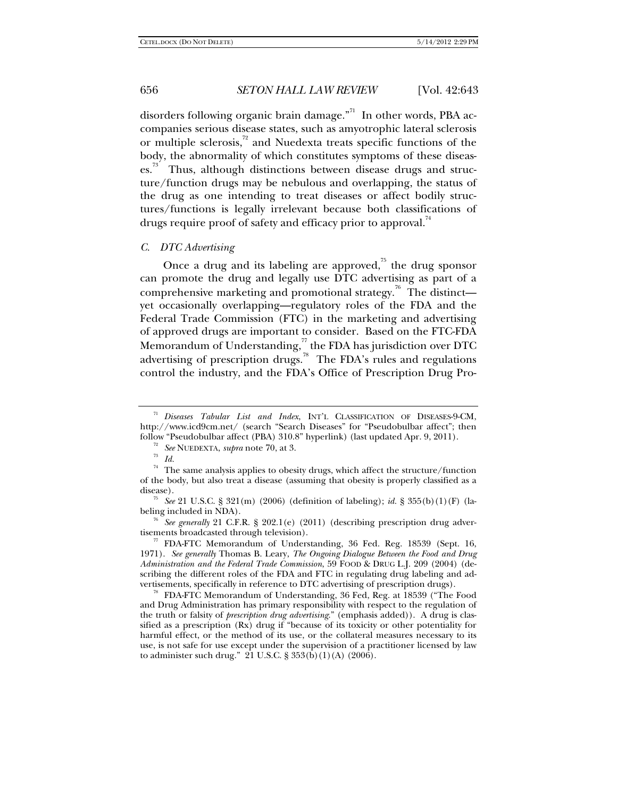disorders following organic brain damage."<sup>71</sup> In other words, PBA accompanies serious disease states, such as amyotrophic lateral sclerosis or multiple sclerosis, $^{72}$  and Nuedexta treats specific functions of the body, the abnormality of which constitutes symptoms of these diseas- $\text{e}^{\pi}$  Thus, although distinctions between disease drugs and structure/function drugs may be nebulous and overlapping, the status of the drug as one intending to treat diseases or affect bodily structures/functions is legally irrelevant because both classifications of drugs require proof of safety and efficacy prior to approval.<sup>74</sup>

### *C. DTC Advertising*

Once a drug and its labeling are approved, $\frac{75}{6}$  the drug sponsor can promote the drug and legally use DTC advertising as part of a comprehensive marketing and promotional strategy.<sup>76</sup> The distinct yet occasionally overlapping—regulatory roles of the FDA and the Federal Trade Commission (FTC) in the marketing and advertising of approved drugs are important to consider. Based on the FTC-FDA Memorandum of Understanding, $^{77}$  the FDA has jurisdiction over DTC advertising of prescription drugs. $\frac{78}{10}$  The FDA's rules and regulations control the industry, and the FDA's Office of Prescription Drug Pro-

See generally 21 C.F.R. § 202.1(e) (2011) (describing prescription drug advertisements broadcasted through television). <sup>77</sup> FDA-FTC Memorandum of Understanding, 36 Fed. Reg. 18539 (Sept. 16,

1971). *See generally* Thomas B. Leary, *The Ongoing Dialogue Between the Food and Drug Administration and the Federal Trade Commission*, 59 FOOD & DRUG L.J. 209 (2004) (describing the different roles of the FDA and FTC in regulating drug labeling and ad-

vertisements, specifically in reference to DTC advertising of prescription drugs). 78 FDA-FTC Memorandum of Understanding, 36 Fed, Reg. at 18539 ("The Food and Drug Administration has primary responsibility with respect to the regulation of the truth or falsity of *prescription drug advertising*." (emphasis added)). A drug is classified as a prescription (Rx) drug if "because of its toxicity or other potentiality for harmful effect, or the method of its use, or the collateral measures necessary to its use, is not safe for use except under the supervision of a practitioner licensed by law to administer such drug." 21 U.S.C. § 353(b)(1)(A) (2006).

<sup>71</sup> *Diseases Tabular List and Index*, INT'L CLASSIFICATION OF DISEASES-9-CM, http://www.icd9cm.net/ (search "Search Diseases" for "Pseudobulbar affect"; then follow "Pseudobulbar affect (PBA) 310.8" hyperlink) (last updated Apr. 9, 2011). 72 *See* NUEDEXTA, *supra* note 70, at 3. 73 *Id.*

 $74\,\,$  The same analysis applies to obesity drugs, which affect the structure/function of the body, but also treat a disease (assuming that obesity is properly classified as a

disease).<br><sup>75</sup> See 21 U.S.C. § 321(m) (2006) (definition of labeling); *id.* § 355(b)(1)(F) (labeling included in NDA).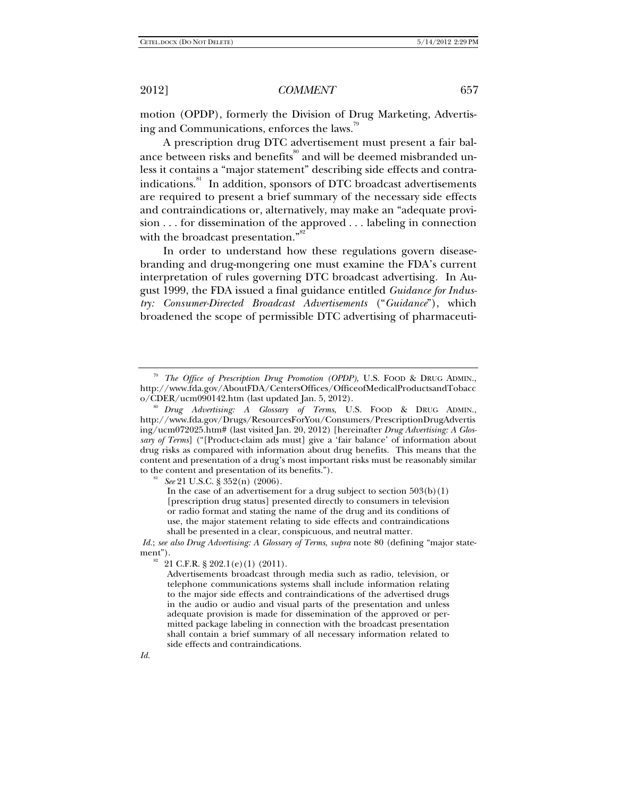motion (OPDP), formerly the Division of Drug Marketing, Advertising and Communications, enforces the laws. $\overline{r}$ 

A prescription drug DTC advertisement must present a fair balance between risks and benefits<sup>80</sup> and will be deemed misbranded unless it contains a "major statement" describing side effects and contraindications.<sup>81</sup> In addition, sponsors of DTC broadcast advertisements are required to present a brief summary of the necessary side effects and contraindications or, alternatively, may make an "adequate provision . . . for dissemination of the approved . . . labeling in connection with the broadcast presentation."<sup>82</sup>

In order to understand how these regulations govern diseasebranding and drug-mongering one must examine the FDA's current interpretation of rules governing DTC broadcast advertising. In August 1999, the FDA issued a final guidance entitled *Guidance for Industry: Consumer-Directed Broadcast Advertisements* ("*Guidance*"), which broadened the scope of permissible DTC advertising of pharmaceuti-

In the case of an advertisement for a drug subject to section  $503(b)(1)$ [prescription drug status] presented directly to consumers in television or radio format and stating the name of the drug and its conditions of use, the major statement relating to side effects and contraindications shall be presented in a clear, conspicuous, and neutral matter.

Id.; *see also Drug Advertising: A Glossary of Terms, supra* note 80 (defining "major state-ment").

 $21$  C.F.R. § 202.1(e)(1) (2011).

Advertisements broadcast through media such as radio, television, or telephone communications systems shall include information relating to the major side effects and contraindications of the advertised drugs in the audio or audio and visual parts of the presentation and unless adequate provision is made for dissemination of the approved or permitted package labeling in connection with the broadcast presentation shall contain a brief summary of all necessary information related to side effects and contraindications.

*Id.* 

<sup>79</sup> *The Office of Prescription Drug Promotion (OPDP)*, U.S. FOOD & DRUG ADMIN., http://www.fda.gov/AboutFDA/CentersOffices/OfficeofMedicalProductsandTobacc<br>o/CDER/ucm090142.htm (last updated Jan. 5, 2012).

<sup>&</sup>lt;sup>80</sup> Drug Advertising: A Glossary of Terms, U.S. FOOD & DRUG ADMIN., http://www.fda.gov/Drugs/ResourcesForYou/Consumers/PrescriptionDrugAdvertis ing/ucm072025.htm# (last visited Jan. 20, 2012) [hereinafter *Drug Advertising: A Glossary of Terms*] ("[Product-claim ads must] give a 'fair balance' of information about drug risks as compared with information about drug benefits. This means that the content and presentation of a drug's most important risks must be reasonably similar to the content and presentation of its benefits."). 81 *See* 21 U.S.C. § 352(n) (2006).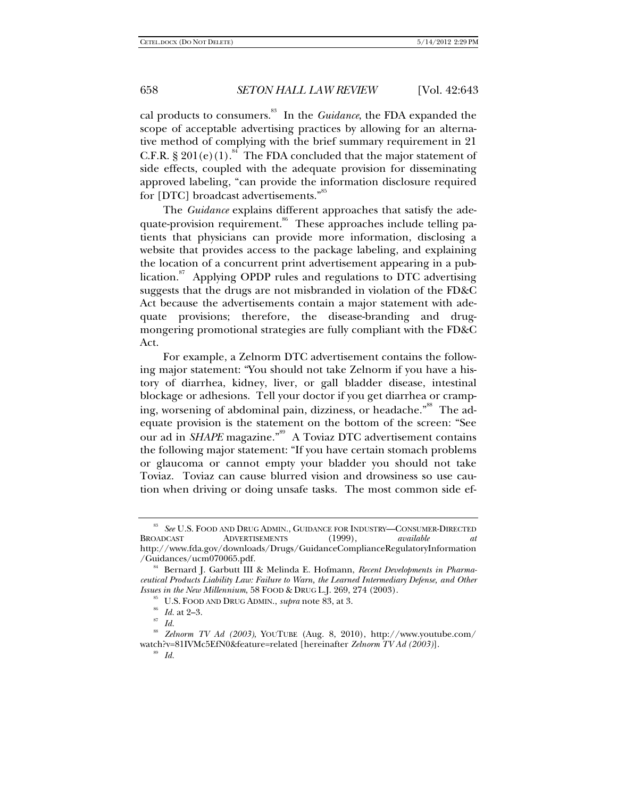cal products to consumers.83 In the *Guidance*, the FDA expanded the scope of acceptable advertising practices by allowing for an alternative method of complying with the brief summary requirement in 21 C.F.R. § 201(e)(1).<sup>84</sup> The FDA concluded that the major statement of side effects, coupled with the adequate provision for disseminating approved labeling, "can provide the information disclosure required for [DTC] broadcast advertisements."<sup>85</sup>

The *Guidance* explains different approaches that satisfy the adequate-provision requirement.<sup>86</sup> These approaches include telling patients that physicians can provide more information, disclosing a website that provides access to the package labeling, and explaining the location of a concurrent print advertisement appearing in a publication.<sup>87</sup> Applying OPDP rules and regulations to DTC advertising suggests that the drugs are not misbranded in violation of the FD&C Act because the advertisements contain a major statement with adequate provisions; therefore, the disease-branding and drugmongering promotional strategies are fully compliant with the FD&C Act.

For example, a Zelnorm DTC advertisement contains the following major statement: "You should not take Zelnorm if you have a history of diarrhea, kidney, liver, or gall bladder disease, intestinal blockage or adhesions. Tell your doctor if you get diarrhea or cramping, worsening of abdominal pain, dizziness, or headache."<sup>88</sup> The adequate provision is the statement on the bottom of the screen: "See our ad in *SHAPE* magazine."<sup>89</sup> A Toviaz DTC advertisement contains the following major statement: "If you have certain stomach problems or glaucoma or cannot empty your bladder you should not take Toviaz. Toviaz can cause blurred vision and drowsiness so use caution when driving or doing unsafe tasks. The most common side ef-

<sup>83</sup> *See* U.S. FOOD AND DRUG ADMIN., GUIDANCE FOR INDUSTRY—CONSUMER-DIRECTED BROADCAST ADVERTISEMENTS (1999), *available at*  http://www.fda.gov/downloads/Drugs/GuidanceComplianceRegulatoryInformation

<sup>&</sup>lt;sup>54</sup> Bernard J. Garbutt III & Melinda E. Hofmann, *Recent Developments in Pharmaceutical Products Liability Law: Failure to Warn, the Learned Intermediary Defense, and Other Issues in the New Millennium*, 58 FOOD & DRUG L.J. 269, 274 (2003). <sup>85</sup> U.S. FOOD AND DRUG ADMIN., *supra* note 83, at 3. <sup>87</sup> *Id.* 87<sup> *Id.*</sub></sup>

<sup>88</sup> *Zelnorm TV Ad (2003)*, YOUTUBE (Aug. 8, 2010), http://www.youtube.com/ watch?v=81IVMc5EfN0&feature=related [hereinafter *Zelnorm TV Ad (2003)*].<br><sup>89</sup> *Id.*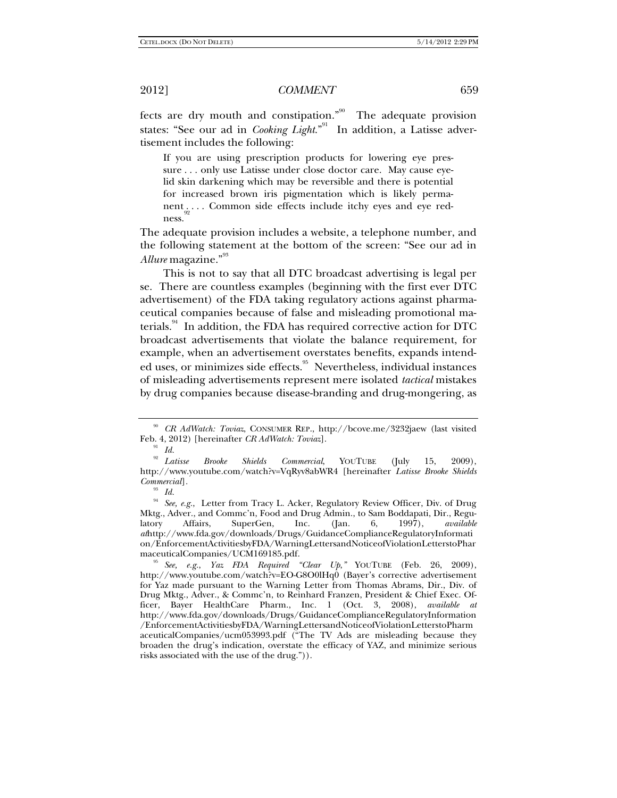fects are dry mouth and constipation."<sup>90</sup> The adequate provision states: "See our ad in *Cooking Light*."<sup>91</sup> In addition, a Latisse advertisement includes the following:

If you are using prescription products for lowering eye pressure . . . only use Latisse under close doctor care. May cause eyelid skin darkening which may be reversible and there is potential for increased brown iris pigmentation which is likely permanent ... Common side effects include itchy eyes and eye redness.

The adequate provision includes a website, a telephone number, and the following statement at the bottom of the screen: "See our ad in Allure magazine."<sup>93</sup>

This is not to say that all DTC broadcast advertising is legal per se. There are countless examples (beginning with the first ever DTC advertisement) of the FDA taking regulatory actions against pharmaceutical companies because of false and misleading promotional materials.<sup>94</sup> In addition, the FDA has required corrective action for DTC broadcast advertisements that violate the balance requirement, for example, when an advertisement overstates benefits, expands intended uses, or minimizes side effects.<sup>95</sup> Nevertheless, individual instances of misleading advertisements represent mere isolated *tactical* mistakes by drug companies because disease-branding and drug-mongering, as

<sup>90</sup> *CR AdWatch: Toviaz*, CONSUMER REP., http://bcove.me/3232jaew (last visited

Feb. 4, 2012) [hereinafter *CR AdWatch: Toviaz*].<br><sup>91</sup> *Id.*<br><sup>92</sup> *Latisse Brooke Shields Commercial*, <sup>92</sup> *Latisse Brooke Shields Commercial*, YOUTUBE (July 15, 2009), http://www.youtube.com/watch?v=VqRyv8abWR4 [hereinafter *Latisse Brooke Shields Commercial*]*.*

<sup>93</sup> *Id.*

<sup>94</sup> *See, e.g.*, Letter from Tracy L. Acker, Regulatory Review Officer, Div. of Drug Mktg., Adver., and Commc'n, Food and Drug Admin., to Sam Boddapati, Dir., Regulatory Affairs, SuperGen, Inc. (Jan. 6, 1997), *available at*http://www.fda.gov/downloads/Drugs/GuidanceComplianceRegulatoryInformati on/EnforcementActivitiesbyFDA/WarningLettersandNoticeofViolationLetterstoPhar

maceuticalCompanies/UCM169185.pdf. 95 *See, e.g.*, *Yaz FDA Required "Clear Up*,*"* YOUTUBE (Feb. 26, 2009), http://www.youtube.com/watch?v=EO-G8O0lHq0 (Bayer's corrective advertisement for Yaz made pursuant to the Warning Letter from Thomas Abrams, Dir., Div. of Drug Mktg., Adver., & Commc'n, to Reinhard Franzen, President & Chief Exec. Officer, Bayer HealthCare Pharm., Inc. 1 (Oct. 3, 2008), *available at*  http://www.fda.gov/downloads/Drugs/GuidanceComplianceRegulatoryInformation /EnforcementActivitiesbyFDA/WarningLettersandNoticeofViolationLetterstoPharm aceuticalCompanies/ucm053993.pdf ("The TV Ads are misleading because they broaden the drug's indication, overstate the efficacy of YAZ, and minimize serious risks associated with the use of the drug.")).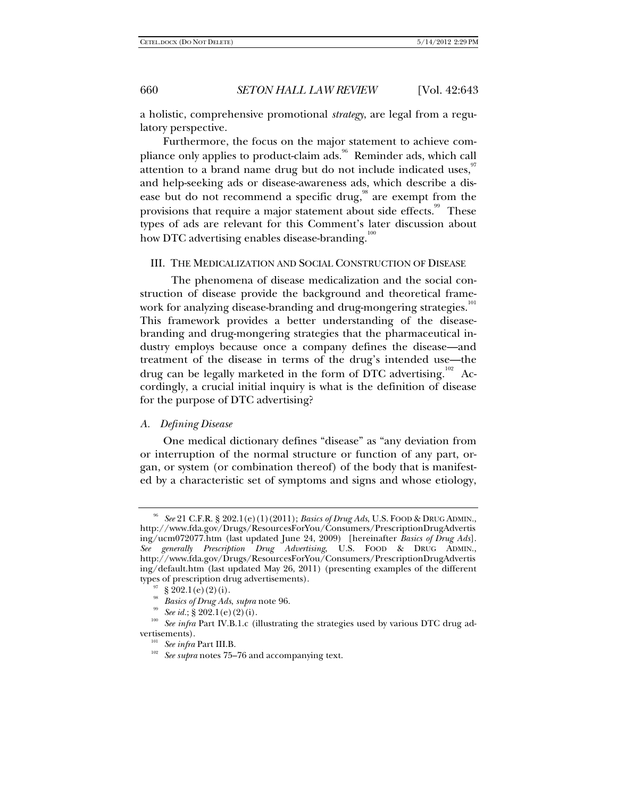a holistic, comprehensive promotional *strategy*, are legal from a regulatory perspective.

Furthermore, the focus on the major statement to achieve compliance only applies to product-claim ads.<sup>96</sup> Reminder ads, which call attention to a brand name drug but do not include indicated uses, $\frac{97}{97}$ and help-seeking ads or disease-awareness ads, which describe a disease but do not recommend a specific drug,<sup>98</sup> are exempt from the provisions that require a major statement about side effects.<sup>99</sup> These types of ads are relevant for this Comment's later discussion about how DTC advertising enables disease-branding.<sup>100</sup>

### III. THE MEDICALIZATION AND SOCIAL CONSTRUCTION OF DISEASE

 The phenomena of disease medicalization and the social construction of disease provide the background and theoretical framework for analyzing disease-branding and drug-mongering strategies.<sup>101</sup> This framework provides a better understanding of the diseasebranding and drug-mongering strategies that the pharmaceutical industry employs because once a company defines the disease—and treatment of the disease in terms of the drug's intended use—the drug can be legally marketed in the form of DTC advertising.<sup>102</sup> Accordingly, a crucial initial inquiry is what is the definition of disease for the purpose of DTC advertising?

### *A. Defining Disease*

One medical dictionary defines "disease" as "any deviation from or interruption of the normal structure or function of any part, organ, or system (or combination thereof) of the body that is manifested by a characteristic set of symptoms and signs and whose etiology,

<sup>96</sup> *See* 21 C.F.R. § 202.1(e)(1)(2011); *Basics of Drug Ads*, U.S. FOOD & DRUG ADMIN., http://www.fda.gov/Drugs/ResourcesForYou/Consumers/PrescriptionDrugAdvertis ing/ucm072077.htm (last updated June 24, 2009) [hereinafter *Basics of Drug Ads*]. *See generally Prescription Drug Advertising*, U.S. FOOD & DRUG ADMIN., http://www.fda.gov/Drugs/ResourcesForYou/Consumers/PrescriptionDrugAdvertis ing/default.htm (last updated May 26, 2011) (presenting examples of the different types of prescription drug advertisements).<br>
<sup>97</sup> § 202.1(e)(2)(i).<br>
<sup>98</sup> *Basics of Drug Ads, supra* note 96.

<sup>&</sup>lt;sup>99</sup> See id.; § 202.1(e)(2)(i).<br><sup>100</sup> See infra Part IV.B.1.c (illustrating the strategies used by various DTC drug advertisements).

<sup>&</sup>lt;sup>101</sup> See infra Part III.B.<br><sup>102</sup> See supra notes 75–76 and accompanying text.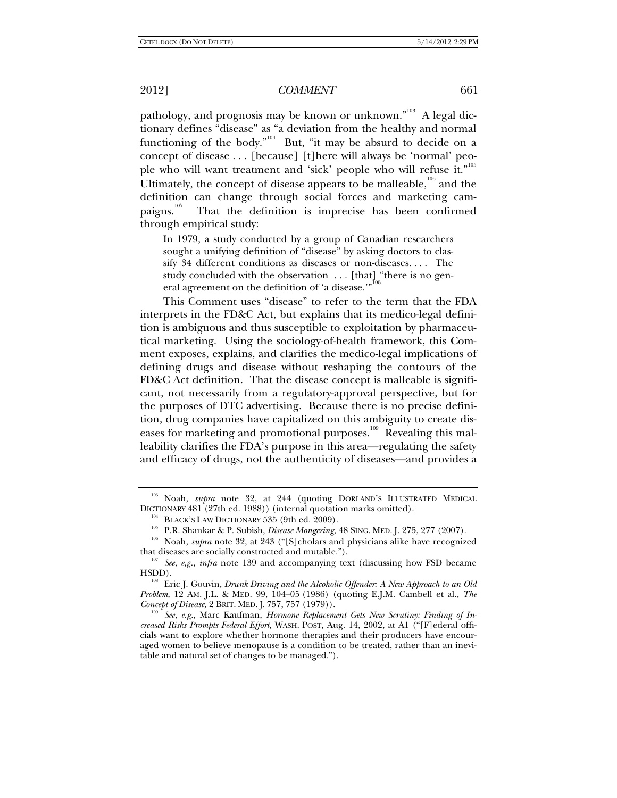pathology, and prognosis may be known or unknown."<sup>103</sup> A legal dictionary defines "disease" as "a deviation from the healthy and normal functioning of the body."<sup>104</sup> But, "it may be absurd to decide on a concept of disease . . . [because] [t]here will always be 'normal' people who will want treatment and 'sick' people who will refuse it."<sup>105</sup> Ultimately, the concept of disease appears to be malleable, $106$  and the definition can change through social forces and marketing campaigns.<sup>107</sup> That the definition is imprecise has been confirmed through empirical study:

In 1979, a study conducted by a group of Canadian researchers sought a unifying definition of "disease" by asking doctors to classify 34 different conditions as diseases or non-diseases. . . . The study concluded with the observation  $\dots$  [that] "there is no general agreement on the definition of 'a disease."

This Comment uses "disease" to refer to the term that the FDA interprets in the FD&C Act, but explains that its medico-legal definition is ambiguous and thus susceptible to exploitation by pharmaceutical marketing. Using the sociology-of-health framework, this Comment exposes, explains, and clarifies the medico-legal implications of defining drugs and disease without reshaping the contours of the FD&C Act definition. That the disease concept is malleable is significant, not necessarily from a regulatory-approval perspective, but for the purposes of DTC advertising. Because there is no precise definition, drug companies have capitalized on this ambiguity to create diseases for marketing and promotional purposes.<sup>109</sup> Revealing this malleability clarifies the FDA's purpose in this area—regulating the safety and efficacy of drugs, not the authenticity of diseases—and provides a

<sup>&</sup>lt;sup>103</sup> Noah, *supra* note 32, at 244 (quoting DORLAND'S ILLUSTRATED MEDICAL DICTIONARY 481 (27th ed. 1988)) (internal quotation marks omitted).

<sup>&</sup>lt;sup>104</sup> BLACK'S LAW DICTIONARY 535 (9th ed. 2009).<br><sup>105</sup> P.R. Shankar & P. Subish, *Disease Mongering*, 48 SING. MED. J. 275, 277 (2007).<br><sup>106</sup> Noah, *supra* note 32, at 243 ("[S]cholars and physicians alike have recognized

that diseases are socially constructed and mutable.").<br><sup>107</sup> *See, e,g., infra* note 139 and accompanying text (discussing how FSD became

HSDD). 108 Eric J. Gouvin, *Drunk Driving and the Alcoholic Offender: A New Approach to an Old Problem*, 12 AM. J.L. & MED. 99, 104–05 (1986) (quoting E.J.M. Cambell et al., *The* 

<sup>&</sup>lt;sup>109</sup> See, e.g., Marc Kaufman, *Hormone Replacement Gets New Scrutiny: Finding of Increased Risks Prompts Federal Effort*, WASH. POST, Aug. 14, 2002, at A1 ("[F]ederal officials want to explore whether hormone therapies and their producers have encouraged women to believe menopause is a condition to be treated, rather than an inevitable and natural set of changes to be managed.").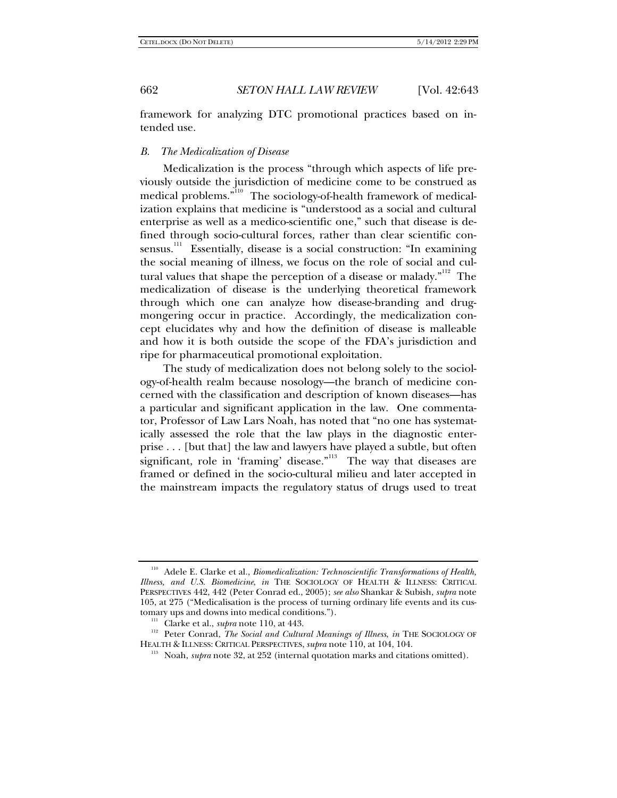framework for analyzing DTC promotional practices based on intended use.

### *B. The Medicalization of Disease*

Medicalization is the process "through which aspects of life previously outside the jurisdiction of medicine come to be construed as medical problems.<sup>"110</sup> The sociology-of-health framework of medicalization explains that medicine is "understood as a social and cultural enterprise as well as a medico-scientific one," such that disease is defined through socio-cultural forces, rather than clear scientific consensus.<sup>111</sup> Essentially, disease is a social construction: "In examining the social meaning of illness, we focus on the role of social and cultural values that shape the perception of a disease or malady. $^{\rm ^{112}}$  The medicalization of disease is the underlying theoretical framework through which one can analyze how disease-branding and drugmongering occur in practice. Accordingly, the medicalization concept elucidates why and how the definition of disease is malleable and how it is both outside the scope of the FDA's jurisdiction and ripe for pharmaceutical promotional exploitation.

The study of medicalization does not belong solely to the sociology-of-health realm because nosology—the branch of medicine concerned with the classification and description of known diseases—has a particular and significant application in the law. One commentator, Professor of Law Lars Noah, has noted that "no one has systematically assessed the role that the law plays in the diagnostic enterprise . . . [but that] the law and lawyers have played a subtle, but often significant, role in 'framing' disease."<sup>113</sup> The way that diseases are framed or defined in the socio-cultural milieu and later accepted in the mainstream impacts the regulatory status of drugs used to treat

<sup>110</sup> Adele E. Clarke et al., *Biomedicalization: Technoscientific Transformations of Health, Illness, and U.S. Biomedicine*, *in* THE SOCIOLOGY OF HEALTH & ILLNESS: CRITICAL PERSPECTIVES 442, 442 (Peter Conrad ed., 2005); *see also* Shankar & Subish, *supra* note 105, at 275 ("Medicalisation is the process of turning ordinary life events and its cus-

<sup>&</sup>lt;sup>111</sup> Clarke et al., *supra* note 110, at 443.<br><sup>112</sup> Peter Conrad, *The Social and Cultural Meanings of Illness*, *in* THE SOCIOLOGY OF<br>HEALTH & ILLNESS: CRITICAL PERSPECTIVES, *supra* note 110, at 104, 104.

<sup>&</sup>lt;sup>113</sup> Noah, *supra* note 32, at 252 (internal quotation marks and citations omitted).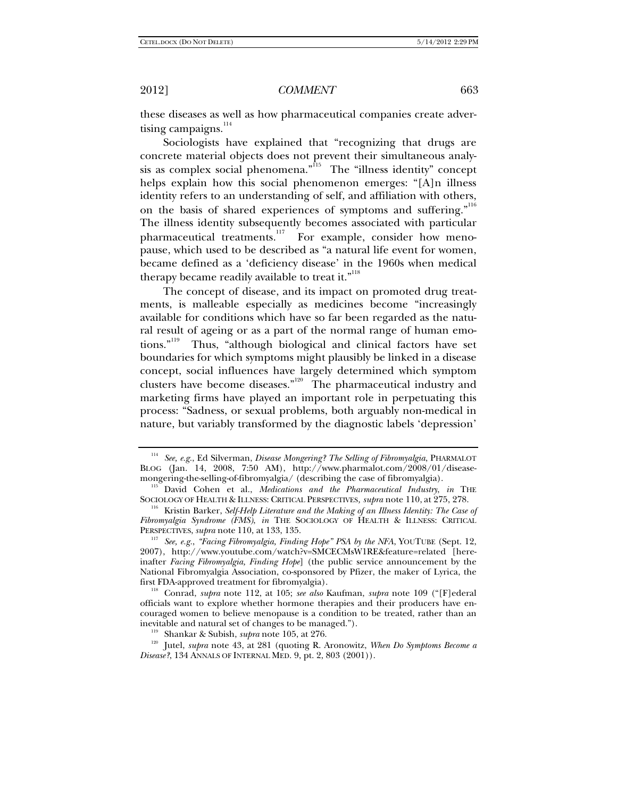these diseases as well as how pharmaceutical companies create advertising campaigns.<sup>114</sup>

Sociologists have explained that "recognizing that drugs are concrete material objects does not prevent their simultaneous analysis as complex social phenomena."<sup>115</sup> The "illness identity" concept helps explain how this social phenomenon emerges: "[A]n illness identity refers to an understanding of self, and affiliation with others, on the basis of shared experiences of symptoms and suffering."<sup>116</sup> The illness identity subsequently becomes associated with particular pharmaceutical treatments. $117$  For example, consider how menopause, which used to be described as "a natural life event for women, became defined as a 'deficiency disease' in the 1960s when medical therapy became readily available to treat it."<sup>118</sup>

The concept of disease, and its impact on promoted drug treatments, is malleable especially as medicines become "increasingly available for conditions which have so far been regarded as the natural result of ageing or as a part of the normal range of human emotions."119 Thus, "although biological and clinical factors have set boundaries for which symptoms might plausibly be linked in a disease concept, social influences have largely determined which symptom clusters have become diseases."120 The pharmaceutical industry and marketing firms have played an important role in perpetuating this process: "Sadness, or sexual problems, both arguably non-medical in nature, but variably transformed by the diagnostic labels 'depression'

<sup>114</sup> *See, e.g.*, Ed Silverman, *Disease Mongering? The Selling of Fibromyalgia*, PHARMALOT BLOG (Jan. 14, 2008, 7:50 AM), http://www.pharmalot.com/2008/01/diseasemongering-the-selling-of-fibromyalgia/ (describing the case of fibromyalgia).

<sup>115</sup> David Cohen et al., *Medications and the Pharmaceutical Industry*, *in* THE SOCIOLOGY OF HEALTH & ILLNESS: CRITICAL PERSPECTIVES*, supra* note 110, at 275, 278. 116 Kristin Barker, *Self-Help Literature and the Making of an Illness Identity: The Case of* 

*Fibromyalgia Syndrome (FMS)*, *in* THE SOCIOLOGY OF HEALTH & ILLNESS: CRITICAL PERSPECTIVES, *supra* note 110, at 133, 135.

<sup>&</sup>lt;sup>117</sup> See, e.g., *"Facing Fibromyalgia, Finding Hope" PSA by the NFA*, YOUTUBE (Sept. 12, 2007), http://www.youtube.com/watch?v=SMCECMsW1RE&feature=related [hereinafter *Facing Fibromyalgia, Finding Hope*] (the public service announcement by the National Fibromyalgia Association, co-sponsored by Pfizer, the maker of Lyrica, the

<sup>&</sup>lt;sup>118</sup> Conrad, *supra* note 112, at 105; *see also* Kaufman, *supra* note 109 ("[F]ederal officials want to explore whether hormone therapies and their producers have encouraged women to believe menopause is a condition to be treated, rather than an inevitable and natural set of changes to be managed.").<br><sup>119</sup> Shankar & Subish, *supra* note 105, at 276.<br><sup>120</sup> Jutel, *supra* note 43, at 281 (quoting R. Aronowitz, *When Do Symptoms Become a* 

*Disease?*, 134 ANNALS OF INTERNAL MED. 9, pt. 2, 803 (2001)).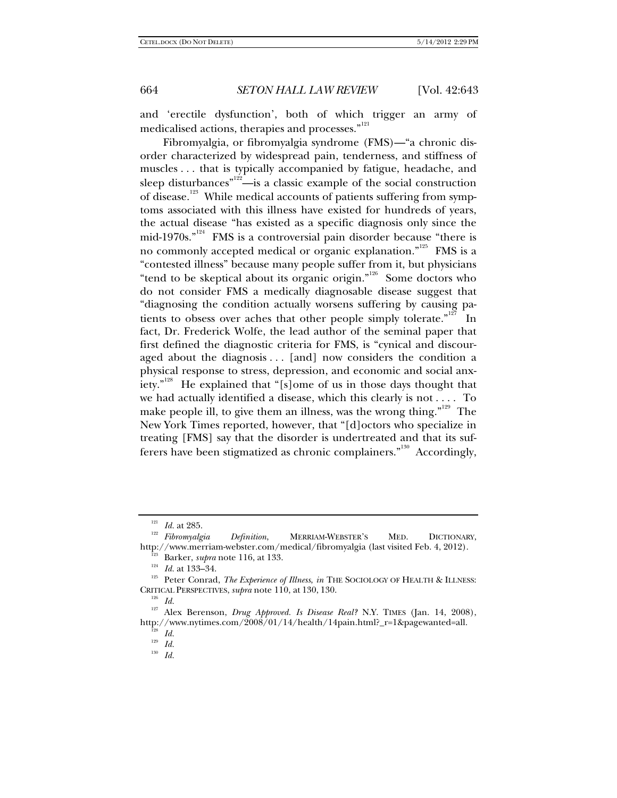and 'erectile dysfunction', both of which trigger an army of medicalised actions, therapies and processes."<sup>121</sup>

Fibromyalgia, or fibromyalgia syndrome (FMS)—"a chronic disorder characterized by widespread pain, tenderness, and stiffness of muscles . . . that is typically accompanied by fatigue, headache, and sleep disturbances"<sup>122</sup>—is a classic example of the social construction of disease.<sup>123</sup> While medical accounts of patients suffering from symptoms associated with this illness have existed for hundreds of years, the actual disease "has existed as a specific diagnosis only since the  $mid-1970s.$ <sup> $n^{124}$ </sup> FMS is a controversial pain disorder because "there is no commonly accepted medical or organic explanation."<sup>125</sup> FMS is a "contested illness" because many people suffer from it, but physicians "tend to be skeptical about its organic origin."<sup>126</sup> Some doctors who do not consider FMS a medically diagnosable disease suggest that "diagnosing the condition actually worsens suffering by causing patients to obsess over aches that other people simply tolerate."<sup>127</sup> In fact, Dr. Frederick Wolfe, the lead author of the seminal paper that first defined the diagnostic criteria for FMS, is "cynical and discouraged about the diagnosis . . . [and] now considers the condition a physical response to stress, depression, and economic and social anxiety."<sup>128</sup> He explained that "[s]ome of us in those days thought that we had actually identified a disease, which this clearly is not . . . . To make people ill, to give them an illness, was the wrong thing."<sup>129</sup> The New York Times reported, however, that "[d]octors who specialize in treating [FMS] say that the disorder is undertreated and that its sufferers have been stigmatized as chronic complainers.<sup> $n^{130}$ </sup> Accordingly,

<sup>&</sup>lt;sup>121</sup> Id. at 285.<br><sup>122</sup> Fibromyalgia Definition, MERRIAM-WEBSTER'S MED. DICTIONARY,<br>http://www.merriam-webster.com/medical/fibromyalgia (last visited Feb. 4, 2012).

<sup>&</sup>lt;sup>123</sup> Barker, *supra* note 116, at 133.<br><sup>124</sup> *Id.* at 133–34.<br><sup>125</sup> Peter Conrad, *The Experience of Illness, in* THE SOCIOLOGY OF HEALTH & ILLNESS: CRITICAL PERSPECTIVES, *supra* note 110, at 130, 130. 126 *Id.*

<sup>&</sup>lt;sup>127</sup> Alex Berenson, *Drug Approved. Is Disease Real?* N.Y. TIMES (Jan. 14, 2008), http://www.nytimes.com/2008/01/14/health/14pain.html?\_r=1&pagewanted=all. 128 *Id.*

 $129$  *Id.* 

<sup>130</sup> *Id.*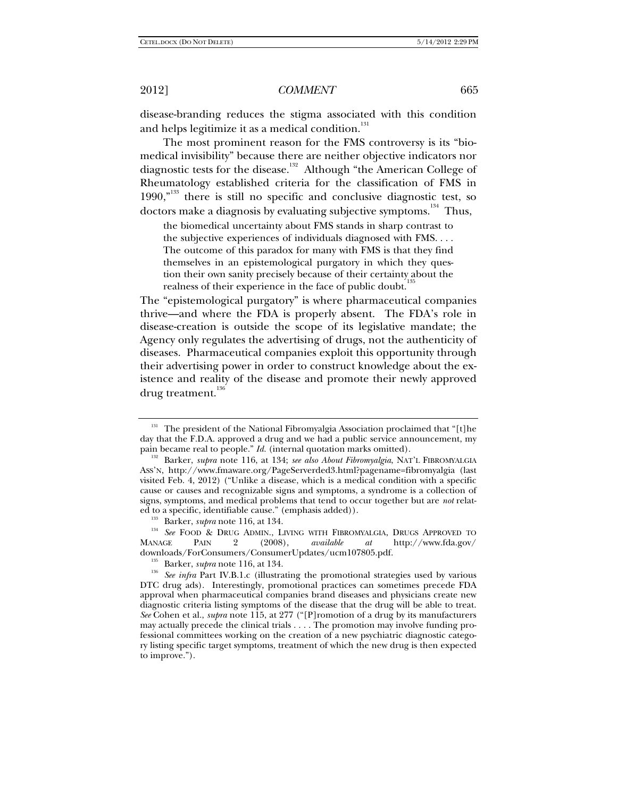disease-branding reduces the stigma associated with this condition and helps legitimize it as a medical condition.<sup>131</sup>

The most prominent reason for the FMS controversy is its "biomedical invisibility" because there are neither objective indicators nor diagnostic tests for the disease.<sup>132</sup> Although "the American College of Rheumatology established criteria for the classification of FMS in 1990,"<sup>133</sup> there is still no specific and conclusive diagnostic test, so doctors make a diagnosis by evaluating subjective symptoms.<sup>134</sup> Thus,

the biomedical uncertainty about FMS stands in sharp contrast to the subjective experiences of individuals diagnosed with FMS. . . . The outcome of this paradox for many with FMS is that they find themselves in an epistemological purgatory in which they question their own sanity precisely because of their certainty about the realness of their experience in the face of public doubt.<sup>1</sup>

The "epistemological purgatory" is where pharmaceutical companies thrive—and where the FDA is properly absent. The FDA's role in disease-creation is outside the scope of its legislative mandate; the Agency only regulates the advertising of drugs, not the authenticity of diseases. Pharmaceutical companies exploit this opportunity through their advertising power in order to construct knowledge about the existence and reality of the disease and promote their newly approved drug treatment.<sup>136</sup>

<sup>134</sup> See FOOD & DRUG ADMIN., LIVING WITH FIBROMYALGIA, DRUGS APPROVED TO MANAGE PAIN 2 (2008), *available at* http://www.fda.gov/ MANAGE PAIN 2 (2008), *available at* http://www.fda.gov/

<sup>&</sup>lt;sup>131</sup> The president of the National Fibromyalgia Association proclaimed that "[t]he day that the F.D.A. approved a drug and we had a public service announcement, my pain became real to people."  $Id$ . (internal quotation marks omitted).

<sup>&</sup>lt;sup>132</sup> Barker, *supra* note 116, at 134; *see also About Fibromyalgia*, NAT'L FIBROMYALGIA ASS'N, http://www.fmaware.org/PageServerded3.html?pagename=fibromyalgia (last visited Feb. 4, 2012) ("Unlike a disease, which is a medical condition with a specific cause or causes and recognizable signs and symptoms, a syndrome is a collection of signs, symptoms, and medical problems that tend to occur together but are *not* related to a specific, identifiable cause." (emphasis added)).<br>  $^{133}$  Barker, *supra* note 116, at 134.

<sup>&</sup>lt;sup>135</sup> Barker, *supra* note 116, at 134. 135 Barker, *supra* note 116, at 134. Is *See infra* Part IV.B.1.c (illustrating the promotional strategies used by various DTC drug ads). Interestingly, promotional practices can sometimes precede FDA approval when pharmaceutical companies brand diseases and physicians create new diagnostic criteria listing symptoms of the disease that the drug will be able to treat. *See* Cohen et al., *supra* note 115, at 277 ("[P]romotion of a drug by its manufacturers may actually precede the clinical trials . . . . The promotion may involve funding professional committees working on the creation of a new psychiatric diagnostic category listing specific target symptoms, treatment of which the new drug is then expected to improve.").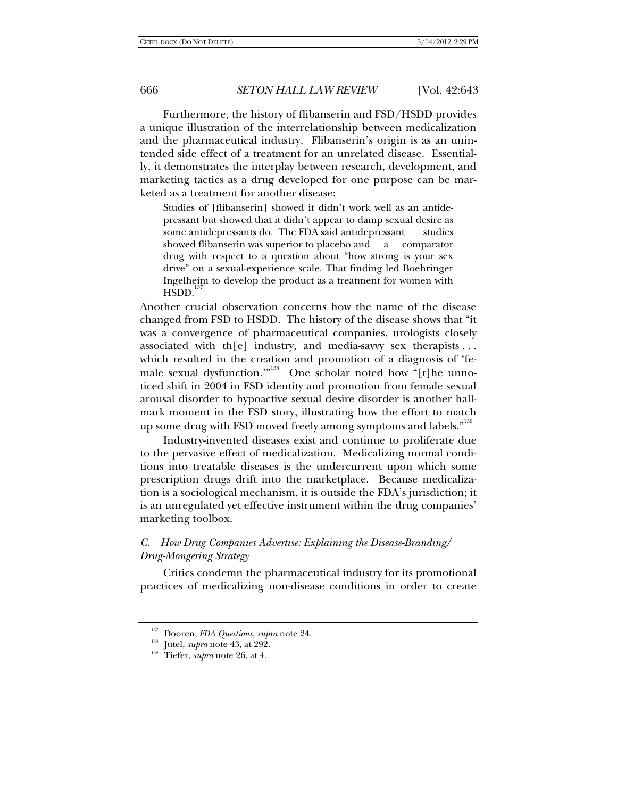Furthermore, the history of flibanserin and FSD/HSDD provides a unique illustration of the interrelationship between medicalization and the pharmaceutical industry. Flibanserin's origin is as an unintended side effect of a treatment for an unrelated disease. Essentially, it demonstrates the interplay between research, development, and marketing tactics as a drug developed for one purpose can be marketed as a treatment for another disease:

Studies of [flibanserin] showed it didn't work well as an antidepressant but showed that it didn't appear to damp sexual desire as some antidepressants do. The FDA said antidepressant studies showed flibanserin was superior to placebo and a comparator drug with respect to a question about "how strong is your sex drive" on a sexual-experience scale. That finding led Boehringer Ingelheim to develop the product as a treatment for women with  $HSDD.<sup>137</sup>$ 

Another crucial observation concerns how the name of the disease changed from FSD to HSDD. The history of the disease shows that "it was a convergence of pharmaceutical companies, urologists closely associated with th $[e]$  industry, and media-savvy sex therapists... which resulted in the creation and promotion of a diagnosis of 'female sexual dysfunction."<sup>138</sup> One scholar noted how "[t]he unnoticed shift in 2004 in FSD identity and promotion from female sexual arousal disorder to hypoactive sexual desire disorder is another hallmark moment in the FSD story, illustrating how the effort to match up some drug with FSD moved freely among symptoms and labels."<sup>139</sup>

Industry-invented diseases exist and continue to proliferate due to the pervasive effect of medicalization. Medicalizing normal conditions into treatable diseases is the undercurrent upon which some prescription drugs drift into the marketplace. Because medicalization is a sociological mechanism, it is outside the FDA's jurisdiction; it is an unregulated yet effective instrument within the drug companies' marketing toolbox.

## *C. How Drug Companies Advertise: Explaining the Disease-Branding/ Drug-Mongering Strategy*

Critics condemn the pharmaceutical industry for its promotional practices of medicalizing non-disease conditions in order to create

<sup>137</sup> Dooren, *FDA Questions*, *supra* note 24. 138 Jutel, *supra* note 43, at 292. 139 Tiefer, *supra* note 26, at 4.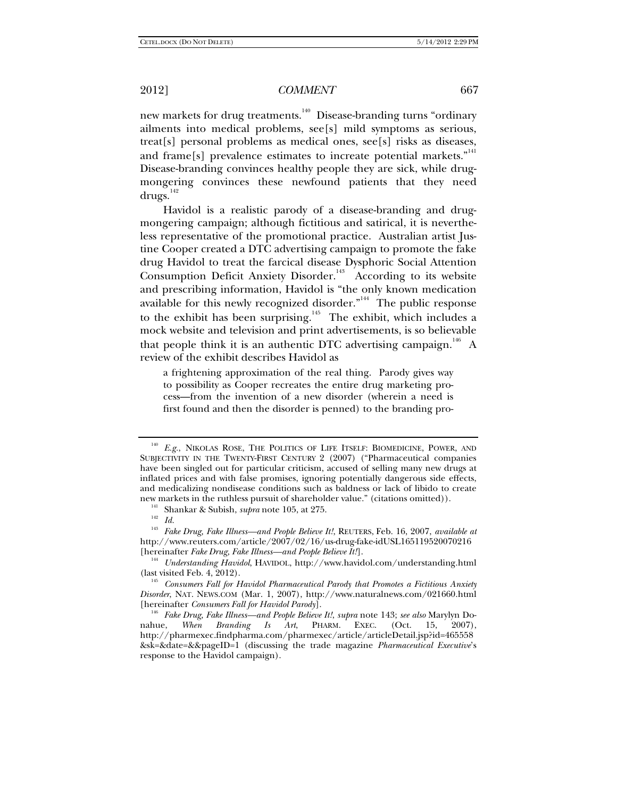new markets for drug treatments.<sup>140</sup> Disease-branding turns "ordinary ailments into medical problems, see[s] mild symptoms as serious, treat[s] personal problems as medical ones, see[s] risks as diseases, and frame[s] prevalence estimates to increate potential markets."<sup>141</sup> Disease-branding convinces healthy people they are sick, while drugmongering convinces these newfound patients that they need  $drugs.<sup>142</sup>$ 

Havidol is a realistic parody of a disease-branding and drugmongering campaign; although fictitious and satirical, it is nevertheless representative of the promotional practice. Australian artist Justine Cooper created a DTC advertising campaign to promote the fake drug Havidol to treat the farcical disease Dysphoric Social Attention Consumption Deficit Anxiety Disorder.<sup>143</sup> According to its website and prescribing information, Havidol is "the only known medication available for this newly recognized disorder."<sup>144</sup> The public response to the exhibit has been surprising.<sup>145</sup> The exhibit, which includes a mock website and television and print advertisements, is so believable that people think it is an authentic DTC advertising campaign.<sup>146</sup> A review of the exhibit describes Havidol as

a frightening approximation of the real thing. Parody gives way to possibility as Cooper recreates the entire drug marketing process—from the invention of a new disorder (wherein a need is first found and then the disorder is penned) to the branding pro-

<sup>&</sup>lt;sup>140</sup> E.g., NIKOLAS ROSE, THE POLITICS OF LIFE ITSELF: BIOMEDICINE, POWER, AND SUBJECTIVITY IN THE TWENTY-FIRST CENTURY 2 (2007) ("Pharmaceutical companies have been singled out for particular criticism, accused of selling many new drugs at inflated prices and with false promises, ignoring potentially dangerous side effects, and medicalizing nondisease conditions such as baldness or lack of libido to create new markets in the ruthless pursuit of shareholder value." (citations omitted)). The Shankar & Subish, *supra* note 105, at 275. The  $H^2$ 

<sup>143</sup> *Fake Drug, Fake Illness—and People Believe It!*, REUTERS, Feb. 16, 2007, *available at* http://www.reuters.com/article/2007/02/16/us-drug-fake-idUSL165119520070216

<sup>[</sup>hereinafter *Fake Drug, Fake Illness—and People Believe It!*]. 144 *Understanding Havidol*, HAVIDOL, http://www.havidol.com/understanding.html

<sup>(</sup>last visited Feb. 4, 2012). 145 *Consumers Fall for Havidol Pharmaceutical Parody that Promotes a Fictitious Anxiety Disorder*, NAT. NEWS.COM (Mar. 1, 2007), http://www.naturalnews.com/021660.html

<sup>&</sup>lt;sup>146</sup> Fake Drug, Fake Illness—and People Believe It!, supra note 143; *see also* Marylyn Do-<br>hue, When Branding Is Art, PHARM. EXEC. (Oct. 15, 2007), nahue, *When Branding Is Art*, PHARM. EXEC. (Oct. http://pharmexec.findpharma.com/pharmexec/article/articleDetail.jsp?id=465558 &sk=&date=&&pageID=1 (discussing the trade magazine *Pharmaceutical Executive*'s response to the Havidol campaign).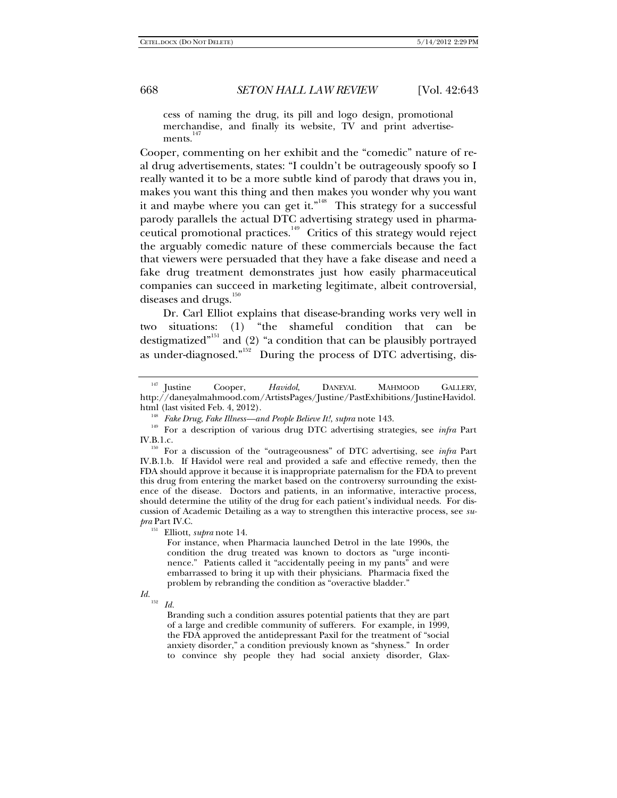cess of naming the drug, its pill and logo design, promotional merchandise, and finally its website, TV and print advertisements.<sup>14</sup>

Cooper, commenting on her exhibit and the "comedic" nature of real drug advertisements, states: "I couldn't be outrageously spoofy so I really wanted it to be a more subtle kind of parody that draws you in, makes you want this thing and then makes you wonder why you want it and maybe where you can get it."<sup>148</sup> This strategy for a successful parody parallels the actual DTC advertising strategy used in pharmaceutical promotional practices.<sup>149</sup> Critics of this strategy would reject the arguably comedic nature of these commercials because the fact that viewers were persuaded that they have a fake disease and need a fake drug treatment demonstrates just how easily pharmaceutical companies can succeed in marketing legitimate, albeit controversial, diseases and drugs. $150$ 

Dr. Carl Elliot explains that disease-branding works very well in two situations: (1) "the shameful condition that can be destigmatized"<sup>151</sup> and  $(2)$  "a condition that can be plausibly portrayed as under-diagnosed."152 During the process of DTC advertising, dis-

151 Elliott, *supra* note 14.

For instance, when Pharmacia launched Detrol in the late 1990s, the condition the drug treated was known to doctors as "urge incontinence." Patients called it "accidentally peeing in my pants" and were embarrassed to bring it up with their physicians. Pharmacia fixed the problem by rebranding the condition as "overactive bladder."

*Id.*

<sup>152</sup> *Id.*

Branding such a condition assures potential patients that they are part of a large and credible community of sufferers. For example, in 1999, the FDA approved the antidepressant Paxil for the treatment of "social anxiety disorder," a condition previously known as "shyness." In order to convince shy people they had social anxiety disorder, Glax-

<sup>147</sup> Justine Cooper, *Havidol*, DANEYAL MAHMOOD GALLERY, http://daneyalmahmood.com/ArtistsPages/Justine/PastExhibitions/JustineHavidol.

html (last visited Feb. 4, 2012).<br><sup>148</sup> *Fake Drug, Fake Illness—and People Believe It!, supra* note 143.<br><sup>149</sup> For a description of various drug DTC advertising strategies, see *infra* Part<br>IV.B.1.c.

<sup>&</sup>lt;sup>150</sup> For a discussion of the "outrageousness" of DTC advertising, see infra Part IV.B.1.b. If Havidol were real and provided a safe and effective remedy, then the FDA should approve it because it is inappropriate paternalism for the FDA to prevent this drug from entering the market based on the controversy surrounding the existence of the disease. Doctors and patients, in an informative, interactive process, should determine the utility of the drug for each patient's individual needs. For discussion of Academic Detailing as a way to strengthen this interactive process, see *supra* Part IV.C.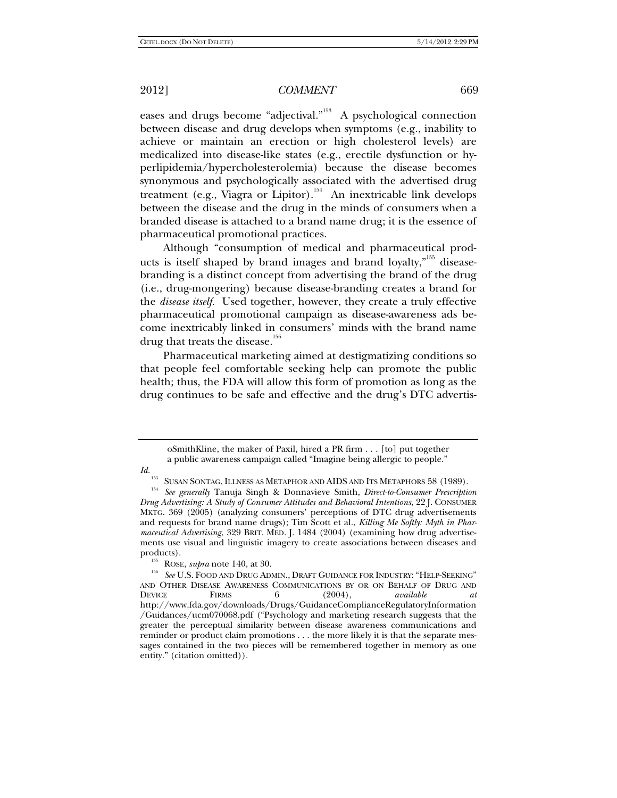eases and drugs become "adjectival."<sup>153</sup> A psychological connection between disease and drug develops when symptoms (e.g., inability to achieve or maintain an erection or high cholesterol levels) are medicalized into disease-like states (e.g., erectile dysfunction or hyperlipidemia/hypercholesterolemia) because the disease becomes synonymous and psychologically associated with the advertised drug treatment (e.g., Viagra or Lipitor).<sup>154</sup> An inextricable link develops between the disease and the drug in the minds of consumers when a branded disease is attached to a brand name drug; it is the essence of pharmaceutical promotional practices.

Although "consumption of medical and pharmaceutical products is itself shaped by brand images and brand loyalty,"<sup>155</sup> diseasebranding is a distinct concept from advertising the brand of the drug (i.e., drug-mongering) because disease-branding creates a brand for the *disease itself.* Used together, however, they create a truly effective pharmaceutical promotional campaign as disease-awareness ads become inextricably linked in consumers' minds with the brand name drug that treats the disease.<sup>156</sup>

Pharmaceutical marketing aimed at destigmatizing conditions so that people feel comfortable seeking help can promote the public health; thus, the FDA will allow this form of promotion as long as the drug continues to be safe and effective and the drug's DTC advertis-

*Id.*

oSmithKline, the maker of Paxil, hired a PR firm . . . [to] put together a public awareness campaign called "Imagine being allergic to people."

<sup>153</sup> SUSAN SONTAG, ILLNESS AS METAPHOR AND AIDS AND ITS METAPHORS 58 (1989). 154 *See generally* Tanuja Singh & Donnavieve Smith, *Direct-to-Consumer Prescription Drug Advertising: A Study of Consumer Attitudes and Behavioral Intentions*, 22 J. CONSUMER MKTG. 369 (2005) (analyzing consumers' perceptions of DTC drug advertisements and requests for brand name drugs); Tim Scott et al., *Killing Me Softly: Myth in Pharmaceutical Advertising*, 329 BRIT. MED. J. 1484 (2004) (examining how drug advertisements use visual and linguistic imagery to create associations between diseases and products).<br><sup>155</sup> ROSE, *supra* note 140, at 30.

<sup>&</sup>lt;sup>156</sup> See U.S. FOOD AND DRUG ADMIN., DRAFT GUIDANCE FOR INDUSTRY: "HELP-SEEKING" AND OTHER DISEASE AWARENESS COMMUNICATIONS BY OR ON BEHALF OF DRUG AND DEVICE FIRMS 6 (2004), *available at*  http://www.fda.gov/downloads/Drugs/GuidanceComplianceRegulatoryInformation /Guidances/ucm070068.pdf ("Psychology and marketing research suggests that the greater the perceptual similarity between disease awareness communications and reminder or product claim promotions . . . the more likely it is that the separate messages contained in the two pieces will be remembered together in memory as one entity." (citation omitted)).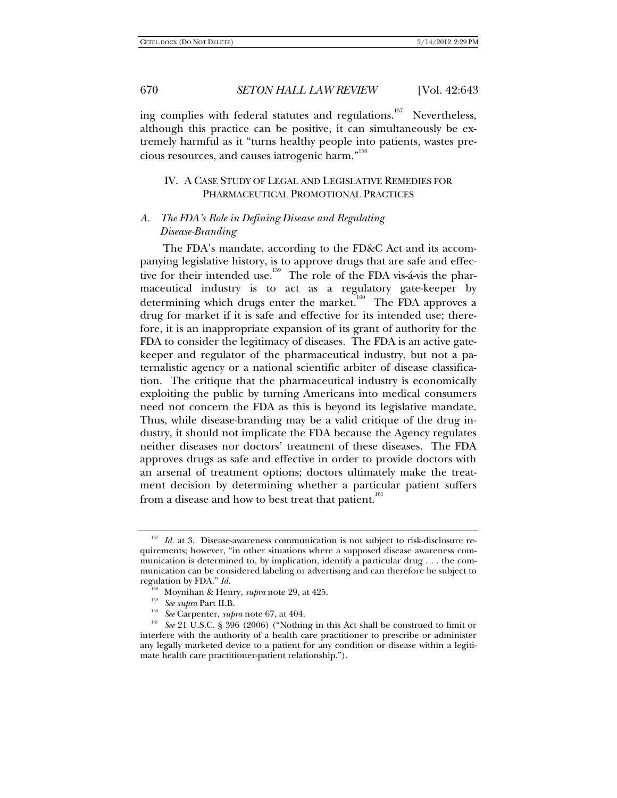ing complies with federal statutes and regulations.<sup>157</sup> Nevertheless, although this practice can be positive, it can simultaneously be extremely harmful as it "turns healthy people into patients, wastes precious resources, and causes iatrogenic harm."<sup>158</sup>

## IV. A CASE STUDY OF LEGAL AND LEGISLATIVE REMEDIES FOR PHARMACEUTICAL PROMOTIONAL PRACTICES

## *A. The FDA's Role in Defining Disease and Regulating Disease-Branding*

The FDA's mandate, according to the FD&C Act and its accompanying legislative history, is to approve drugs that are safe and effective for their intended use.<sup>159</sup> The role of the FDA vis-á-vis the pharmaceutical industry is to act as a regulatory gate-keeper by determining which drugs enter the market.<sup>160</sup> The FDA approves a drug for market if it is safe and effective for its intended use; therefore, it is an inappropriate expansion of its grant of authority for the FDA to consider the legitimacy of diseases. The FDA is an active gatekeeper and regulator of the pharmaceutical industry, but not a paternalistic agency or a national scientific arbiter of disease classification. The critique that the pharmaceutical industry is economically exploiting the public by turning Americans into medical consumers need not concern the FDA as this is beyond its legislative mandate. Thus, while disease-branding may be a valid critique of the drug industry, it should not implicate the FDA because the Agency regulates neither diseases nor doctors' treatment of these diseases. The FDA approves drugs as safe and effective in order to provide doctors with an arsenal of treatment options; doctors ultimately make the treatment decision by determining whether a particular patient suffers from a disease and how to best treat that patient.<sup>161</sup>

<sup>&</sup>lt;sup>157</sup> *Id.* at 3. Disease-awareness communication is not subject to risk-disclosure requirements; however, "in other situations where a supposed disease awareness communication is determined to, by implication, identify a particular drug . . . the communication can be considered labeling or advertising and can therefore be subject to

regulation by FDA." *Id.*<br>
<sup>158</sup> Moynihan & Henry, *supra* note 29, at 425.<br>
<sup>159</sup> See supra Part II.B.<br>
<sup>160</sup> See Carpenter, *supra* note 67, at 404.<br>
<sup>161</sup> See 21 U.S.C. § 396 (2006) ("Nothing in this Act shall be const interfere with the authority of a health care practitioner to prescribe or administer any legally marketed device to a patient for any condition or disease within a legitimate health care practitioner-patient relationship.").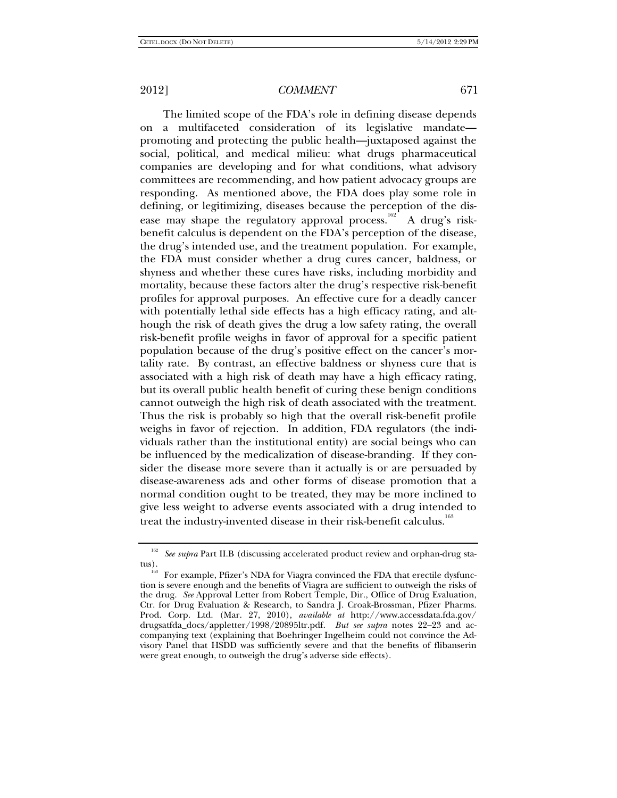The limited scope of the FDA's role in defining disease depends on a multifaceted consideration of its legislative mandate promoting and protecting the public health—juxtaposed against the social, political, and medical milieu: what drugs pharmaceutical companies are developing and for what conditions, what advisory committees are recommending, and how patient advocacy groups are responding. As mentioned above, the FDA does play some role in defining, or legitimizing, diseases because the perception of the disease may shape the regulatory approval process.<sup>162</sup> A drug's riskbenefit calculus is dependent on the FDA's perception of the disease, the drug's intended use, and the treatment population. For example, the FDA must consider whether a drug cures cancer, baldness, or shyness and whether these cures have risks, including morbidity and mortality, because these factors alter the drug's respective risk-benefit profiles for approval purposes. An effective cure for a deadly cancer with potentially lethal side effects has a high efficacy rating, and although the risk of death gives the drug a low safety rating, the overall risk-benefit profile weighs in favor of approval for a specific patient population because of the drug's positive effect on the cancer's mortality rate. By contrast, an effective baldness or shyness cure that is associated with a high risk of death may have a high efficacy rating, but its overall public health benefit of curing these benign conditions cannot outweigh the high risk of death associated with the treatment. Thus the risk is probably so high that the overall risk-benefit profile weighs in favor of rejection. In addition, FDA regulators (the individuals rather than the institutional entity) are social beings who can be influenced by the medicalization of disease-branding. If they consider the disease more severe than it actually is or are persuaded by disease-awareness ads and other forms of disease promotion that a normal condition ought to be treated, they may be more inclined to give less weight to adverse events associated with a drug intended to treat the industry-invented disease in their risk-benefit calculus.<sup>163</sup>

<sup>&</sup>lt;sup>162</sup> See supra Part II.B (discussing accelerated product review and orphan-drug sta-

tus).<br><sup>163</sup> For example, Pfizer's NDA for Viagra convinced the FDA that erectile dysfunction is severe enough and the benefits of Viagra are sufficient to outweigh the risks of the drug. *See* Approval Letter from Robert Temple, Dir., Office of Drug Evaluation, Ctr. for Drug Evaluation & Research, to Sandra J. Croak-Brossman, Pfizer Pharms. Prod. Corp. Ltd. (Mar. 27, 2010), *available at* http://www.accessdata.fda.gov/ drugsatfda\_docs/appletter/1998/20895ltr.pdf. *But see supra* notes 22–23 and accompanying text (explaining that Boehringer Ingelheim could not convince the Advisory Panel that HSDD was sufficiently severe and that the benefits of flibanserin were great enough, to outweigh the drug's adverse side effects).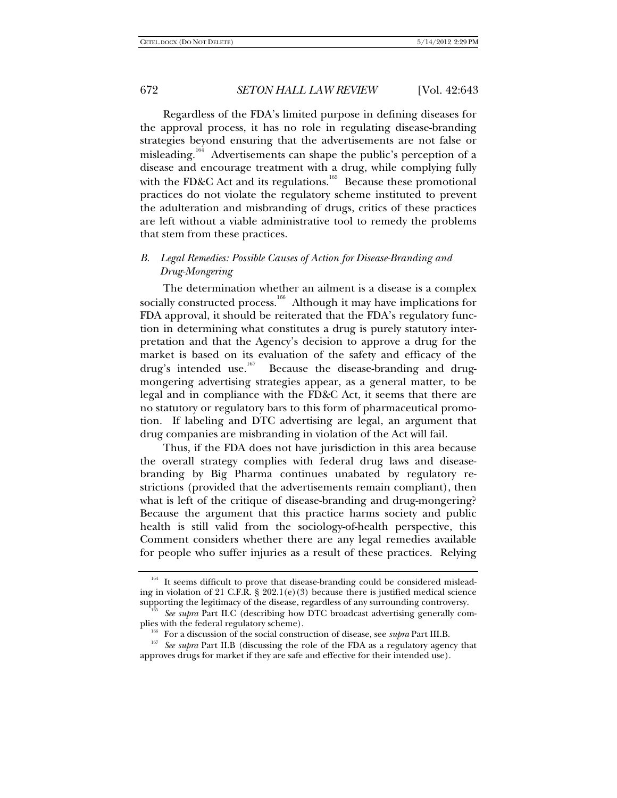Regardless of the FDA's limited purpose in defining diseases for the approval process, it has no role in regulating disease-branding strategies beyond ensuring that the advertisements are not false or misleading.<sup>164</sup> Advertisements can shape the public's perception of a disease and encourage treatment with a drug, while complying fully with the FD&C Act and its regulations.<sup>165</sup> Because these promotional practices do not violate the regulatory scheme instituted to prevent the adulteration and misbranding of drugs, critics of these practices are left without a viable administrative tool to remedy the problems that stem from these practices.

## *B. Legal Remedies: Possible Causes of Action for Disease-Branding and Drug-Mongering*

The determination whether an ailment is a disease is a complex socially constructed process.<sup>166</sup> Although it may have implications for FDA approval, it should be reiterated that the FDA's regulatory function in determining what constitutes a drug is purely statutory interpretation and that the Agency's decision to approve a drug for the market is based on its evaluation of the safety and efficacy of the drug's intended use.<sup>167</sup> Because the disease-branding and drug-Because the disease-branding and drugmongering advertising strategies appear, as a general matter, to be legal and in compliance with the FD&C Act, it seems that there are no statutory or regulatory bars to this form of pharmaceutical promotion. If labeling and DTC advertising are legal, an argument that drug companies are misbranding in violation of the Act will fail.

Thus, if the FDA does not have jurisdiction in this area because the overall strategy complies with federal drug laws and diseasebranding by Big Pharma continues unabated by regulatory restrictions (provided that the advertisements remain compliant), then what is left of the critique of disease-branding and drug-mongering? Because the argument that this practice harms society and public health is still valid from the sociology-of-health perspective, this Comment considers whether there are any legal remedies available for people who suffer injuries as a result of these practices. Relying

<sup>&</sup>lt;sup>164</sup> It seems difficult to prove that disease-branding could be considered misleading in violation of 21 C.F.R.  $\S 202.1(e)(3)$  because there is justified medical science

supporting the legitimacy of the disease, regardless of any surrounding controversy.<br><sup>165</sup> *See supra* Part II.C (describing how DTC broadcast advertising generally com-<br>plies with the federal regulatory scheme).

<sup>&</sup>lt;sup>166</sup> For a discussion of the social construction of disease, see *supra* Part III.B.<br><sup>167</sup> *See supra* Part II.B (discussing the role of the FDA as a regulatory agency that approves drugs for market if they are safe and effective for their intended use).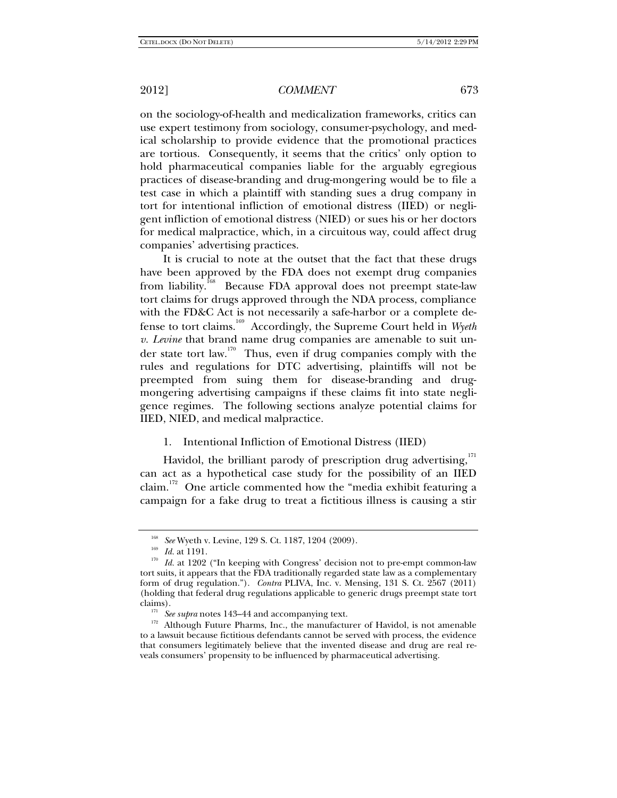on the sociology-of-health and medicalization frameworks, critics can use expert testimony from sociology, consumer-psychology, and medical scholarship to provide evidence that the promotional practices are tortious. Consequently, it seems that the critics' only option to hold pharmaceutical companies liable for the arguably egregious practices of disease-branding and drug-mongering would be to file a test case in which a plaintiff with standing sues a drug company in tort for intentional infliction of emotional distress (IIED) or negligent infliction of emotional distress (NIED) or sues his or her doctors for medical malpractice, which, in a circuitous way, could affect drug companies' advertising practices.

It is crucial to note at the outset that the fact that these drugs have been approved by the FDA does not exempt drug companies from liability.<sup>168</sup> Because FDA approval does not preempt state-law tort claims for drugs approved through the NDA process, compliance with the FD&C Act is not necessarily a safe-harbor or a complete defense to tort claims.169 Accordingly, the Supreme Court held in *Wyeth v. Levine* that brand name drug companies are amenable to suit under state tort law.<sup>170</sup> Thus, even if drug companies comply with the rules and regulations for DTC advertising, plaintiffs will not be preempted from suing them for disease-branding and drugmongering advertising campaigns if these claims fit into state negligence regimes. The following sections analyze potential claims for IIED, NIED, and medical malpractice.

## 1. Intentional Infliction of Emotional Distress (IIED)

Havidol, the brilliant parody of prescription drug advertising,<sup>171</sup> can act as a hypothetical case study for the possibility of an IIED claim.<sup>172</sup> One article commented how the "media exhibit featuring a campaign for a fake drug to treat a fictitious illness is causing a stir

<sup>&</sup>lt;sup>168</sup> See Wyeth v. Levine, 129 S. Ct. 1187, 1204 (2009).<br><sup>169</sup> Id. at 1191.<br><sup>170</sup> Id. at 1202 ("In keeping with Congress' decision not to pre-empt common-law tort suits, it appears that the FDA traditionally regarded state law as a complementary form of drug regulation."). *Contra* PLIVA, Inc. v. Mensing, 131 S. Ct. 2567 (2011) (holding that federal drug regulations applicable to generic drugs preempt state tort

<sup>&</sup>lt;sup>171</sup> See supra notes 143–44 and accompanying text.  $1^{172}$  Although Future Pharms, Inc., the manufacturer of Havidol, is not amenable to a lawsuit because fictitious defendants cannot be served with process, the evidence that consumers legitimately believe that the invented disease and drug are real reveals consumers' propensity to be influenced by pharmaceutical advertising.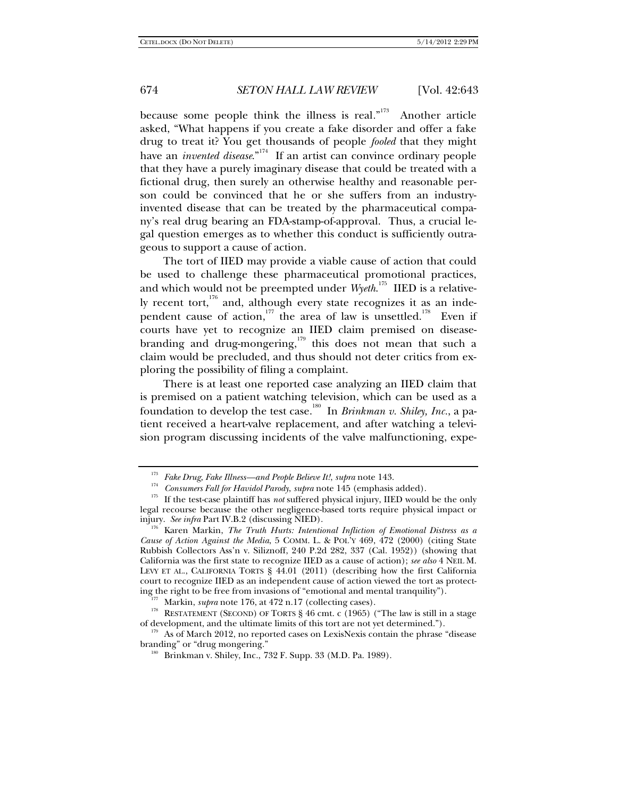because some people think the illness is real*.*" 173 Another article asked, "What happens if you create a fake disorder and offer a fake drug to treat it? You get thousands of people *fooled* that they might have an *invented disease*."<sup>174</sup> If an artist can convince ordinary people that they have a purely imaginary disease that could be treated with a fictional drug, then surely an otherwise healthy and reasonable person could be convinced that he or she suffers from an industryinvented disease that can be treated by the pharmaceutical company's real drug bearing an FDA-stamp-of-approval. Thus, a crucial legal question emerges as to whether this conduct is sufficiently outrageous to support a cause of action.

The tort of IIED may provide a viable cause of action that could be used to challenge these pharmaceutical promotional practices, and which would not be preempted under *Wyeth*. 175 IIED is a relatively recent tort, $176$  and, although every state recognizes it as an independent cause of action,<sup>177</sup> the area of law is unsettled.<sup>178</sup> Even if courts have yet to recognize an IIED claim premised on diseasebranding and drug-mongering,<sup>179</sup> this does not mean that such a claim would be precluded, and thus should not deter critics from exploring the possibility of filing a complaint.

There is at least one reported case analyzing an IIED claim that is premised on a patient watching television, which can be used as a foundation to develop the test case.180 In *Brinkman v. Shiley, Inc.*, a patient received a heart-valve replacement, and after watching a television program discussing incidents of the valve malfunctioning, expe-

<sup>&</sup>lt;sup>173</sup> Fake Drug, Fake Illness—and People Believe It!, *supra* note 143.<br><sup>174</sup> Consumers Fall for Havidol Parody, *supra* note 145 (emphasis added).

<sup>&</sup>lt;sup>175</sup> If the test-case plaintiff has *not* suffered physical injury, IIED would be the only legal recourse because the other negligence-based torts require physical impact or injury. See infra Part IV.B.2 (discussing NIED).

<sup>&</sup>lt;sup>176</sup> Karen Markin, *The Truth Hurts: Intentional Infliction of Emotional Distress as a Cause of Action Against the Media*, 5 COMM. L. & POL'Y 469, 472 (2000) (citing State Rubbish Collectors Ass'n v. Siliznoff, 240 P.2d 282, 337 (Cal. 1952)) (showing that California was the first state to recognize IIED as a cause of action); *see also* 4 NEIL M. LEVY ET AL., CALIFORNIA TORTS § 44.01 (2011) (describing how the first California court to recognize IIED as an independent cause of action viewed the tort as protecting the right to be free from invasions of "emotional and mental tranquility").

<sup>&</sup>lt;sup>177</sup> Markin, *supra* note 176, at 472 n.17 (collecting cases).<br><sup>178</sup> RESTATEMENT (SECOND) OF TORTS § 46 cmt. c (1965) ("The law is still in a stage

of development, and the ultimate limits of this tort are not yet determined.").<br><sup>179</sup> As of March 2012, no reported cases on LexisNexis contain the phrase "disease branding" or "drug mongering."

 $b<sup>60</sup>$  Brinkman v. Shiley, Inc., 732 F. Supp. 33 (M.D. Pa. 1989).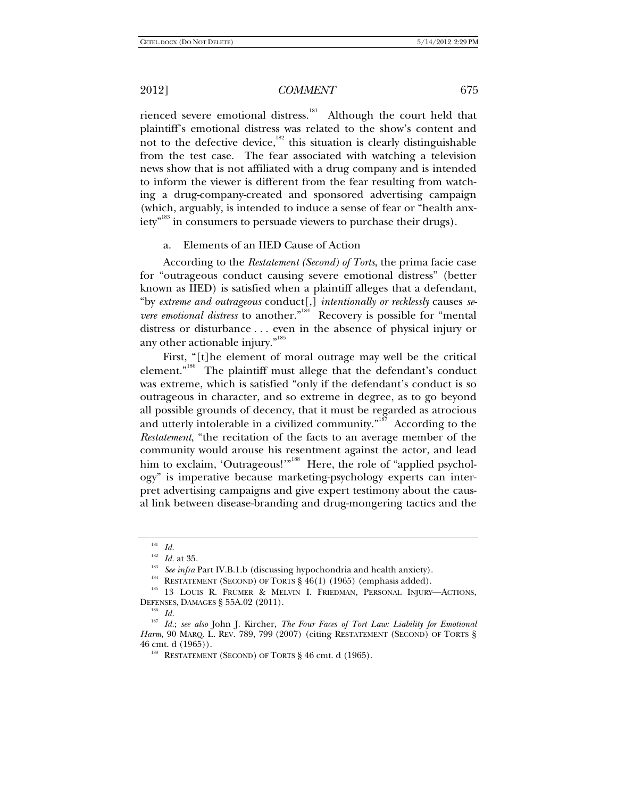rienced severe emotional distress.<sup>181</sup> Although the court held that plaintiff's emotional distress was related to the show's content and not to the defective device, $182$  this situation is clearly distinguishable from the test case. The fear associated with watching a television news show that is not affiliated with a drug company and is intended to inform the viewer is different from the fear resulting from watching a drug-company-created and sponsored advertising campaign (which, arguably, is intended to induce a sense of fear or "health anxiety<sup>"183</sup> in consumers to persuade viewers to purchase their drugs).

### a. Elements of an IIED Cause of Action

According to the *Restatement (Second) of Torts*, the prima facie case for "outrageous conduct causing severe emotional distress" (better known as IIED) is satisfied when a plaintiff alleges that a defendant, "by *extreme and outrageous* conduct[,] *intentionally or recklessly* causes *severe emotional distress* to another.<sup>"184</sup> Recovery is possible for "mental" distress or disturbance . . . even in the absence of physical injury or any other actionable injury."<sup>185</sup>

First, "[t]he element of moral outrage may well be the critical element."<sup>186</sup> The plaintiff must allege that the defendant's conduct was extreme, which is satisfied "only if the defendant's conduct is so outrageous in character, and so extreme in degree, as to go beyond all possible grounds of decency, that it must be regarded as atrocious and utterly intolerable in a civilized community. $n^{187}$  According to the *Restatement*, "the recitation of the facts to an average member of the community would arouse his resentment against the actor, and lead him to exclaim, 'Outrageous!'"<sup>188</sup> Here, the role of "applied psychology" is imperative because marketing-psychology experts can interpret advertising campaigns and give expert testimony about the causal link between disease-branding and drug-mongering tactics and the

 $\frac{181}{182}$  *Id.* at 35.

<sup>&</sup>lt;sup>183</sup> See infra Part IV.B.1.b (discussing hypochondria and health anxiety).<br><sup>184</sup> RESTATEMENT (SECOND) OF TORTS § 46(1) (1965) (emphasis added).<br><sup>185</sup> 13 LOUIS R. FRUMER & MELVIN I. FRIEDMAN, PERSONAL INJURY—ACTIONS, DEFENSES, DAMAGES § 55A.02 (2011). 186 *Id.*

<sup>187</sup> *Id.*; *see also* John J. Kircher, *The Four Faces of Tort Law: Liability for Emotional Harm*, 90 MARQ. L. REV. 789, 799 (2007) (citing RESTATEMENT (SECOND) OF TORTS § 46 cmt. d (1965)). 188 RESTATEMENT (SECOND) OF TORTS § 46 cmt. d (1965).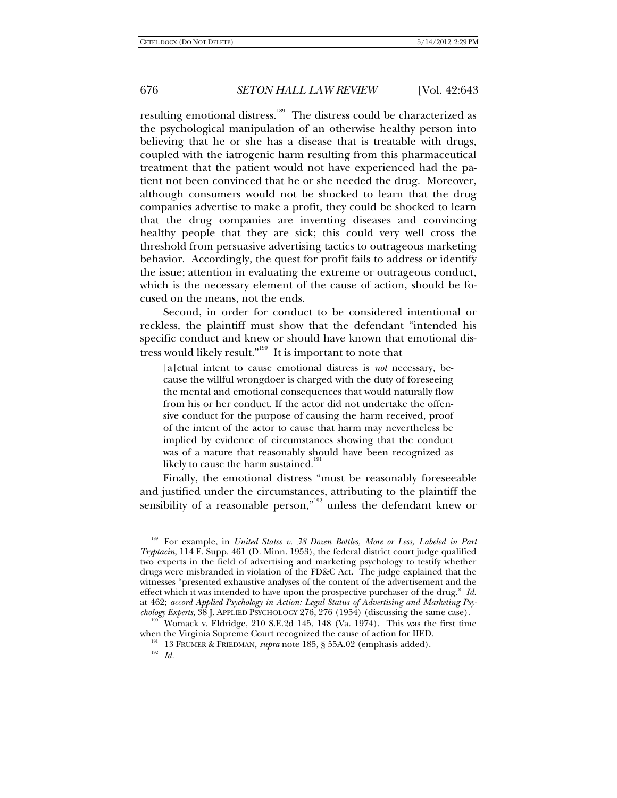resulting emotional distress.<sup>189</sup> The distress could be characterized as the psychological manipulation of an otherwise healthy person into believing that he or she has a disease that is treatable with drugs, coupled with the iatrogenic harm resulting from this pharmaceutical treatment that the patient would not have experienced had the patient not been convinced that he or she needed the drug. Moreover, although consumers would not be shocked to learn that the drug companies advertise to make a profit, they could be shocked to learn that the drug companies are inventing diseases and convincing healthy people that they are sick; this could very well cross the threshold from persuasive advertising tactics to outrageous marketing behavior. Accordingly, the quest for profit fails to address or identify the issue; attention in evaluating the extreme or outrageous conduct, which is the necessary element of the cause of action, should be focused on the means, not the ends.

Second, in order for conduct to be considered intentional or reckless, the plaintiff must show that the defendant "intended his specific conduct and knew or should have known that emotional distress would likely result."<sup>190</sup> It is important to note that

[a]ctual intent to cause emotional distress is *not* necessary, because the willful wrongdoer is charged with the duty of foreseeing the mental and emotional consequences that would naturally flow from his or her conduct. If the actor did not undertake the offensive conduct for the purpose of causing the harm received, proof of the intent of the actor to cause that harm may nevertheless be implied by evidence of circumstances showing that the conduct was of a nature that reasonably should have been recognized as likely to cause the harm sustained.<sup>1</sup>

Finally, the emotional distress "must be reasonably foreseeable and justified under the circumstances, attributing to the plaintiff the sensibility of a reasonable person,"<sup>192</sup> unless the defendant knew or

<sup>189</sup> For example, in *United States v. 38 Dozen Bottles, More or Less, Labeled in Part Tryptacin*, 114 F. Supp. 461 (D. Minn. 1953), the federal district court judge qualified two experts in the field of advertising and marketing psychology to testify whether drugs were misbranded in violation of the FD&C Act. The judge explained that the witnesses "presented exhaustive analyses of the content of the advertisement and the effect which it was intended to have upon the prospective purchaser of the drug." *Id.*  at 462; *accord Applied Psychology in Action: Legal Status of Advertising and Marketing Psy-*

<sup>&</sup>lt;sup>190</sup> Womack v. Eldridge, 210 S.E.2d 145, 148 (Va. 1974). This was the first time when the Virginia Supreme Court recognized the cause of action for IIED.

 $^{191}$  13 FRUMER & FRIEDMAN, *supra* note 185, § 55A.02 (emphasis added).  $^{192}$  *Id.*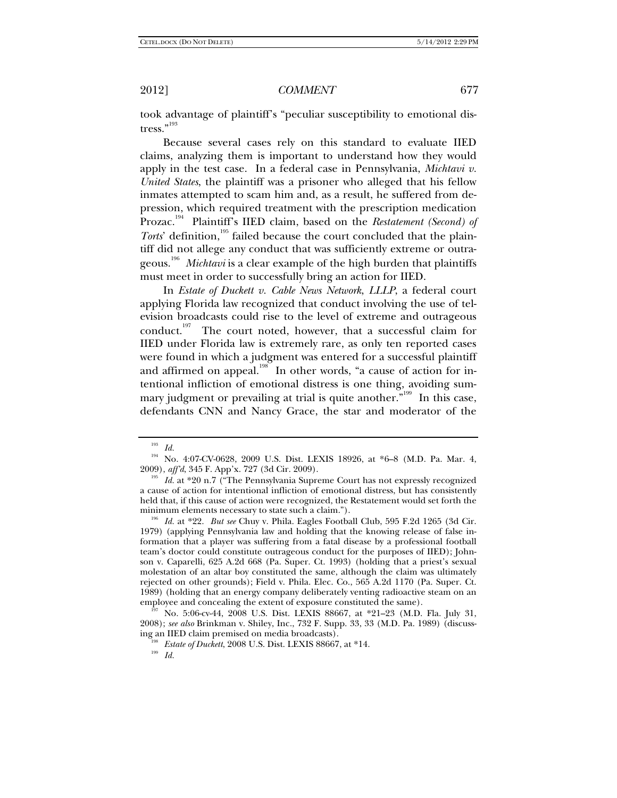took advantage of plaintiff's "peculiar susceptibility to emotional distress."<sup>193</sup>

Because several cases rely on this standard to evaluate IIED claims, analyzing them is important to understand how they would apply in the test case. In a federal case in Pennsylvania, *Michtavi v. United States*, the plaintiff was a prisoner who alleged that his fellow inmates attempted to scam him and, as a result, he suffered from depression, which required treatment with the prescription medication Prozac.<sup>194</sup> Plaintiff's IIED claim, based on the *Restatement (Second) of Torts*' definition,<sup>195</sup> failed because the court concluded that the plaintiff did not allege any conduct that was sufficiently extreme or outrageous.<sup>196</sup> *Michtavi* is a clear example of the high burden that plaintiffs must meet in order to successfully bring an action for IIED.

In *Estate of Duckett v. Cable News Network*, *LLLP*, a federal court applying Florida law recognized that conduct involving the use of television broadcasts could rise to the level of extreme and outrageous conduct.<sup>197</sup> The court noted, however, that a successful claim for IIED under Florida law is extremely rare, as only ten reported cases were found in which a judgment was entered for a successful plaintiff and affirmed on appeal.<sup>198</sup> In other words, "a cause of action for intentional infliction of emotional distress is one thing, avoiding summary judgment or prevailing at trial is quite another."<sup>199</sup> In this case, defendants CNN and Nancy Grace, the star and moderator of the

 $\frac{193}{194}$  *Id.* 

<sup>194</sup> No. 4:07-CV-0628, 2009 U.S. Dist. LEXIS 18926, at \*6–8 (M.D. Pa. Mar. 4, 2009), *aff'd*, 345 F. App'x. 727 (3d Cir. 2009). 195 *Id.* at \*20 n.7 ("The Pennsylvania Supreme Court has not expressly recognized

a cause of action for intentional infliction of emotional distress, but has consistently held that, if this cause of action were recognized, the Restatement would set forth the

<sup>&</sup>lt;sup>196</sup> Id. at \*22. *But see* Chuy v. Phila. Eagles Football Club, 595 F.2d 1265 (3d Cir. 1979) (applying Pennsylvania law and holding that the knowing release of false information that a player was suffering from a fatal disease by a professional football team's doctor could constitute outrageous conduct for the purposes of IIED); Johnson v. Caparelli, 625 A.2d 668 (Pa. Super. Ct. 1993) (holding that a priest's sexual molestation of an altar boy constituted the same, although the claim was ultimately rejected on other grounds); Field v. Phila. Elec. Co., 565 A.2d 1170 (Pa. Super. Ct. 1989) (holding that an energy company deliberately venting radioactive steam on an employee and concealing the extent of exposure constituted the same).<br><sup>197</sup> No. 5:06-cv-44, 2008 U.S. Dist. LEXIS 88667, at \*21–23 (M.D. Fla. July 31,

<sup>2008);</sup> *see also* Brinkman v. Shiley, Inc., 732 F. Supp. 33, 33 (M.D. Pa. 1989) (discuss-

<sup>&</sup>lt;sup>198</sup> *Estate of Duckett*, 2008 U.S. Dist. LEXIS 88667, at \*14. <sup>199</sup> *Id.*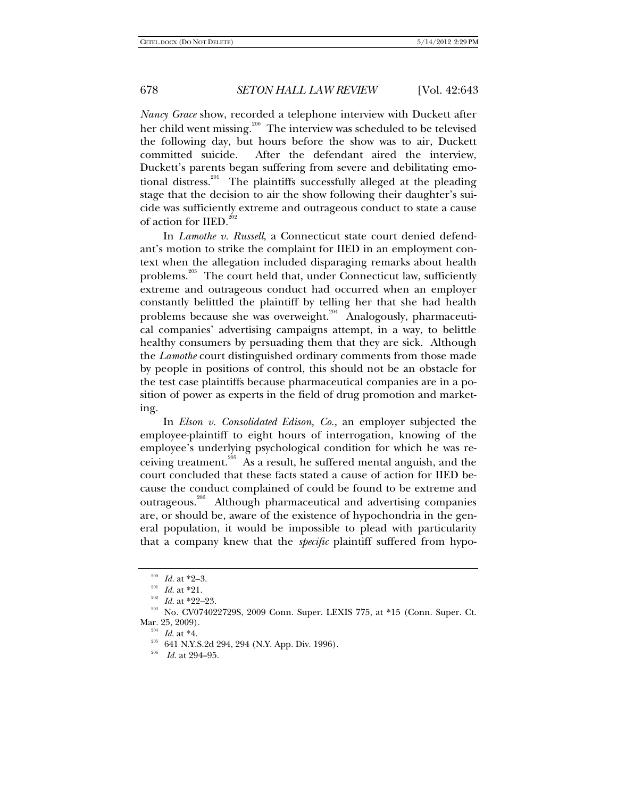*Nancy Grace* show, recorded a telephone interview with Duckett after her child went missing.<sup>200</sup> The interview was scheduled to be televised the following day, but hours before the show was to air, Duckett committed suicide. After the defendant aired the interview, Duckett's parents began suffering from severe and debilitating emotional distress.<sup>201</sup> The plaintiffs successfully alleged at the pleading stage that the decision to air the show following their daughter's suicide was sufficiently extreme and outrageous conduct to state a cause of action for  $\text{HED}^{202}$ 

In *Lamothe v. Russell*, a Connecticut state court denied defendant's motion to strike the complaint for IIED in an employment context when the allegation included disparaging remarks about health problems.<sup>203</sup> The court held that, under Connecticut law, sufficiently extreme and outrageous conduct had occurred when an employer constantly belittled the plaintiff by telling her that she had health problems because she was overweight.<sup>204</sup> Analogously, pharmaceutical companies' advertising campaigns attempt, in a way, to belittle healthy consumers by persuading them that they are sick. Although the *Lamothe* court distinguished ordinary comments from those made by people in positions of control, this should not be an obstacle for the test case plaintiffs because pharmaceutical companies are in a position of power as experts in the field of drug promotion and marketing.

In *Elson v. Consolidated Edison, Co.*, an employer subjected the employee-plaintiff to eight hours of interrogation, knowing of the employee's underlying psychological condition for which he was receiving treatment.<sup>205</sup> As a result, he suffered mental anguish, and the court concluded that these facts stated a cause of action for IIED because the conduct complained of could be found to be extreme and outrageous.<sup>206</sup> Although pharmaceutical and advertising companies are, or should be, aware of the existence of hypochondria in the general population, it would be impossible to plead with particularity that a company knew that the *specific* plaintiff suffered from hypo-

*Id.* at 294–95.

<sup>&</sup>lt;sup>200</sup> *Id.* at \*2–3.<br><sup>201</sup> *Id.* at \*21.<br><sup>202</sup> *Id.* at \*22–23.<br><sup>203</sup> No. CV074022729S, 2009 Conn. Super. LEXIS 775, at \*15 (Conn. Super. Ct.<br>Mar. 25, 2009).

<sup>&</sup>lt;sup>204</sup> *Id.* at \*4.<br><sup>205</sup> 641 N.Y.S.2d 294, 294 (N.Y. App. Div. 1996).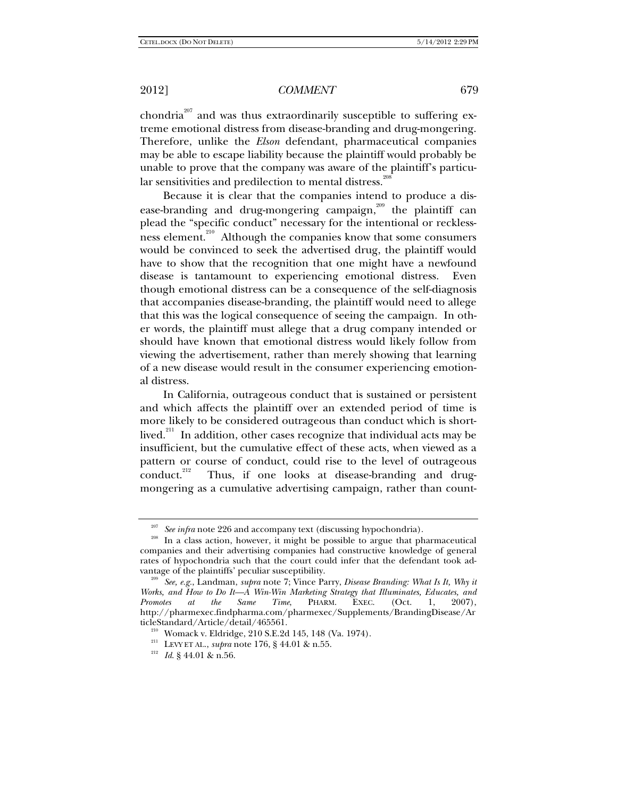chondria<sup>207</sup> and was thus extraordinarily susceptible to suffering extreme emotional distress from disease-branding and drug-mongering. Therefore, unlike the *Elson* defendant, pharmaceutical companies may be able to escape liability because the plaintiff would probably be unable to prove that the company was aware of the plaintiff's particular sensitivities and predilection to mental distress.<sup>20</sup>

Because it is clear that the companies intend to produce a disease-branding and drug-mongering campaign,<sup>209</sup> the plaintiff can plead the "specific conduct" necessary for the intentional or recklessness element.<sup>210</sup> Although the companies know that some consumers would be convinced to seek the advertised drug, the plaintiff would have to show that the recognition that one might have a newfound disease is tantamount to experiencing emotional distress. Even though emotional distress can be a consequence of the self-diagnosis that accompanies disease-branding, the plaintiff would need to allege that this was the logical consequence of seeing the campaign. In other words, the plaintiff must allege that a drug company intended or should have known that emotional distress would likely follow from viewing the advertisement, rather than merely showing that learning of a new disease would result in the consumer experiencing emotional distress.

In California, outrageous conduct that is sustained or persistent and which affects the plaintiff over an extended period of time is more likely to be considered outrageous than conduct which is shortlived.<sup>211</sup> In addition, other cases recognize that individual acts may be insufficient, but the cumulative effect of these acts, when viewed as a pattern or course of conduct, could rise to the level of outrageous conduct.<sup>212</sup> Thus, if one looks at disease-branding and drugmongering as a cumulative advertising campaign, rather than count-

<sup>&</sup>lt;sup>207</sup> See infra note 226 and accompany text (discussing hypochondria).<br><sup>208</sup> In a class action, however, it might be possible to argue that pharmaceutical companies and their advertising companies had constructive knowledge of general rates of hypochondria such that the court could infer that the defendant took advantage of the plaintiffs' peculiar susceptibility.

<sup>&</sup>lt;sup>209</sup> See, e.g., Landman, *supra* note 7; Vince Parry, *Disease Branding: What Is It, Why it Works, and How to Do It—A Win-Win Marketing Strategy that Illuminates, Educates, and Promotes at the Same Time*, PHARM. EXEC. (Oct. 1, 2007), http://pharmexec.findpharma.com/pharmexec/Supplements/BrandingDisease/Ar

<sup>&</sup>lt;sup>210</sup> Womack v. Eldridge, 210 S.E.2d 145, 148 (Va. 1974).<br><sup>211</sup> LEVY ET AL., *supra* note 176, § 44.01 & n.55.<br><sup>212</sup> *Id*. § 44.01 & n.56.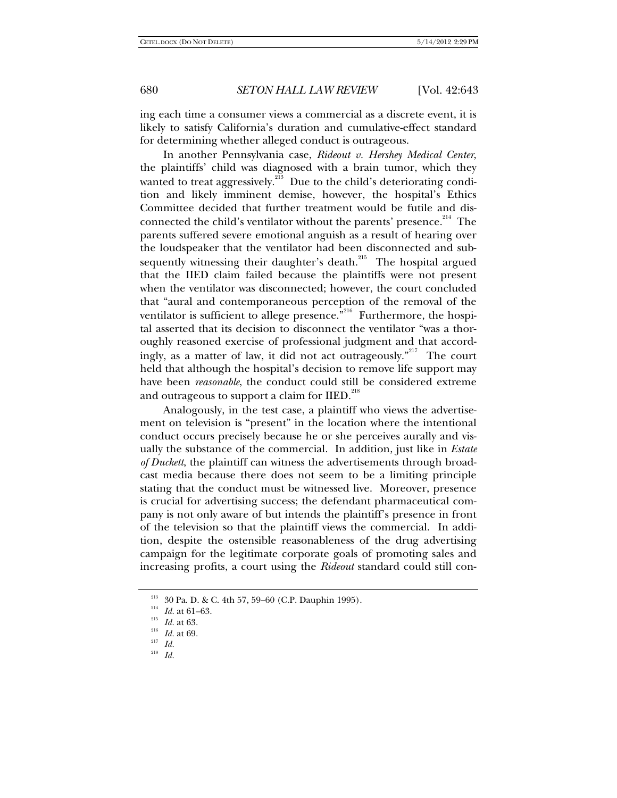ing each time a consumer views a commercial as a discrete event, it is likely to satisfy California's duration and cumulative-effect standard for determining whether alleged conduct is outrageous.

In another Pennsylvania case, *Rideout v. Hershey Medical Center*, the plaintiffs' child was diagnosed with a brain tumor, which they wanted to treat aggressively.<sup>213</sup> Due to the child's deteriorating condition and likely imminent demise, however, the hospital's Ethics Committee decided that further treatment would be futile and disconnected the child's ventilator without the parents' presence.<sup>214</sup> The parents suffered severe emotional anguish as a result of hearing over the loudspeaker that the ventilator had been disconnected and subsequently witnessing their daughter's death.<sup>215</sup> The hospital argued that the IIED claim failed because the plaintiffs were not present when the ventilator was disconnected; however, the court concluded that "aural and contemporaneous perception of the removal of the ventilator is sufficient to allege presence.<sup>2216</sup> Furthermore, the hospital asserted that its decision to disconnect the ventilator "was a thoroughly reasoned exercise of professional judgment and that accordingly, as a matter of law, it did not act outrageously.<sup> $n^{217}$ </sup> The court held that although the hospital's decision to remove life support may have been *reasonable*, the conduct could still be considered extreme and outrageous to support a claim for IIED.<sup>218</sup>

Analogously, in the test case, a plaintiff who views the advertisement on television is "present" in the location where the intentional conduct occurs precisely because he or she perceives aurally and visually the substance of the commercial. In addition, just like in *Estate of Duckett*, the plaintiff can witness the advertisements through broadcast media because there does not seem to be a limiting principle stating that the conduct must be witnessed live. Moreover, presence is crucial for advertising success; the defendant pharmaceutical company is not only aware of but intends the plaintiff's presence in front of the television so that the plaintiff views the commercial. In addition, despite the ostensible reasonableness of the drug advertising campaign for the legitimate corporate goals of promoting sales and increasing profits, a court using the *Rideout* standard could still con-

<sup>&</sup>lt;sup>213</sup> 30 Pa. D. & C. 4th 57, 59–60 (C.P. Dauphin 1995).<br>
<sup>214</sup> *Id.* at 61–63.<br>
<sup>215</sup> *Id.* at 63.<br> *Id.* at 69.<br>
<sup>217</sup> *Id* 

<sup>218</sup> *Id.*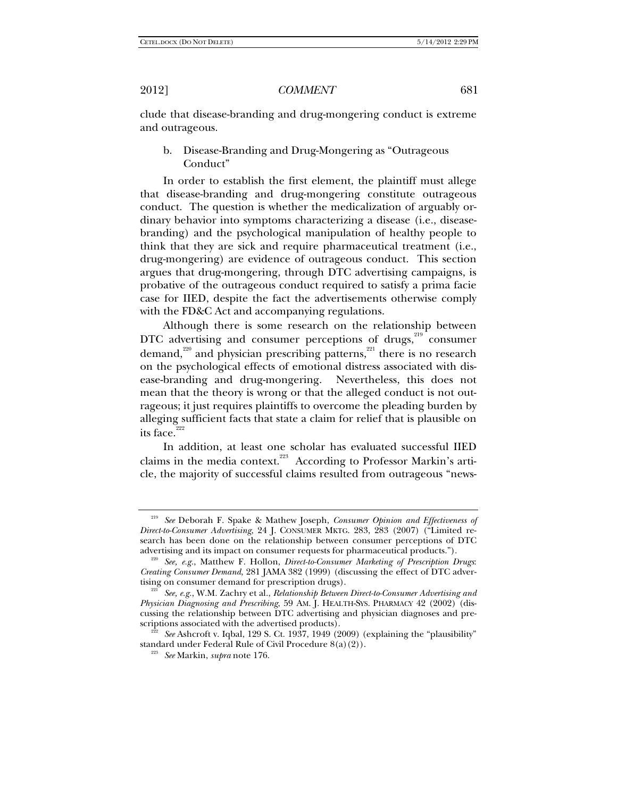clude that disease-branding and drug-mongering conduct is extreme and outrageous.

b. Disease-Branding and Drug-Mongering as "Outrageous Conduct"

In order to establish the first element, the plaintiff must allege that disease-branding and drug-mongering constitute outrageous conduct. The question is whether the medicalization of arguably ordinary behavior into symptoms characterizing a disease (i.e., diseasebranding) and the psychological manipulation of healthy people to think that they are sick and require pharmaceutical treatment (i.e., drug-mongering) are evidence of outrageous conduct. This section argues that drug-mongering, through DTC advertising campaigns, is probative of the outrageous conduct required to satisfy a prima facie case for IIED, despite the fact the advertisements otherwise comply with the FD&C Act and accompanying regulations.

Although there is some research on the relationship between DTC advertising and consumer perceptions of drugs,<sup>219</sup> consumer demand,<sup>220</sup> and physician prescribing patterns,<sup>221</sup> there is no research on the psychological effects of emotional distress associated with disease-branding and drug-mongering. Nevertheless, this does not mean that the theory is wrong or that the alleged conduct is not outrageous; it just requires plaintiffs to overcome the pleading burden by alleging sufficient facts that state a claim for relief that is plausible on its face.<sup>222</sup>

In addition, at least one scholar has evaluated successful IIED claims in the media context.<sup>223</sup> According to Professor Markin's article, the majority of successful claims resulted from outrageous "news-

<sup>219</sup> *See* Deborah F. Spake & Mathew Joseph, *Consumer Opinion and Effectiveness of Direct-to-Consumer Advertising*, 24 J. CONSUMER MKTG. 283, 283 (2007) ("Limited research has been done on the relationship between consumer perceptions of DTC advertising and its impact on consumer requests for pharmaceutical products."). 220 *See, e.g.*, Matthew F. Hollon, *Direct-to-Consumer Marketing of Prescription Drugs*:

*Creating Consumer Demand*, 281 JAMA 382 (1999) (discussing the effect of DTC adver-

<sup>&</sup>lt;sup>221</sup> See, e.g., W.M. Zachry et al., *Relationship Between Direct-to-Consumer Advertising and Physician Diagnosing and Prescribing*, 59 AM. J. HEALTH-SYS. PHARMACY 42 (2002) (discussing the relationship between DTC advertising and physician diagnoses and prescriptions associated with the advertised products).

<sup>222</sup> *See* Ashcroft v. Iqbal, 129 S. Ct. 1937, 1949 (2009) (explaining the "plausibility" standard under Federal Rule of Civil Procedure 8(a)(2)). 223 *See* Markin, *supra* note 176.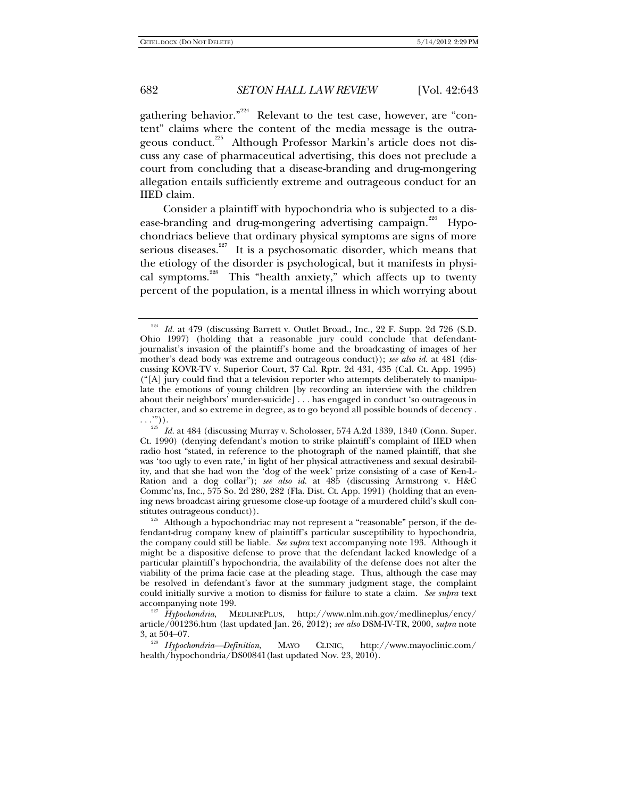gathering behavior."<sup>224</sup> Relevant to the test case, however, are "content" claims where the content of the media message is the outrageous conduct.<sup>225</sup> Although Professor Markin's article does not discuss any case of pharmaceutical advertising, this does not preclude a court from concluding that a disease-branding and drug-mongering allegation entails sufficiently extreme and outrageous conduct for an IIED claim.

Consider a plaintiff with hypochondria who is subjected to a disease-branding and drug-mongering advertising campaign.<sup>226</sup> Hypochondriacs believe that ordinary physical symptoms are signs of more serious diseases. $227$  It is a psychosomatic disorder, which means that the etiology of the disorder is psychological, but it manifests in physical symptoms. $228$  This "health anxiety," which affects up to twenty percent of the population, is a mental illness in which worrying about

 $^{224}$  *Id.* at 479 (discussing Barrett v. Outlet Broad., Inc., 22 F. Supp. 2d 726 (S.D. Ohio 1997) (holding that a reasonable jury could conclude that defendantjournalist's invasion of the plaintiff's home and the broadcasting of images of her mother's dead body was extreme and outrageous conduct)); *see also id.* at 481 (discussing KOVR-TV v. Superior Court, 37 Cal. Rptr. 2d 431, 435 (Cal. Ct. App. 1995) ("[A] jury could find that a television reporter who attempts deliberately to manipulate the emotions of young children [by recording an interview with the children about their neighbors' murder-suicide] . . . has engaged in conduct 'so outrageous in character, and so extreme in degree, as to go beyond all possible bounds of decency .<br>
..."")).<br>
<sup>225</sup> Id at 484 (discussing Murray y, Scholosser, 574, A 9d 1339, 1340 (Conn. Super

Id. at 484 (discussing Murray v. Scholosser, 574 A.2d 1339, 1340 (Conn. Super. Ct. 1990) (denying defendant's motion to strike plaintiff's complaint of IIED when radio host "stated, in reference to the photograph of the named plaintiff, that she was 'too ugly to even rate,' in light of her physical attractiveness and sexual desirability, and that she had won the 'dog of the week' prize consisting of a case of Ken-L-Ration and a dog collar"); *see also id.* at 485 (discussing Armstrong v. H&C Commc'ns, Inc., 575 So. 2d 280, 282 (Fla. Dist. Ct. App. 1991) (holding that an evening news broadcast airing gruesome close-up footage of a murdered child's skull constitutes outrageous conduct)).<br><sup>226</sup> Although a hypochondriac may not represent a "reasonable" person, if the de-

fendant-drug company knew of plaintiff's particular susceptibility to hypochondria, the company could still be liable. *See supra* text accompanying note 193. Although it might be a dispositive defense to prove that the defendant lacked knowledge of a particular plaintiff's hypochondria, the availability of the defense does not alter the viability of the prima facie case at the pleading stage. Thus, although the case may be resolved in defendant's favor at the summary judgment stage, the complaint could initially survive a motion to dismiss for failure to state a claim. *See supra* text

<sup>&</sup>lt;sup>227</sup> Hypochondria, MEDLINEPLUS, http://www.nlm.nih.gov/medlineplus/ency/ article/001236.htm (last updated Jan. 26, 2012); *see also* DSM-IV-TR, 2000, *supra* note 3, at 504–07. 228 *Hypochondria—Definition*, MAYO CLINIC, http://www.mayoclinic.com/

health/hypochondria/DS00841(last updated Nov. 23, 2010).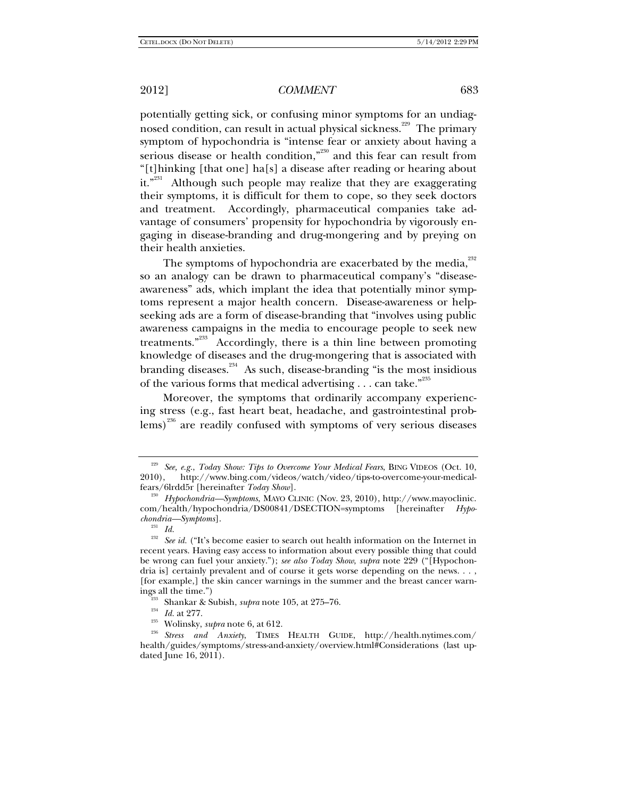potentially getting sick, or confusing minor symptoms for an undiagnosed condition, can result in actual physical sickness.<sup>229</sup> The primary symptom of hypochondria is "intense fear or anxiety about having a serious disease or health condition,<sup>"230</sup> and this fear can result from "[t]hinking [that one] ha[s] a disease after reading or hearing about it."<sup>231</sup> Although such people may realize that they are exaggerating their symptoms, it is difficult for them to cope, so they seek doctors and treatment. Accordingly, pharmaceutical companies take advantage of consumers' propensity for hypochondria by vigorously engaging in disease-branding and drug-mongering and by preying on their health anxieties.

The symptoms of hypochondria are exacerbated by the media,<sup>232</sup> so an analogy can be drawn to pharmaceutical company's "diseaseawareness" ads, which implant the idea that potentially minor symptoms represent a major health concern. Disease-awareness or helpseeking ads are a form of disease-branding that "involves using public awareness campaigns in the media to encourage people to seek new treatments. $n^{233}$  Accordingly, there is a thin line between promoting knowledge of diseases and the drug-mongering that is associated with branding diseases.<sup>234</sup> As such, disease-branding "is the most insidious of the various forms that medical advertising  $\ldots$  can take."<sup>235</sup>

Moreover, the symptoms that ordinarily accompany experiencing stress (e.g., fast heart beat, headache, and gastrointestinal problems)<sup>236</sup> are readily confused with symptoms of very serious diseases

<sup>229</sup> *See, e.g.*, *Today Show: Tips to Overcome Your Medical Fears*, BING VIDEOS (Oct. 10, 2010), http://www.bing.com/videos/watch/video/tips-to-overcome-your-medicalfears/6lrdd5r [hereinafter *Today Show*]. 230 *Hypochondria—Symptoms*, MAYO CLINIC (Nov. 23, 2010), http://www.mayoclinic.

com/health/hypochondria/DS00841/DSECTION=symptoms [hereinafter *Hypochondria—Symptoms*].<br><sup>231</sup> *Id.*<br><sup>232</sup> *Secid (*"It's be

*See id.* ("It's become easier to search out health information on the Internet in recent years. Having easy access to information about every possible thing that could be wrong can fuel your anxiety."); *see also Today Show*, *supra* note 229 ("[Hypochondria is] certainly prevalent and of course it gets worse depending on the news. . . , [for example,] the skin cancer warnings in the summer and the breast cancer warn-

ings all the time.") 233 Shankar & Subish, *supra* note 105, at 275–76. 234 *Id.* at 277. 235 Wolinsky, *supra* note 6, at 612. 236 *Stress and Anxiety*, TIMES HEALTH GUIDE, http://health.nytimes.com/ health/guides/symptoms/stress-and-anxiety/overview.html#Considerations (last updated June 16, 2011).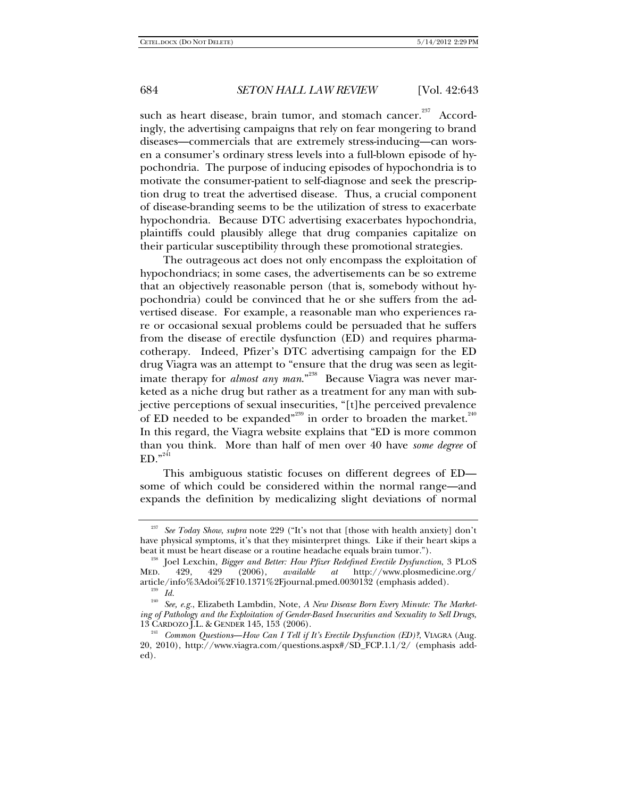such as heart disease, brain tumor, and stomach cancer.<sup>237</sup> Accordingly, the advertising campaigns that rely on fear mongering to brand diseases—commercials that are extremely stress-inducing—can worsen a consumer's ordinary stress levels into a full-blown episode of hypochondria. The purpose of inducing episodes of hypochondria is to motivate the consumer-patient to self-diagnose and seek the prescription drug to treat the advertised disease. Thus, a crucial component of disease-branding seems to be the utilization of stress to exacerbate hypochondria.Because DTC advertising exacerbates hypochondria, plaintiffs could plausibly allege that drug companies capitalize on their particular susceptibility through these promotional strategies.

The outrageous act does not only encompass the exploitation of hypochondriacs; in some cases, the advertisements can be so extreme that an objectively reasonable person (that is, somebody without hypochondria) could be convinced that he or she suffers from the advertised disease. For example, a reasonable man who experiences rare or occasional sexual problems could be persuaded that he suffers from the disease of erectile dysfunction (ED) and requires pharmacotherapy. Indeed, Pfizer's DTC advertising campaign for the ED drug Viagra was an attempt to "ensure that the drug was seen as legitimate therapy for *almost any man.*"<sup>238</sup> Because Viagra was never marketed as a niche drug but rather as a treatment for any man with subjective perceptions of sexual insecurities, "[t]he perceived prevalence of ED needed to be expanded"<sup>239</sup> in order to broaden the market.<sup>240</sup> In this regard, the Viagra website explains that "ED is more common than you think. More than half of men over 40 have *some degree* of  $ED.$ <sup>"241</sup>

This ambiguous statistic focuses on different degrees of ED some of which could be considered within the normal range—and expands the definition by medicalizing slight deviations of normal

<sup>&</sup>lt;sup>237</sup> See Today Show, *supra* note 229 ("It's not that [those with health anxiety] don't have physical symptoms, it's that they misinterpret things. Like if their heart skips a beat it must be heart disease or a routine headache equals brain tumor.").

<sup>238</sup> Joel Lexchin, *Bigger and Better: How Pfizer Redefined Erectile Dysfunction*, 3 PLOS MED. 429, 429 (2006), *available at* http://www.plosmedicine.org/ article/info%3Adoi%2F10.1371%2Fjournal.pmed.0030132 (emphasis added). 239 *Id.* 

<sup>240</sup> *See, e.g.*, Elizabeth Lambdin, Note, *A New Disease Born Every Minute: The Marketing of Pathology and the Exploitation of Gender-Based Insecurities and Sexuality to Sell Drugs*,

<sup>&</sup>lt;sup>241</sup> Common Questions—*How Can I Tell if It's Erectile Dysfunction (ED)?*, VIAGRA (Aug. 20, 2010), http://www.viagra.com/questions.aspx#/SD\_FCP.1.1/2/ (emphasis added).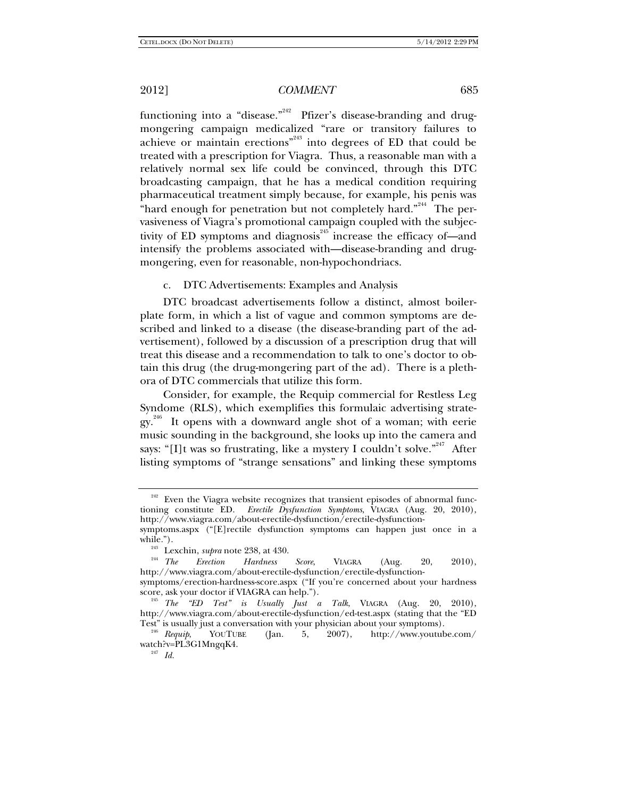functioning into a "disease."<sup>242</sup> Pfizer's disease-branding and drugmongering campaign medicalized "rare or transitory failures to achieve or maintain erections"243 into degrees of ED that could be treated with a prescription for Viagra. Thus, a reasonable man with a relatively normal sex life could be convinced, through this DTC broadcasting campaign, that he has a medical condition requiring pharmaceutical treatment simply because, for example, his penis was "hard enough for penetration but not completely hard."<sup>244</sup> The pervasiveness of Viagra's promotional campaign coupled with the subjectivity of ED symptoms and diagnosis<sup> $245$ </sup> increase the efficacy of—and intensify the problems associated with—disease-branding and drugmongering, even for reasonable, non-hypochondriacs.

c. DTC Advertisements: Examples and Analysis

DTC broadcast advertisements follow a distinct, almost boilerplate form, in which a list of vague and common symptoms are described and linked to a disease (the disease-branding part of the advertisement), followed by a discussion of a prescription drug that will treat this disease and a recommendation to talk to one's doctor to obtain this drug (the drug-mongering part of the ad). There is a plethora of DTC commercials that utilize this form.

Consider, for example, the Requip commercial for Restless Leg Syndome (RLS), which exemplifies this formulaic advertising strate $gy<sup>246</sup>$  It opens with a downward angle shot of a woman; with eerie music sounding in the background, she looks up into the camera and says: "[I]t was so frustrating, like a mystery I couldn't solve."<sup>247</sup> After listing symptoms of "strange sensations" and linking these symptoms

<sup>&</sup>lt;sup>242</sup> Even the Viagra website recognizes that transient episodes of abnormal functioning constitute ED. *Erectile Dysfunction Symptoms*, VIAGRA (Aug. 20, 2010), http://www.viagra.com/about-erectile-dysfunction/erectile-dysfunction-

symptoms.aspx ("[E]rectile dysfunction symptoms can happen just once in a while.").<br><sup>243</sup> Lexchin, *supra* note 238, at 430.<br><sup>244</sup> *The Erection Hardness Score*, VIAGRA (Aug. 20, 2010),

http://www.viagra.com/about-erectile-dysfunction/erectile-dysfunctionsymptoms/erection-hardness-score.aspx ("If you're concerned about your hardness

score, ask your doctor if VIAGRA can help."). 245 *The "ED Test" is Usually Just a Talk*, VIAGRA (Aug. 20, 2010),

http://www.viagra.com/about-erectile-dysfunction/ed-test.aspx (stating that the "ED Test" is usually just a conversation with your physician about your symptoms). 246 *Requip*, YOUTUBE (Jan. 5, 2007), http://www.youtube.com/

watch?v=PL3G1MngqK4. 247 *Id.*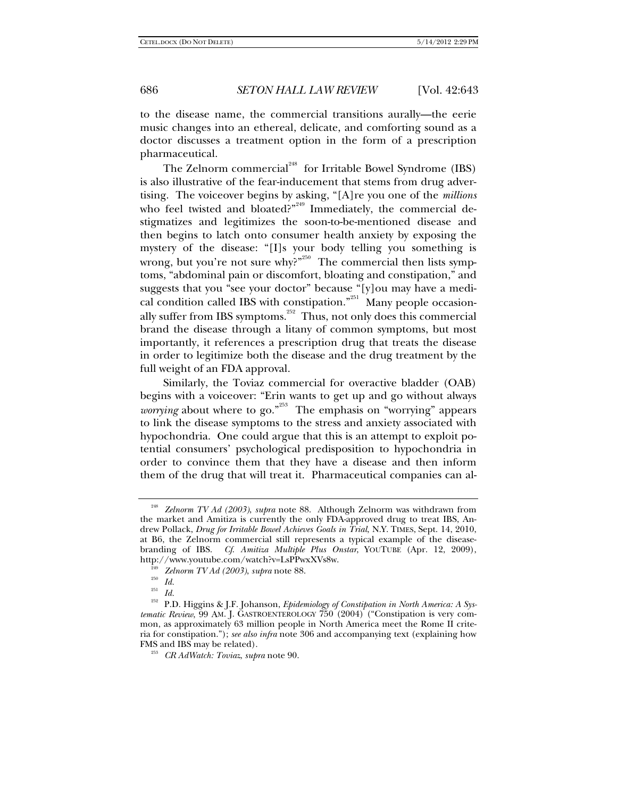to the disease name, the commercial transitions aurally—the eerie music changes into an ethereal, delicate, and comforting sound as a doctor discusses a treatment option in the form of a prescription pharmaceutical.

The Zelnorm commercial<sup>248</sup> for Irritable Bowel Syndrome (IBS) is also illustrative of the fear-inducement that stems from drug advertising. The voiceover begins by asking, "[A]re you one of the *millions* who feel twisted and bloated?"<sup>249</sup> Immediately, the commercial destigmatizes and legitimizes the soon-to-be-mentioned disease and then begins to latch onto consumer health anxiety by exposing the mystery of the disease: "[I]s your body telling you something is wrong, but you're not sure why?"<sup>250</sup> The commercial then lists symptoms, "abdominal pain or discomfort, bloating and constipation," and suggests that you "see your doctor" because "[y]ou may have a medical condition called IBS with constipation."<sup>251</sup> Many people occasionally suffer from IBS symptoms.<sup>252</sup> Thus, not only does this commercial brand the disease through a litany of common symptoms, but most importantly, it references a prescription drug that treats the disease in order to legitimize both the disease and the drug treatment by the full weight of an FDA approval.

Similarly, the Toviaz commercial for overactive bladder (OAB) begins with a voiceover: "Erin wants to get up and go without always *worrying* about where to go."<sup>253</sup> The emphasis on "worrying" appears to link the disease symptoms to the stress and anxiety associated with hypochondria. One could argue that this is an attempt to exploit potential consumers' psychological predisposition to hypochondria in order to convince them that they have a disease and then inform them of the drug that will treat it. Pharmaceutical companies can al-

<sup>248</sup> *Zelnorm TV Ad (2003)*, *supra* note 88. Although Zelnorm was withdrawn from the market and Amitiza is currently the only FDA-approved drug to treat IBS, Andrew Pollack, *Drug for Irritable Bowel Achieves Goals in Trial*, N.Y. TIMES, Sept. 14, 2010, at B6, the Zelnorm commercial still represents a typical example of the diseasebranding of IBS. *Cf*. *Amitiza Multiple Plus Onstar*, YOUTUBE (Apr. 12, 2009), http://www.youtube.com/watch?v=LsPPwxXVs8w.

<sup>249</sup> *Zelnorm TV Ad (2003)*, *supra* note 88. 250 *Id.*

 $\frac{251}{252}$  *Id.* 

<sup>252</sup> P.D. Higgins & J.F. Johanson, *Epidemiology of Constipation in North America: A Systematic Review*, 99 AM. J. GASTROENTEROLOGY 750 (2004) ("Constipation is very common, as approximately 63 million people in North America meet the Rome II criteria for constipation."); *see also infra* note 306 and accompanying text (explaining how FMS and IBS may be related). 253 *CR AdWatch: Toviaz*, *supra* note 90.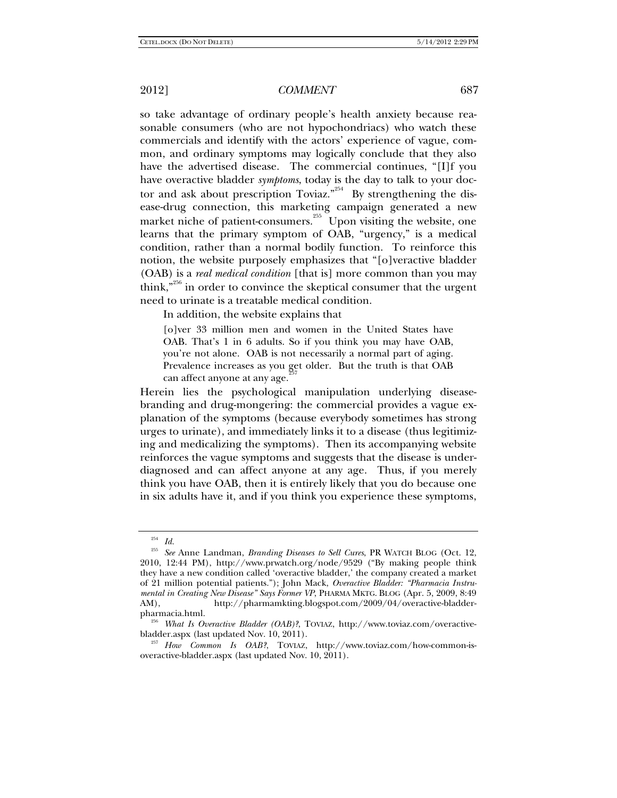so take advantage of ordinary people's health anxiety because reasonable consumers (who are not hypochondriacs) who watch these commercials and identify with the actors' experience of vague, common, and ordinary symptoms may logically conclude that they also have the advertised disease. The commercial continues, "[I]f you have overactive bladder *symptoms*, today is the day to talk to your doctor and ask about prescription Toviaz.<sup>"254</sup> By strengthening the disease-drug connection, this marketing campaign generated a new market niche of patient-consumers.<sup>255</sup> Upon visiting the website, one learns that the primary symptom of OAB, "urgency," is a medical condition, rather than a normal bodily function. To reinforce this notion, the website purposely emphasizes that "[o]veractive bladder (OAB) is a *real medical condition* [that is] more common than you may think,<sup> $n^{256}$ </sup> in order to convince the skeptical consumer that the urgent need to urinate is a treatable medical condition.

In addition, the website explains that

[o]ver 33 million men and women in the United States have OAB. That's 1 in 6 adults. So if you think you may have OAB, you're not alone. OAB is not necessarily a normal part of aging. Prevalence increases as you get older. But the truth is that OAB can affect anyone at any age.<sup>2</sup>

Herein lies the psychological manipulation underlying diseasebranding and drug-mongering: the commercial provides a vague explanation of the symptoms (because everybody sometimes has strong urges to urinate), and immediately links it to a disease (thus legitimizing and medicalizing the symptoms). Then its accompanying website reinforces the vague symptoms and suggests that the disease is underdiagnosed and can affect anyone at any age. Thus, if you merely think you have OAB, then it is entirely likely that you do because one in six adults have it, and if you think you experience these symptoms,

<sup>254</sup> *Id.*

<sup>255</sup> *See* Anne Landman, *Branding Diseases to Sell Cures*, PR WATCH BLOG (Oct. 12, 2010, 12:44 PM), http://www.prwatch.org/node/9529 ("By making people think they have a new condition called 'overactive bladder,' the company created a market of 21 million potential patients."); John Mack, *Overactive Bladder: "Pharmacia Instrumental in Creating New Disease" Says Former VP*, PHARMA MKTG. BLOG (Apr. 5, 2009, 8:49 AM),<br>AM), http://pharmamkting.blogspot.com/2009/04/overactive-bladderhttp://pharmamkting.blogspot.com/2009/04/overactive-bladder-

pharmacia.html. 256 *What Is Overactive Bladder (OAB)?*, TOVIAZ, http://www.toviaz.com/overactivebladder.aspx (last updated Nov. 10, 2011). 257 *How Common Is OAB?*, TOVIAZ, http://www.toviaz.com/how-common-is-

overactive-bladder.aspx (last updated Nov. 10, 2011).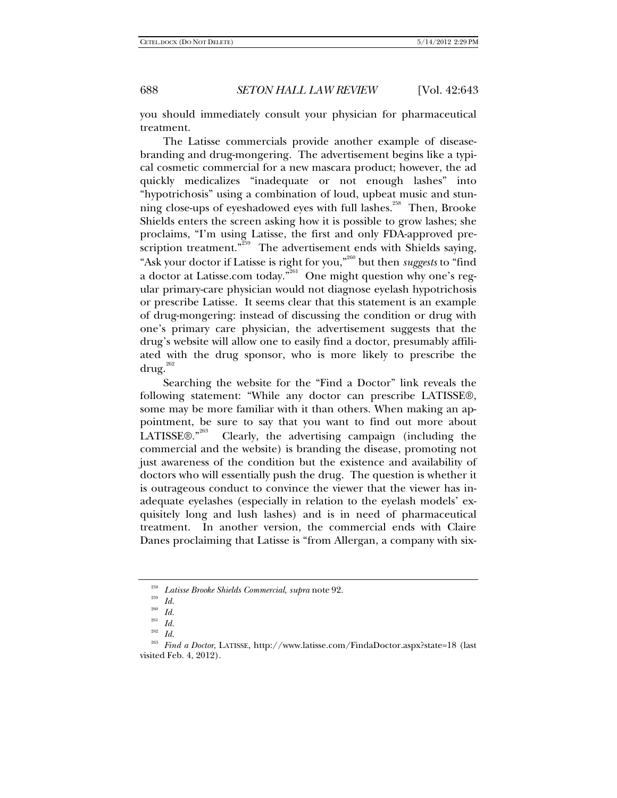you should immediately consult your physician for pharmaceutical treatment.

The Latisse commercials provide another example of diseasebranding and drug-mongering. The advertisement begins like a typical cosmetic commercial for a new mascara product; however, the ad quickly medicalizes "inadequate or not enough lashes" into "hypotrichosis" using a combination of loud, upbeat music and stunning close-ups of eyeshadowed eyes with full lashes.<sup>258</sup> Then, Brooke Shields enters the screen asking how it is possible to grow lashes; she proclaims, "I'm using Latisse, the first and only FDA-approved prescription treatment."<sup>259</sup> The advertisement ends with Shields saying, "Ask your doctor if Latisse is right for you,"260 but then *suggests* to "find a doctor at Latisse.com today.<sup>781</sup> One might question why one's regular primary-care physician would not diagnose eyelash hypotrichosis or prescribe Latisse. It seems clear that this statement is an example of drug-mongering: instead of discussing the condition or drug with one's primary care physician, the advertisement suggests that the drug's website will allow one to easily find a doctor, presumably affiliated with the drug sponsor, who is more likely to prescribe the  $\frac{1}{262}$ 

Searching the website for the "Find a Doctor" link reveals the following statement: "While any doctor can prescribe LATISSE®, some may be more familiar with it than others. When making an appointment, be sure to say that you want to find out more about LATISSE $\mathbb{R}^{263}$  Clearly, the advertising campaign (including the commercial and the website) is branding the disease, promoting not just awareness of the condition but the existence and availability of doctors who will essentially push the drug. The question is whether it is outrageous conduct to convince the viewer that the viewer has inadequate eyelashes (especially in relation to the eyelash models' exquisitely long and lush lashes) and is in need of pharmaceutical treatment. In another version, the commercial ends with Claire Danes proclaiming that Latisse is "from Allergan, a company with six-

<sup>258</sup> *Latisse Brooke Shields Commercial*, *supra* note 92. 259 *Id.*

 $\frac{260}{261}$  *Id.* 

 $\frac{261}{262}$  *Id.* 

<sup>262</sup> *Id.*

<sup>263</sup> *Find a Doctor*, LATISSE, http://www.latisse.com/FindaDoctor.aspx?state=18 (last visited Feb. 4, 2012).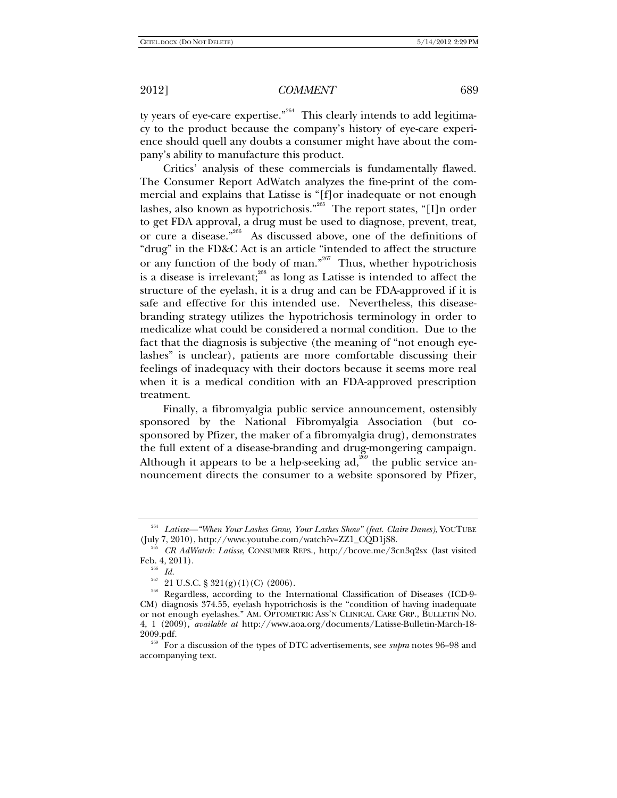ty years of eye-care expertise."<sup>264</sup> This clearly intends to add legitimacy to the product because the company's history of eye-care experience should quell any doubts a consumer might have about the company's ability to manufacture this product.

Critics' analysis of these commercials is fundamentally flawed. The Consumer Report AdWatch analyzes the fine-print of the commercial and explains that Latisse is "[f]or inadequate or not enough lashes, also known as hypotrichosis."<sup>265</sup> The report states, "[I]n order to get FDA approval, a drug must be used to diagnose, prevent, treat, or cure a disease."266 As discussed above, one of the definitions of "drug" in the FD&C Act is an article "intended to affect the structure or any function of the body of man."<sup>267</sup> Thus, whether hypotrichosis is a disease is irrelevant;<sup>268</sup> as long as Latisse is intended to affect the structure of the eyelash, it is a drug and can be FDA-approved if it is safe and effective for this intended use. Nevertheless, this diseasebranding strategy utilizes the hypotrichosis terminology in order to medicalize what could be considered a normal condition. Due to the fact that the diagnosis is subjective (the meaning of "not enough eyelashes" is unclear), patients are more comfortable discussing their feelings of inadequacy with their doctors because it seems more real when it is a medical condition with an FDA-approved prescription treatment.

Finally, a fibromyalgia public service announcement, ostensibly sponsored by the National Fibromyalgia Association (but cosponsored by Pfizer, the maker of a fibromyalgia drug), demonstrates the full extent of a disease-branding and drug-mongering campaign. Although it appears to be a help-seeking ad,<sup>269</sup> the public service announcement directs the consumer to a website sponsored by Pfizer,

<sup>&</sup>lt;sup>264</sup> Latisse—"When Your Lashes Grow, Your Lashes Show" (feat. Claire Danes), YOUTUBE (July 7, 2010), http://www.youtube.com/watch?v=ZZ1\_CQD1jS8.

<sup>&</sup>lt;sup>265</sup> CR AdWatch: Latisse, CONSUMER REPS., http://bcove.me/3cn3q2sx (last visited Feb. 4, 2011).<br>
<sup>266</sup> *Id.*<br>
<sup>267</sup> 21 U.S.C. § 321(g)(1)(C)(2006).

<sup>&</sup>lt;sup>268</sup> Regardless, according to the International Classification of Diseases (ICD-9-CM) diagnosis 374.55, eyelash hypotrichosis is the "condition of having inadequate or not enough eyelashes." AM. OPTOMETRIC ASS'N CLINICAL CARE GRP., BULLETIN NO. 4, 1 (2009), *available at* http://www.aoa.org/documents/Latisse-Bulletin-March-18-

For a discussion of the types of DTC advertisements, see *supra* notes 96–98 and accompanying text.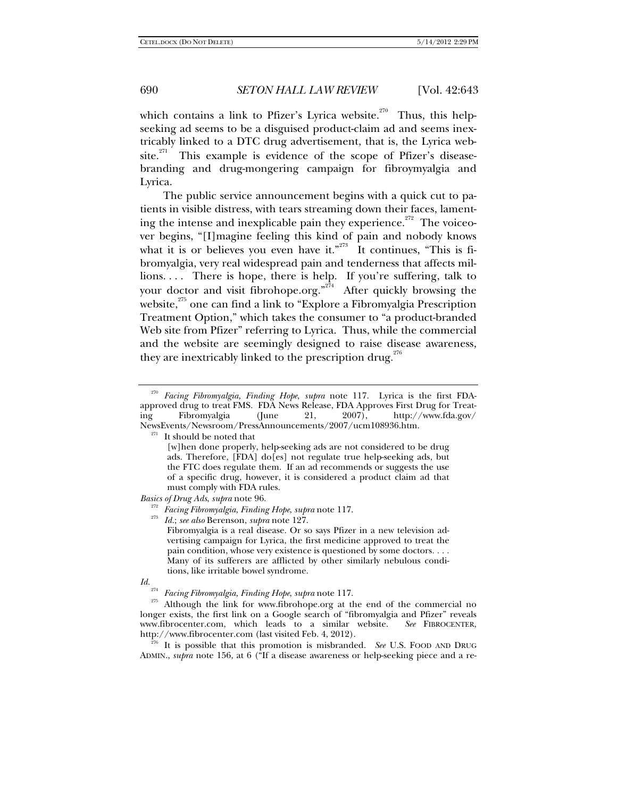which contains a link to Pfizer's Lyrica website.<sup>270</sup> Thus, this helpseeking ad seems to be a disguised product-claim ad and seems inextricably linked to a DTC drug advertisement, that is, the Lyrica website.<sup>271</sup> This example is evidence of the scope of Pfizer's diseasebranding and drug-mongering campaign for fibroymyalgia and Lyrica.

The public service announcement begins with a quick cut to patients in visible distress, with tears streaming down their faces, lamenting the intense and inexplicable pain they experience.<sup> $272$ </sup> The voiceover begins, "[I]magine feeling this kind of pain and nobody knows what it is or believes you even have it."<sup>273</sup> It continues, "This is fibromyalgia, very real widespread pain and tenderness that affects millions. . . . There is hope, there is help. If you're suffering, talk to your doctor and visit fibrohope.org."<sup>274</sup> After quickly browsing the website, $275$  one can find a link to "Explore a Fibromyalgia Prescription" Treatment Option," which takes the consumer to "a product-branded Web site from Pfizer" referring to Lyrica. Thus, while the commercial and the website are seemingly designed to raise disease awareness, they are inextricably linked to the prescription drug.<sup>276</sup>

*Basics of Drug Ads*, *supra* note 96.

<sup>273</sup> Id.; *see also* Berenson, *supra* note 127.

*Id.*

<sup>274</sup> *Facing Fibromyalgia, Finding Hope, supra* note 117.<br><sup>275</sup> Although the link for www.fibrohope.org at the end of the commercial no longer exists, the first link on a Google search of "fibromyalgia and Pfizer" reveals www.fibrocenter.com, which leads to a similar website. *See* FIBROCENTER, http://www.fibrocenter.com (last visited Feb. 4, 2012). 276 It is possible that this promotion is misbranded. *See* U.S. FOOD AND DRUG

ADMIN., *supra* note 156, at 6 ("If a disease awareness or help-seeking piece and a re-

<sup>270</sup> *Facing Fibromyalgia, Finding Hope*, *supra* note 117. Lyrica is the first FDAapproved drug to treat FMS. FDA News Release, FDA Approves First Drug for Treat-<br>ing Fibromyalgia (June 21, 2007), http://www.fda.gov/ ing Fibromyalgia (June 21, 2007), http://www.fda.gov/ NewsEvents/Newsroom/PressAnnouncements/2007/ucm108936.htm. 271 It should be noted that

<sup>[</sup>w]hen done properly, help-seeking ads are not considered to be drug ads. Therefore, [FDA] do[es] not regulate true help-seeking ads, but the FTC does regulate them. If an ad recommends or suggests the use of a specific drug, however, it is considered a product claim ad that must comply with FDA rules.

Fibromyalgia is a real disease. Or so says Pfizer in a new television advertising campaign for Lyrica, the first medicine approved to treat the pain condition, whose very existence is questioned by some doctors*. . . .*  Many of its sufferers are afflicted by other similarly nebulous conditions, like irritable bowel syndrome.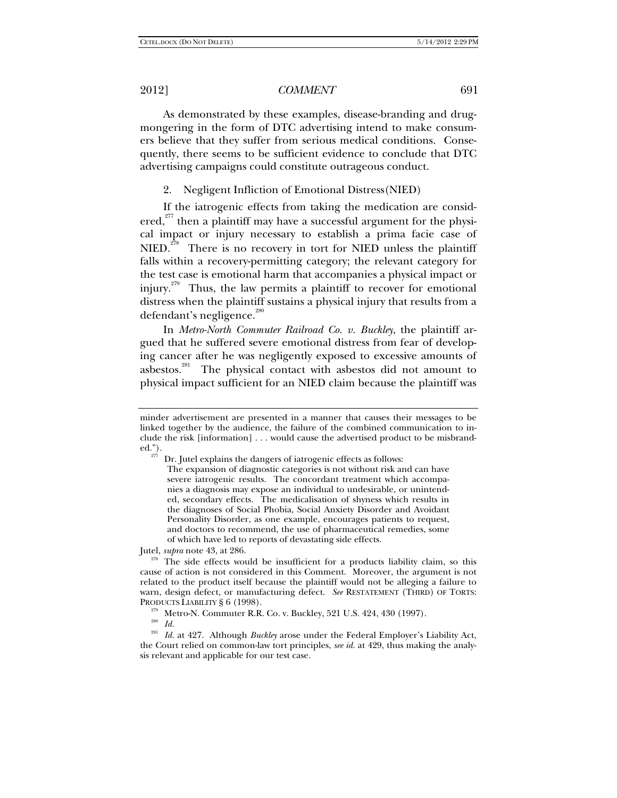As demonstrated by these examples, disease-branding and drugmongering in the form of DTC advertising intend to make consumers believe that they suffer from serious medical conditions. Consequently, there seems to be sufficient evidence to conclude that DTC advertising campaigns could constitute outrageous conduct.

2. Negligent Infliction of Emotional Distress(NIED)

If the iatrogenic effects from taking the medication are considered, $277$  then a plaintiff may have a successful argument for the physical impact or injury necessary to establish a prima facie case of NIED.<sup>278</sup> There is no recovery in tort for NIED unless the plaintiff falls within a recovery-permitting category; the relevant category for the test case is emotional harm that accompanies a physical impact or injury.<sup>279</sup> Thus, the law permits a plaintiff to recover for emotional distress when the plaintiff sustains a physical injury that results from a defendant's negligence.<sup>280</sup>

In *Metro-North Commuter Railroad Co. v. Buckley*, the plaintiff argued that he suffered severe emotional distress from fear of developing cancer after he was negligently exposed to excessive amounts of asbestos.<sup>281</sup> The physical contact with asbestos did not amount to physical impact sufficient for an NIED claim because the plaintiff was

Jutel, *supra* note 43, at 286.

minder advertisement are presented in a manner that causes their messages to be linked together by the audience, the failure of the combined communication to include the risk [information] . . . would cause the advertised product to be misbrand-

ed.").<br><sup>277</sup> Dr. Jutel explains the dangers of iatrogenic effects as follows:

The expansion of diagnostic categories is not without risk and can have severe iatrogenic results. The concordant treatment which accompanies a diagnosis may expose an individual to undesirable, or unintended, secondary effects. The medicalisation of shyness which results in the diagnoses of Social Phobia, Social Anxiety Disorder and Avoidant Personality Disorder, as one example, encourages patients to request, and doctors to recommend, the use of pharmaceutical remedies, some of which have led to reports of devastating side effects.

 $2^{278}$  The side effects would be insufficient for a products liability claim, so this cause of action is not considered in this Comment. Moreover, the argument is not related to the product itself because the plaintiff would not be alleging a failure to warn, design defect, or manufacturing defect. *See* RESTATEMENT (THIRD) OF TORTS: PRODUCTS LIABILITY § 6 (1998).<br><sup>279</sup> Metro-N. Commuter R.R. Co. v. Buckley, 521 U.S. 424, 430 (1997).<br><sup>280</sup> *Id.* 

<sup>281</sup> *Id.* at 427. Although *Buckley* arose under the Federal Employer's Liability Act, the Court relied on common-law tort principles, *see id.* at 429, thus making the analysis relevant and applicable for our test case.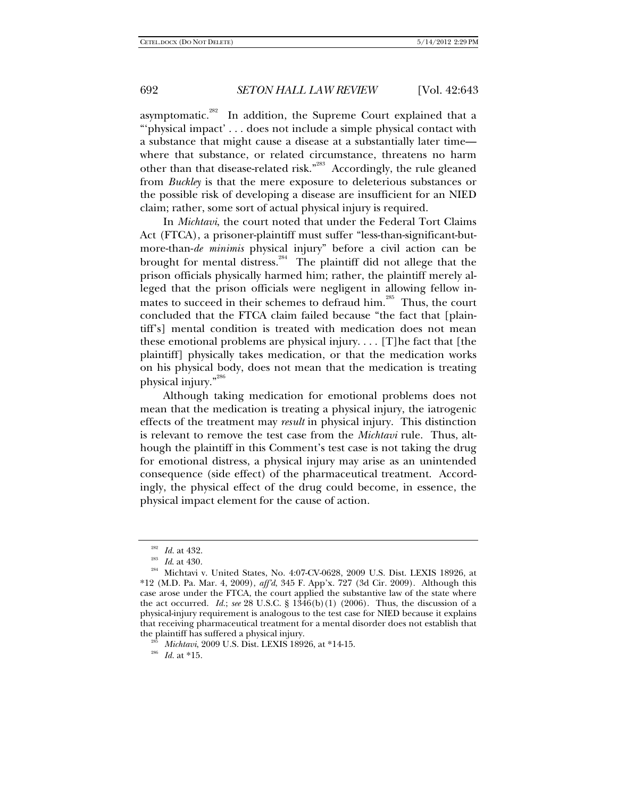asymptomatic.<sup>282</sup> In addition, the Supreme Court explained that a "'physical impact' . . . does not include a simple physical contact with a substance that might cause a disease at a substantially later time where that substance, or related circumstance, threatens no harm other than that disease-related risk."283 Accordingly, the rule gleaned from *Buckley* is that the mere exposure to deleterious substances or the possible risk of developing a disease are insufficient for an NIED claim; rather, some sort of actual physical injury is required.

In *Michtavi*, the court noted that under the Federal Tort Claims Act (FTCA), a prisoner-plaintiff must suffer "less-than-significant-butmore-than-*de minimis* physical injury" before a civil action can be brought for mental distress.<sup>284</sup> The plaintiff did not allege that the prison officials physically harmed him; rather, the plaintiff merely alleged that the prison officials were negligent in allowing fellow inmates to succeed in their schemes to defraud him.<sup>285</sup> Thus, the court concluded that the FTCA claim failed because "the fact that [plaintiff's] mental condition is treated with medication does not mean these emotional problems are physical injury. . . . [T]he fact that [the plaintiff] physically takes medication, or that the medication works on his physical body, does not mean that the medication is treating physical injury."<sup>286</sup>

Although taking medication for emotional problems does not mean that the medication is treating a physical injury, the iatrogenic effects of the treatment may *result* in physical injury. This distinction is relevant to remove the test case from the *Michtavi* rule. Thus, although the plaintiff in this Comment's test case is not taking the drug for emotional distress, a physical injury may arise as an unintended consequence (side effect) of the pharmaceutical treatment. Accordingly, the physical effect of the drug could become, in essence, the physical impact element for the cause of action.

<sup>285</sup> Michtavi, 2009 U.S. Dist. LEXIS 18926, at \*14-15.<br><sup>286</sup> *Id.* at \*15.

<sup>&</sup>lt;sup>282</sup> Id. at 432.<br><sup>283</sup> Id. at 430.<br><sup>284</sup> Michtavi v. United States, No. 4:07-CV-0628, 2009 U.S. Dist. LEXIS 18926, at \*12 (M.D. Pa. Mar. 4, 2009), *aff'd*, 345 F. App'x. 727 (3d Cir. 2009). Although this case arose under the FTCA, the court applied the substantive law of the state where the act occurred. *Id.*; *see* 28 U.S.C. § 1346(b)(1) (2006). Thus, the discussion of a physical-injury requirement is analogous to the test case for NIED because it explains that receiving pharmaceutical treatment for a mental disorder does not establish that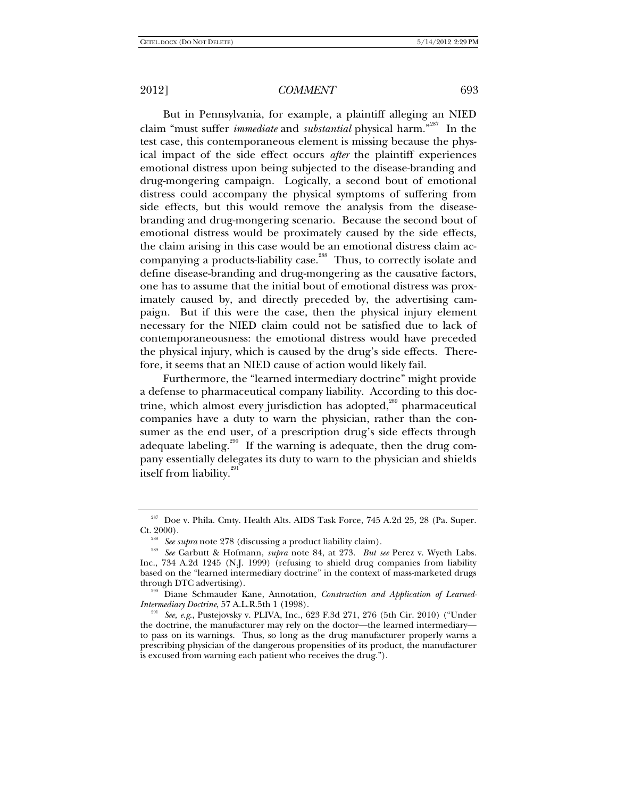But in Pennsylvania, for example, a plaintiff alleging an NIED claim "must suffer *immediate* and *substantial* physical harm."287 In the test case, this contemporaneous element is missing because the physical impact of the side effect occurs *after* the plaintiff experiences emotional distress upon being subjected to the disease-branding and drug-mongering campaign. Logically, a second bout of emotional distress could accompany the physical symptoms of suffering from side effects, but this would remove the analysis from the diseasebranding and drug-mongering scenario. Because the second bout of emotional distress would be proximately caused by the side effects, the claim arising in this case would be an emotional distress claim accompanying a products-liability case.<sup>288</sup> Thus, to correctly isolate and define disease-branding and drug-mongering as the causative factors, one has to assume that the initial bout of emotional distress was proximately caused by, and directly preceded by, the advertising campaign. But if this were the case, then the physical injury element necessary for the NIED claim could not be satisfied due to lack of contemporaneousness: the emotional distress would have preceded the physical injury, which is caused by the drug's side effects. Therefore, it seems that an NIED cause of action would likely fail.

Furthermore, the "learned intermediary doctrine" might provide a defense to pharmaceutical company liability. According to this doctrine, which almost every jurisdiction has adopted, $^{289}$  pharmaceutical companies have a duty to warn the physician, rather than the consumer as the end user, of a prescription drug's side effects through adequate labeling.<sup>290</sup> If the warning is adequate, then the drug company essentially delegates its duty to warn to the physician and shields itself from liability.<sup>291</sup>

 $287\,$  Doe v. Phila. Cmty. Health Alts. AIDS Task Force, 745 A.2d 25, 28 (Pa. Super. Ct. 2000).

Ct. 2000). 288 *See supra* note 278 (discussing a product liability claim). 289 *See* Garbutt & Hofmann, *supra* note 84, at 273. *But see* Perez v. Wyeth Labs. Inc., 734 A.2d 1245 (N.J. 1999) (refusing to shield drug companies from liability based on the "learned intermediary doctrine" in the context of mass-marketed drugs through DTC advertising).

<sup>&</sup>lt;sup>290</sup> Diane Schmauder Kane, Annotation, *Construction and Application of Learned-*<br>Intermediary Doctrine, 57 A.L.R.5th 1 (1998).

<sup>&</sup>lt;sup>291</sup> See, e.g., Pustejovsky v. PLIVA, Inc., 623 F.3d 271, 276 (5th Cir. 2010) ("Under the doctrine, the manufacturer may rely on the doctor—the learned intermediary to pass on its warnings. Thus, so long as the drug manufacturer properly warns a prescribing physician of the dangerous propensities of its product, the manufacturer is excused from warning each patient who receives the drug.").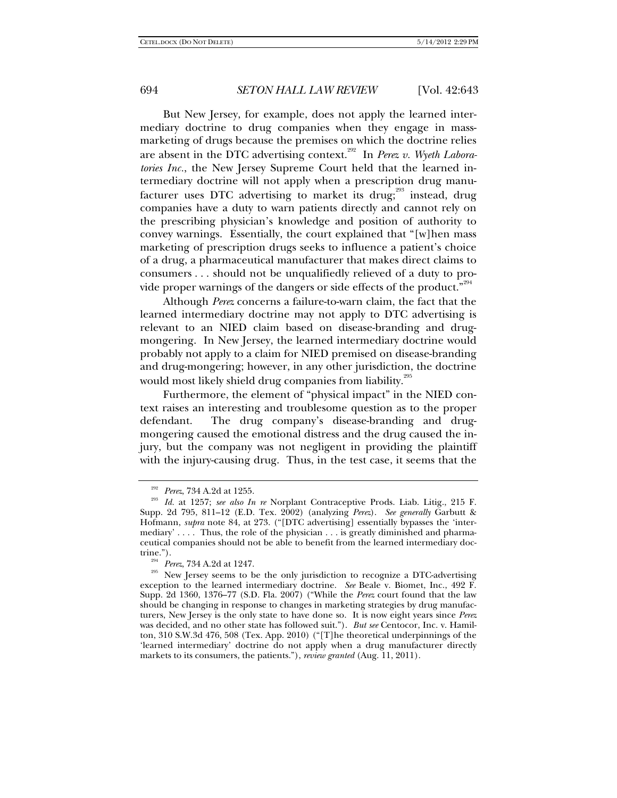But New Jersey, for example, does not apply the learned intermediary doctrine to drug companies when they engage in massmarketing of drugs because the premises on which the doctrine relies are absent in the DTC advertising context.<sup>292</sup> In Perez v. Wyeth Labora*tories Inc.*, the New Jersey Supreme Court held that the learned intermediary doctrine will not apply when a prescription drug manufacturer uses DTC advertising to market its drug; $^{293}$  instead, drug companies have a duty to warn patients directly and cannot rely on the prescribing physician's knowledge and position of authority to convey warnings. Essentially, the court explained that "[w]hen mass marketing of prescription drugs seeks to influence a patient's choice of a drug, a pharmaceutical manufacturer that makes direct claims to consumers . . . should not be unqualifiedly relieved of a duty to provide proper warnings of the dangers or side effects of the product."<sup>294</sup>

Although *Perez* concerns a failure-to-warn claim, the fact that the learned intermediary doctrine may not apply to DTC advertising is relevant to an NIED claim based on disease-branding and drugmongering. In New Jersey, the learned intermediary doctrine would probably not apply to a claim for NIED premised on disease-branding and drug-mongering; however, in any other jurisdiction, the doctrine would most likely shield drug companies from liability.<sup>295</sup>

Furthermore, the element of "physical impact" in the NIED context raises an interesting and troublesome question as to the proper defendant. The drug company's disease-branding and drugmongering caused the emotional distress and the drug caused the injury, but the company was not negligent in providing the plaintiff with the injury-causing drug. Thus, in the test case, it seems that the

<sup>292</sup> *Perez*, 734 A.2d at 1255. 293 *Id.* at 1257; *see also In re* Norplant Contraceptive Prods. Liab. Litig., 215 F. Supp. 2d 795, 811–12 (E.D. Tex. 2002) (analyzing *Perez*). *See generally* Garbutt & Hofmann, *supra* note 84, at 273. ("[DTC advertising] essentially bypasses the 'intermediary' . . . . Thus, the role of the physician . . . is greatly diminished and pharmaceutical companies should not be able to benefit from the learned intermediary doc-

<sup>&</sup>lt;sup>294</sup> *Perez*, 734 A.2d at 1247. 295 New Jersey seems to be the only jurisdiction to recognize a DTC-advertising exception to the learned intermediary doctrine. *See* Beale v. Biomet, Inc., 492 F. Supp. 2d 1360, 1376–77 (S.D. Fla. 2007) ("While the *Perez* court found that the law should be changing in response to changes in marketing strategies by drug manufacturers, New Jersey is the only state to have done so. It is now eight years since *Perez* was decided, and no other state has followed suit."). *But see* Centocor, Inc. v. Hamilton, 310 S.W.3d 476, 508 (Tex. App. 2010) ("[T]he theoretical underpinnings of the 'learned intermediary' doctrine do not apply when a drug manufacturer directly markets to its consumers, the patients."), *review granted* (Aug. 11, 2011).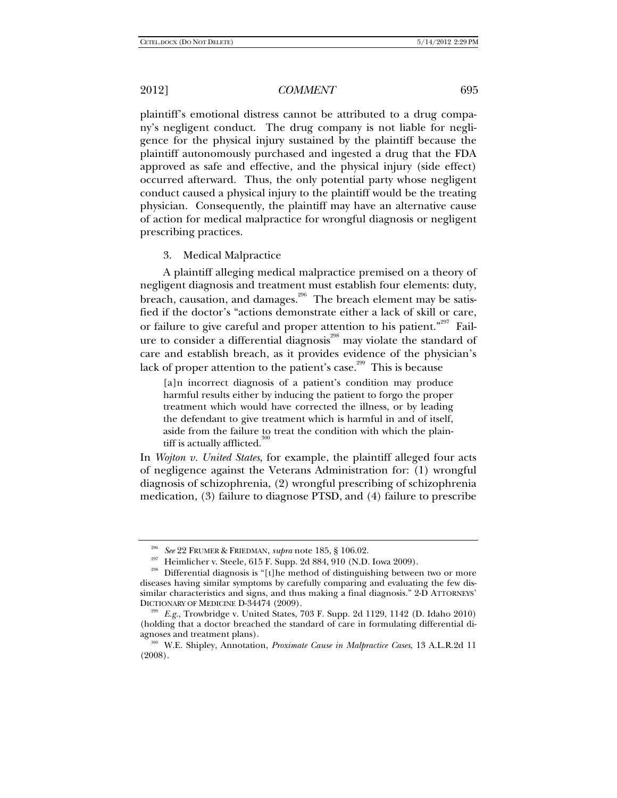plaintiff's emotional distress cannot be attributed to a drug company's negligent conduct. The drug company is not liable for negligence for the physical injury sustained by the plaintiff because the plaintiff autonomously purchased and ingested a drug that the FDA approved as safe and effective, and the physical injury (side effect) occurred afterward. Thus, the only potential party whose negligent conduct caused a physical injury to the plaintiff would be the treating physician. Consequently, the plaintiff may have an alternative cause of action for medical malpractice for wrongful diagnosis or negligent prescribing practices.

3. Medical Malpractice

A plaintiff alleging medical malpractice premised on a theory of negligent diagnosis and treatment must establish four elements: duty, breach, causation, and damages.<sup>296</sup> The breach element may be satisfied if the doctor's "actions demonstrate either a lack of skill or care, or failure to give careful and proper attention to his patient."<sup>297</sup> Failure to consider a differential diagnosis<sup>298</sup> may violate the standard of care and establish breach, as it provides evidence of the physician's lack of proper attention to the patient's case.<sup>299</sup> This is because

[a]n incorrect diagnosis of a patient's condition may produce harmful results either by inducing the patient to forgo the proper treatment which would have corrected the illness, or by leading the defendant to give treatment which is harmful in and of itself, aside from the failure to treat the condition with which the plaintiff is actually afflicted. $\overline{3}$ 

In *Wojton v. United States*, for example, the plaintiff alleged four acts of negligence against the Veterans Administration for: (1) wrongful diagnosis of schizophrenia, (2) wrongful prescribing of schizophrenia medication, (3) failure to diagnose PTSD, and (4) failure to prescribe

<sup>&</sup>lt;sup>296</sup> See 22 FRUMER & FRIEDMAN, *supra* note 185, § 106.02.<br><sup>297</sup> Heimlicher v. Steele, 615 F. Supp. 2d 884, 910 (N.D. Iowa 2009).<br><sup>298</sup> Differential diagnosis is "[t]he method of distinguishing between two or more diseases having similar symptoms by carefully comparing and evaluating the few dissimilar characteristics and signs, and thus making a final diagnosis." 2-D ATTORNEYS'

 $E.g.,$  Trowbridge v. United States, 703 F. Supp. 2d 1129, 1142 (D. Idaho 2010) (holding that a doctor breached the standard of care in formulating differential di-

<sup>&</sup>lt;sup>300</sup> W.E. Shipley, Annotation, *Proximate Cause in Malpractice Cases*, 13 A.L.R.2d 11 (2008).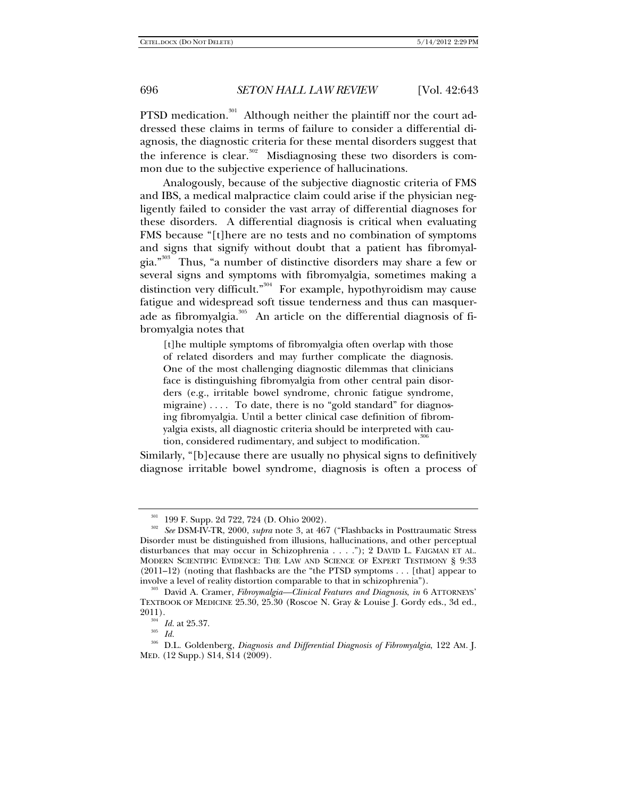PTSD medication.<sup>301</sup> Although neither the plaintiff nor the court addressed these claims in terms of failure to consider a differential diagnosis, the diagnostic criteria for these mental disorders suggest that the inference is clear.<sup>302</sup> Misdiagnosing these two disorders is common due to the subjective experience of hallucinations.

Analogously, because of the subjective diagnostic criteria of FMS and IBS, a medical malpractice claim could arise if the physician negligently failed to consider the vast array of differential diagnoses for these disorders. A differential diagnosis is critical when evaluating FMS because "[t]here are no tests and no combination of symptoms and signs that signify without doubt that a patient has fibromyalgia."303 Thus, "a number of distinctive disorders may share a few or several signs and symptoms with fibromyalgia, sometimes making a distinction very difficult."<sup>304</sup> For example, hypothyroidism may cause fatigue and widespread soft tissue tenderness and thus can masquerade as fibromyalgia.<sup>305</sup> An article on the differential diagnosis of fibromyalgia notes that

[t]he multiple symptoms of fibromyalgia often overlap with those of related disorders and may further complicate the diagnosis. One of the most challenging diagnostic dilemmas that clinicians face is distinguishing fibromyalgia from other central pain disorders (e.g., irritable bowel syndrome, chronic fatigue syndrome, migraine) .... To date, there is no "gold standard" for diagnosing fibromyalgia. Until a better clinical case definition of fibromyalgia exists, all diagnostic criteria should be interpreted with caution, considered rudimentary, and subject to modification.<sup>3</sup>

Similarly, "[b]ecause there are usually no physical signs to definitively diagnose irritable bowel syndrome, diagnosis is often a process of

<sup>301 199</sup> F. Supp. 2d 722, 724 (D. Ohio 2002). 302 *See* DSM-IV-TR, 2000, *supra* note 3, at 467 ("Flashbacks in Posttraumatic Stress Disorder must be distinguished from illusions, hallucinations, and other perceptual disturbances that may occur in Schizophrenia . . . ."); 2 DAVID L. FAIGMAN ET AL. MODERN SCIENTIFIC EVIDENCE: THE LAW AND SCIENCE OF EXPERT TESTIMONY § 9:33 (2011–12) (noting that flashbacks are the "the PTSD symptoms . . . [that] appear to involve a level of reality distortion comparable to that in schizophrenia"). 303 David A. Cramer, *Fibroymalgia—Clinical Features and Diagnosis*, *in* 6 ATTORNEYS'

TEXTBOOK OF MEDICINE 25.30, 25.30 (Roscoe N. Gray & Louise J. Gordy eds., 3d ed.,

<sup>&</sup>lt;sup>304</sup> *Id.* at 25.37.<br><sup>305</sup> *Id.* 

<sup>306</sup> D.L. Goldenberg, *Diagnosis and Differential Diagnosis of Fibromyalgia*, 122 AM. J. MED. (12 Supp.) S14, S14 (2009).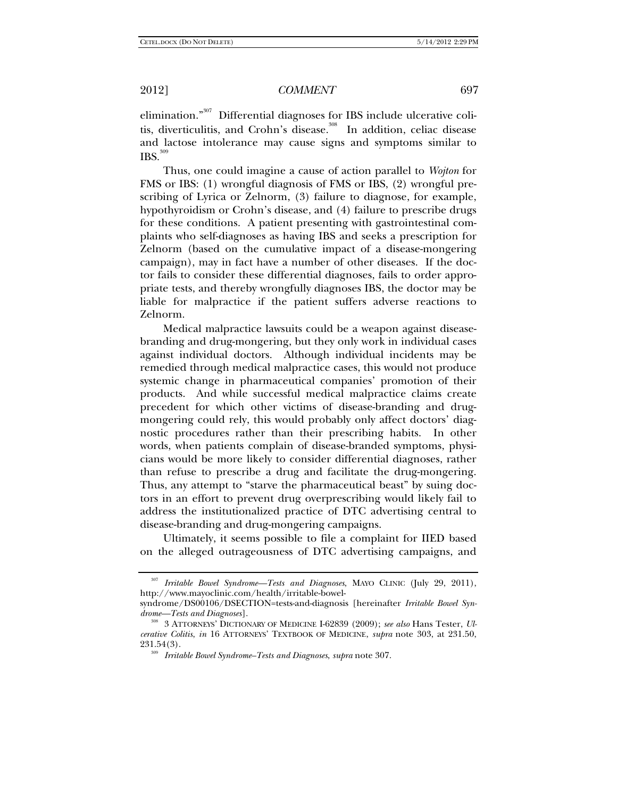elimination."<sup>307</sup> Differential diagnoses for IBS include ulcerative colitis, diverticulitis, and Crohn's disease.<sup>308</sup> In addition, celiac disease and lactose intolerance may cause signs and symptoms similar to  $IBS.<sup>309</sup>$ 

Thus, one could imagine a cause of action parallel to *Wojton* for FMS or IBS: (1) wrongful diagnosis of FMS or IBS, (2) wrongful prescribing of Lyrica or Zelnorm, (3) failure to diagnose, for example, hypothyroidism or Crohn's disease, and (4) failure to prescribe drugs for these conditions. A patient presenting with gastrointestinal complaints who self-diagnoses as having IBS and seeks a prescription for Zelnorm (based on the cumulative impact of a disease-mongering campaign), may in fact have a number of other diseases. If the doctor fails to consider these differential diagnoses, fails to order appropriate tests, and thereby wrongfully diagnoses IBS, the doctor may be liable for malpractice if the patient suffers adverse reactions to Zelnorm.

Medical malpractice lawsuits could be a weapon against diseasebranding and drug-mongering, but they only work in individual cases against individual doctors. Although individual incidents may be remedied through medical malpractice cases, this would not produce systemic change in pharmaceutical companies' promotion of their products. And while successful medical malpractice claims create precedent for which other victims of disease-branding and drugmongering could rely, this would probably only affect doctors' diagnostic procedures rather than their prescribing habits. In other words, when patients complain of disease-branded symptoms, physicians would be more likely to consider differential diagnoses, rather than refuse to prescribe a drug and facilitate the drug-mongering. Thus, any attempt to "starve the pharmaceutical beast" by suing doctors in an effort to prevent drug overprescribing would likely fail to address the institutionalized practice of DTC advertising central to disease-branding and drug-mongering campaigns.

Ultimately, it seems possible to file a complaint for IIED based on the alleged outrageousness of DTC advertising campaigns, and

<sup>307</sup> *Irritable Bowel Syndrome—Tests and Diagnoses*, MAYO CLINIC (July 29, 2011), http://www.mayoclinic.com/health/irritable-bowelsyndrome/DS00106/DSECTION=tests-and-diagnosis [hereinafter *Irritable Bowel Syn-*

*drome—Tests and Diagnoses*]. **308 3 ATTORNEYS' DICTIONARY OF MEDICINE I-62839** (2009); *see also* Hans Tester, *Ulcerative Colitis*, *in* 16 ATTORNEYS' TEXTBOOK OF MEDICINE, *supra* note 303, at 231.50,

<sup>231.54(3). 309</sup> *Irritable Bowel Syndrome–Tests and Diagnoses*, *supra* note 307.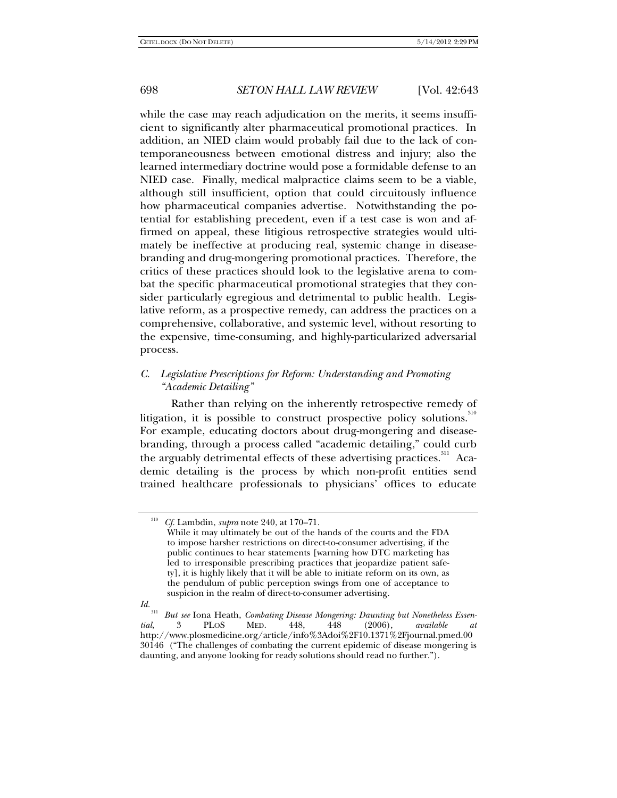while the case may reach adjudication on the merits, it seems insufficient to significantly alter pharmaceutical promotional practices. In addition, an NIED claim would probably fail due to the lack of contemporaneousness between emotional distress and injury; also the learned intermediary doctrine would pose a formidable defense to an NIED case. Finally, medical malpractice claims seem to be a viable, although still insufficient, option that could circuitously influence how pharmaceutical companies advertise. Notwithstanding the potential for establishing precedent, even if a test case is won and affirmed on appeal, these litigious retrospective strategies would ultimately be ineffective at producing real, systemic change in diseasebranding and drug-mongering promotional practices. Therefore, the critics of these practices should look to the legislative arena to combat the specific pharmaceutical promotional strategies that they consider particularly egregious and detrimental to public health. Legislative reform, as a prospective remedy, can address the practices on a comprehensive, collaborative, and systemic level, without resorting to the expensive, time-consuming, and highly-particularized adversarial process.

## *C. Legislative Prescriptions for Reform: Understanding and Promoting "Academic Detailing"*

Rather than relying on the inherently retrospective remedy of litigation, it is possible to construct prospective policy solutions.<sup>310</sup> For example, educating doctors about drug-mongering and diseasebranding, through a process called "academic detailing," could curb the arguably detrimental effects of these advertising practices.<sup>311</sup> Academic detailing is the process by which non-profit entities send trained healthcare professionals to physicians' offices to educate

 $Id.$ <sup>311</sup>

<sup>310</sup> *Cf.* Lambdin, *supra* note 240, at 170–71.

While it may ultimately be out of the hands of the courts and the FDA to impose harsher restrictions on direct-to-consumer advertising, if the public continues to hear statements [warning how DTC marketing has led to irresponsible prescribing practices that jeopardize patient safety], it is highly likely that it will be able to initiate reform on its own, as the pendulum of public perception swings from one of acceptance to suspicion in the realm of direct-to-consumer advertising.

<sup>311</sup> *But see* Iona Heath, *Combating Disease Mongering: Daunting but Nonetheless Essential*, 3 PLOS MED. 448, 448 (2006), *available at*  http://www.plosmedicine.org/article/info%3Adoi%2F10.1371%2Fjournal.pmed.00 30146 ("The challenges of combating the current epidemic of disease mongering is daunting, and anyone looking for ready solutions should read no further.").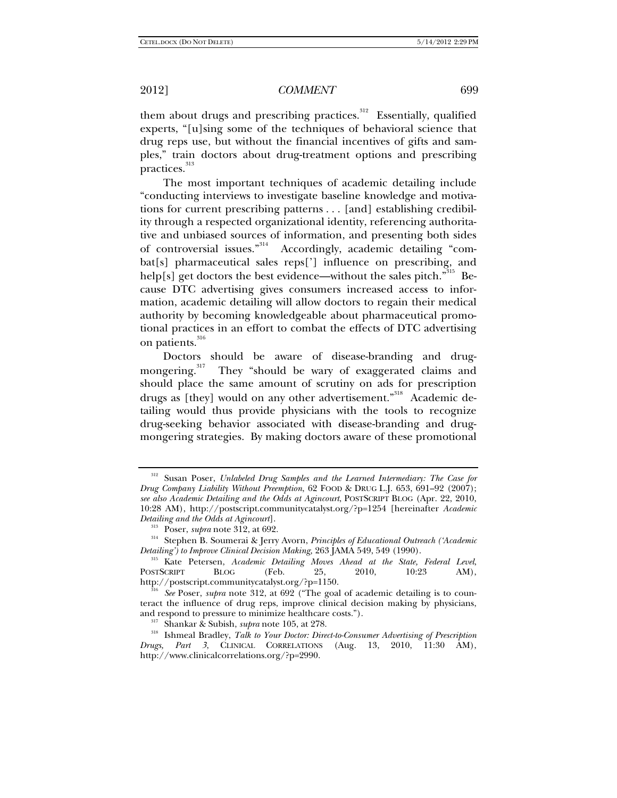them about drugs and prescribing practices.<sup>312</sup> Essentially, qualified experts, "[u]sing some of the techniques of behavioral science that drug reps use, but without the financial incentives of gifts and samples," train doctors about drug-treatment options and prescribing practices.<sup>313</sup>

The most important techniques of academic detailing include "conducting interviews to investigate baseline knowledge and motivations for current prescribing patterns . . . [and] establishing credibility through a respected organizational identity, referencing authoritative and unbiased sources of information, and presenting both sides of controversial issues."<sup>314</sup> Accordingly, academic detailing "combat[s] pharmaceutical sales reps['] influence on prescribing, and help[s] get doctors the best evidence—without the sales pitch. $\frac{3315}{8}$  Because DTC advertising gives consumers increased access to information, academic detailing will allow doctors to regain their medical authority by becoming knowledgeable about pharmaceutical promotional practices in an effort to combat the effects of DTC advertising on patients.<sup>316</sup>

Doctors should be aware of disease-branding and drug-<br>mongering.<sup>317</sup> They "should be wary of exaggerated claims and They "should be wary of exaggerated claims and should place the same amount of scrutiny on ads for prescription drugs as [they] would on any other advertisement."<sup>318</sup> Academic detailing would thus provide physicians with the tools to recognize drug-seeking behavior associated with disease-branding and drugmongering strategies. By making doctors aware of these promotional

<sup>312</sup> Susan Poser, *Unlabeled Drug Samples and the Learned Intermediary: The Case for Drug Company Liability Without Preemption*, 62 FOOD & DRUG L.J. 653, 691–92 (2007); *see also Academic Detailing and the Odds at Agincourt*, POSTSCRIPT BLOG (Apr. 22, 2010, 10:28 AM), http://postscript.communitycatalyst.org/?p=1254 [hereinafter *Academic Detailing and the Odds at Agincourt*].<br><sup>313</sup> Poser, *supra* note 312, at 692.<br><sup>314</sup> Stephen B. Soumerai & Jerry Avorn, *Principles of Educational Outreach ('Academic* 

*Detailing') to Improve Clinical Decision Making,* 263 JAMA 549, 549 (1990). 315 Kate Petersen, *Academic Detailing Moves Ahead at the State, Federal Level*,

POSTSCRIPT BLOG (Feb. 25, 2010, 10:23 AM), http://postscript.communitycatalyst.org/?p=1150.

<sup>316</sup> *See* Poser, *supra* note 312, at 692 ("The goal of academic detailing is to counteract the influence of drug reps, improve clinical decision making by physicians,

<sup>&</sup>lt;sup>317</sup> Shankar & Subish, *supra* note 105, at 278.<br><sup>318</sup> Ishmeal Bradley, *Talk to Your Doctor: Direct-to-Consumer Advertising of Prescription Drugs, Part 3*, CLINICAL CORRELATIONS (Aug. 13, 2010, 11:30 AM), http://www.clinicalcorrelations.org/?p=2990.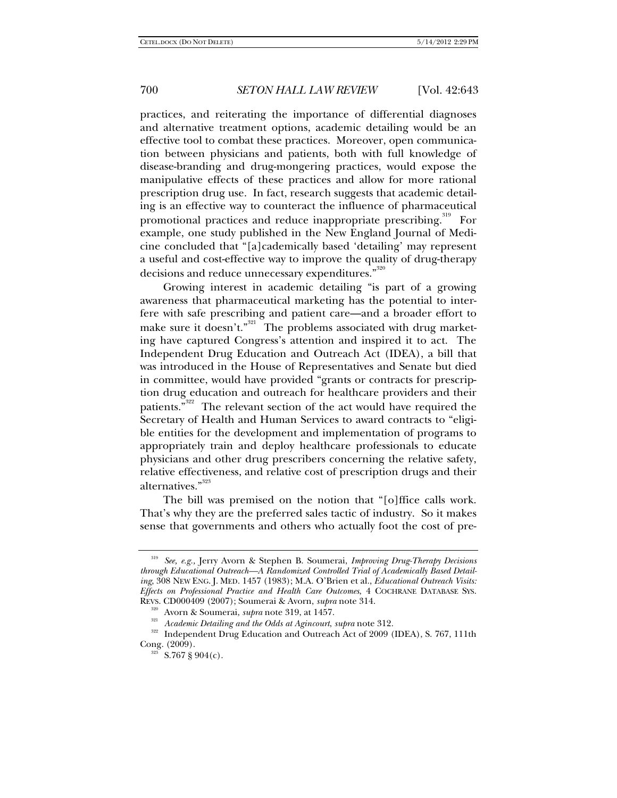practices, and reiterating the importance of differential diagnoses and alternative treatment options, academic detailing would be an effective tool to combat these practices. Moreover, open communication between physicians and patients, both with full knowledge of disease-branding and drug-mongering practices, would expose the manipulative effects of these practices and allow for more rational prescription drug use. In fact, research suggests that academic detailing is an effective way to counteract the influence of pharmaceutical promotional practices and reduce inappropriate prescribing.<sup>319</sup> For example, one study published in the New England Journal of Medicine concluded that "[a]cademically based 'detailing' may represent a useful and cost-effective way to improve the quality of drug-therapy decisions and reduce unnecessary expenditures."<sup>320</sup>

Growing interest in academic detailing "is part of a growing awareness that pharmaceutical marketing has the potential to interfere with safe prescribing and patient care—and a broader effort to make sure it doesn't."<sup>321</sup> The problems associated with drug marketing have captured Congress's attention and inspired it to act. The Independent Drug Education and Outreach Act (IDEA), a bill that was introduced in the House of Representatives and Senate but died in committee, would have provided "grants or contracts for prescription drug education and outreach for healthcare providers and their patients."<sup>322</sup> The relevant section of the act would have required the Secretary of Health and Human Services to award contracts to "eligible entities for the development and implementation of programs to appropriately train and deploy healthcare professionals to educate physicians and other drug prescribers concerning the relative safety, relative effectiveness, and relative cost of prescription drugs and their alternatives."<sup>323</sup>

The bill was premised on the notion that "[o]ffice calls work. That's why they are the preferred sales tactic of industry. So it makes sense that governments and others who actually foot the cost of pre-

<sup>319</sup> *See, e.g.,* Jerry Avorn & Stephen B. Soumerai, *Improving Drug-Therapy Decisions through Educational Outreach—A Randomized Controlled Trial of Academically Based Detailing*, 308 NEW ENG. J. MED. 1457 (1983); M.A. O'Brien et al., *Educational Outreach Visits: Effects on Professional Practice and Health Care Outcomes*, 4 COCHRANE DATABASE SYS.

REVS. CD000409 (2007); Soumerai & Avorn, *supra* note 314. 320 Avorn & Soumerai, *supra* note 319, at 1457. 321 *Academic Detailing and the Odds at Agincourt*, *supra* note 312.

<sup>&</sup>lt;sup>322</sup> Independent Drug Education and Outreach Act of 2009 (IDEA), S. 767, 111th Cong. (2009).<br><sup>323</sup> S.767 § 904(c).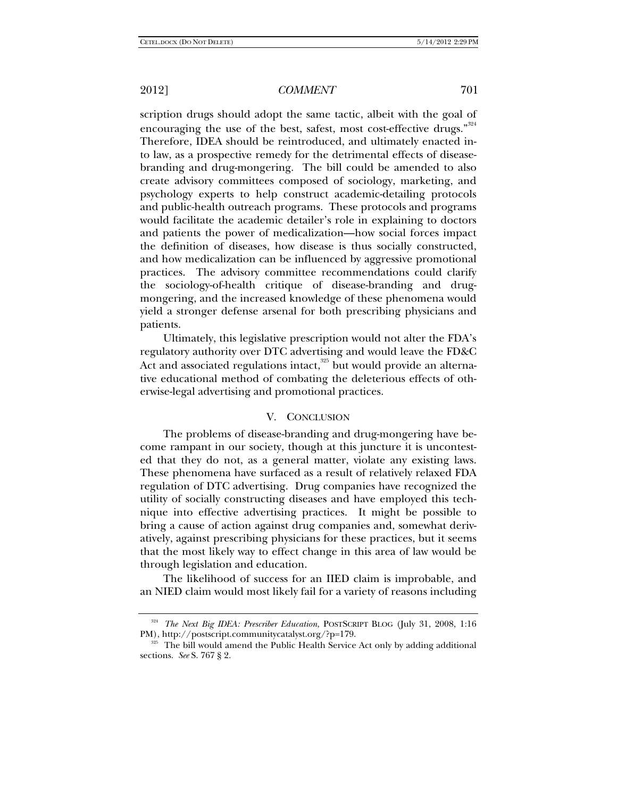scription drugs should adopt the same tactic, albeit with the goal of encouraging the use of the best, safest, most cost-effective drugs."<sup>324</sup> Therefore, IDEA should be reintroduced, and ultimately enacted into law, as a prospective remedy for the detrimental effects of diseasebranding and drug-mongering. The bill could be amended to also create advisory committees composed of sociology, marketing, and psychology experts to help construct academic-detailing protocols and public-health outreach programs. These protocols and programs would facilitate the academic detailer's role in explaining to doctors and patients the power of medicalization—how social forces impact the definition of diseases, how disease is thus socially constructed, and how medicalization can be influenced by aggressive promotional practices. The advisory committee recommendations could clarify the sociology-of-health critique of disease-branding and drugmongering, and the increased knowledge of these phenomena would yield a stronger defense arsenal for both prescribing physicians and patients.

Ultimately, this legislative prescription would not alter the FDA's regulatory authority over DTC advertising and would leave the FD&C Act and associated regulations intact,<sup>325</sup> but would provide an alternative educational method of combating the deleterious effects of otherwise-legal advertising and promotional practices.

### V. CONCLUSION

The problems of disease-branding and drug-mongering have become rampant in our society, though at this juncture it is uncontested that they do not, as a general matter, violate any existing laws. These phenomena have surfaced as a result of relatively relaxed FDA regulation of DTC advertising. Drug companies have recognized the utility of socially constructing diseases and have employed this technique into effective advertising practices. It might be possible to bring a cause of action against drug companies and, somewhat derivatively, against prescribing physicians for these practices, but it seems that the most likely way to effect change in this area of law would be through legislation and education.

The likelihood of success for an IIED claim is improbable, and an NIED claim would most likely fail for a variety of reasons including

<sup>324</sup> *The Next Big IDEA: Prescriber Education*, POSTSCRIPT BLOG (July 31, 2008, 1:16 PM), http://postscript.communitycatalyst.org/?p=179.<br><sup>325</sup> The bill would amend the Public Health Service Act only by adding additional

sections. *See* S. 767 § 2.